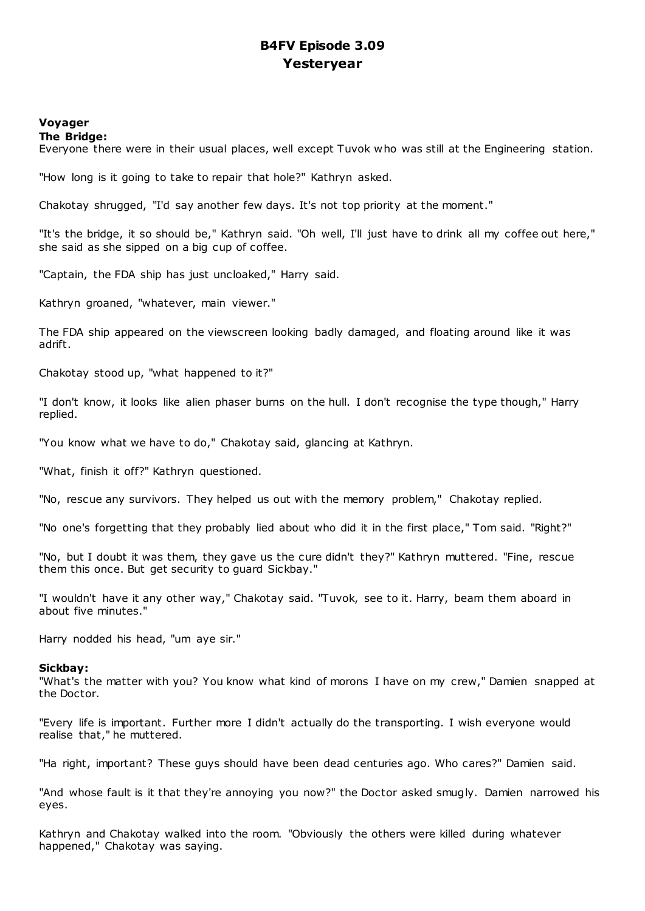# **B4FV Episode 3.09 Yesteryear**

# **Voyager**

**The Bridge:**

Everyone there were in their usual places, well except Tuvok who was still at the Engineering station.

"How long is it going to take to repair that hole?" Kathryn asked.

Chakotay shrugged, "I'd say another few days. It's not top priority at the moment."

"It's the bridge, it so should be," Kathryn said. "Oh well, I'll just have to drink all my coffee out here," she said as she sipped on a big cup of coffee.

"Captain, the FDA ship has just uncloaked," Harry said.

Kathryn groaned, "whatever, main viewer."

The FDA ship appeared on the viewscreen looking badly damaged, and floating around like it was adrift.

Chakotay stood up, "what happened to it?"

"I don't know, it looks like alien phaser burns on the hull. I don't recognise the type though," Harry replied.

"You know what we have to do," Chakotay said, glancing at Kathryn.

"What, finish it off?" Kathryn questioned.

"No, rescue any survivors. They helped us out with the memory problem," Chakotay replied.

"No one's forgetting that they probably lied about who did it in the first place," Tom said. "Right?"

"No, but I doubt it was them, they gave us the cure didn't they?" Kathryn muttered. "Fine, rescue them this once. But get security to guard Sickbay."

"I wouldn't have it any other way," Chakotay said. "Tuvok, see to it. Harry, beam them aboard in about five minutes."

Harry nodded his head, "um aye sir."

## **Sickbay:**

"What's the matter with you? You know what kind of morons I have on my crew," Damien snapped at the Doctor.

"Every life is important. Further more I didn't actually do the transporting. I wish everyone would realise that," he muttered.

"Ha right, important? These guys should have been dead centuries ago. Who cares?" Damien said.

"And whose fault is it that they're annoying you now?" the Doctor asked smugly. Damien narrowed his eyes.

Kathryn and Chakotay walked into the room. "Obviously the others were killed during whatever happened," Chakotay was saying.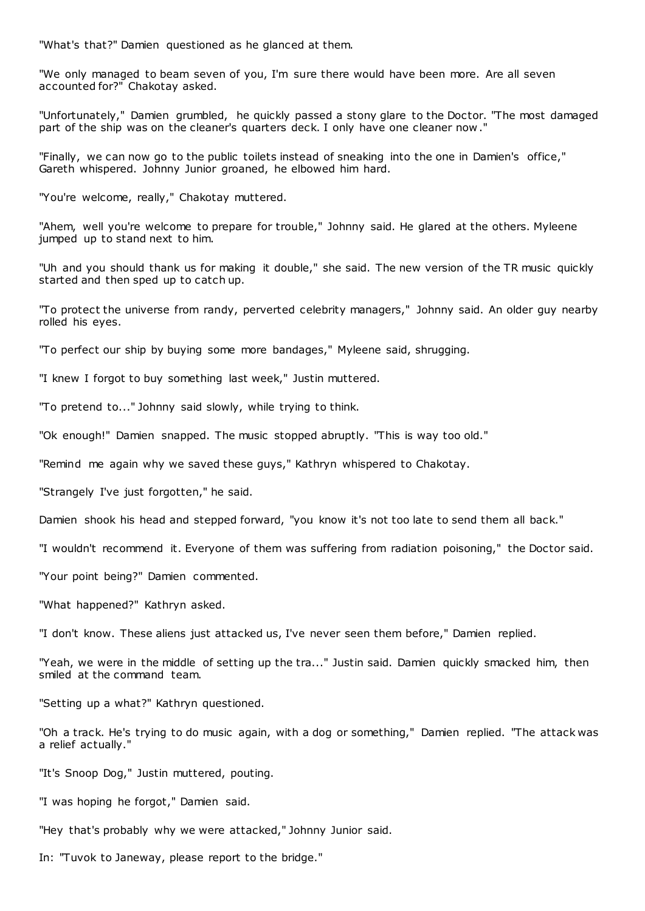"What's that?" Damien questioned as he glanced at them.

"We only managed to beam seven of you, I'm sure there would have been more. Are all seven accounted for?" Chakotay asked.

"Unfortunately," Damien grumbled, he quickly passed a stony glare to the Doctor. "The most damaged part of the ship was on the cleaner's quarters deck. I only have one cleaner now ."

"Finally, we can now go to the public toilets instead of sneaking into the one in Damien's office," Gareth whispered. Johnny Junior groaned, he elbowed him hard.

"You're welcome, really," Chakotay muttered.

"Ahem, well you're welcome to prepare for trouble," Johnny said. He glared at the others. Myleene jumped up to stand next to him.

"Uh and you should thank us for making it double," she said. The new version of the TR music quickly started and then sped up to catch up.

"To protect the universe from randy, perverted celebrity managers," Johnny said. An older guy nearby rolled his eyes.

"To perfect our ship by buying some more bandages," Myleene said, shrugging.

"I knew I forgot to buy something last week," Justin muttered.

"To pretend to..." Johnny said slowly, while trying to think.

"Ok enough!" Damien snapped. The music stopped abruptly. "This is way too old."

"Remind me again why we saved these guys," Kathryn whispered to Chakotay.

"Strangely I've just forgotten," he said.

Damien shook his head and stepped forward, "you know it's not too late to send them all back."

"I wouldn't recommend it. Everyone of them was suffering from radiation poisoning," the Doctor said.

"Your point being?" Damien commented.

"What happened?" Kathryn asked.

"I don't know. These aliens just attacked us, I've never seen them before," Damien replied.

"Yeah, we were in the middle of setting up the tra..." Justin said. Damien quickly smacked him, then smiled at the command team.

"Setting up a what?" Kathryn questioned.

"Oh a track. He's trying to do music again, with a dog or something," Damien replied. "The attack was a relief actually."

"It's Snoop Dog," Justin muttered, pouting.

"I was hoping he forgot," Damien said.

"Hey that's probably why we were attacked," Johnny Junior said.

In: "Tuvok to Janeway, please report to the bridge."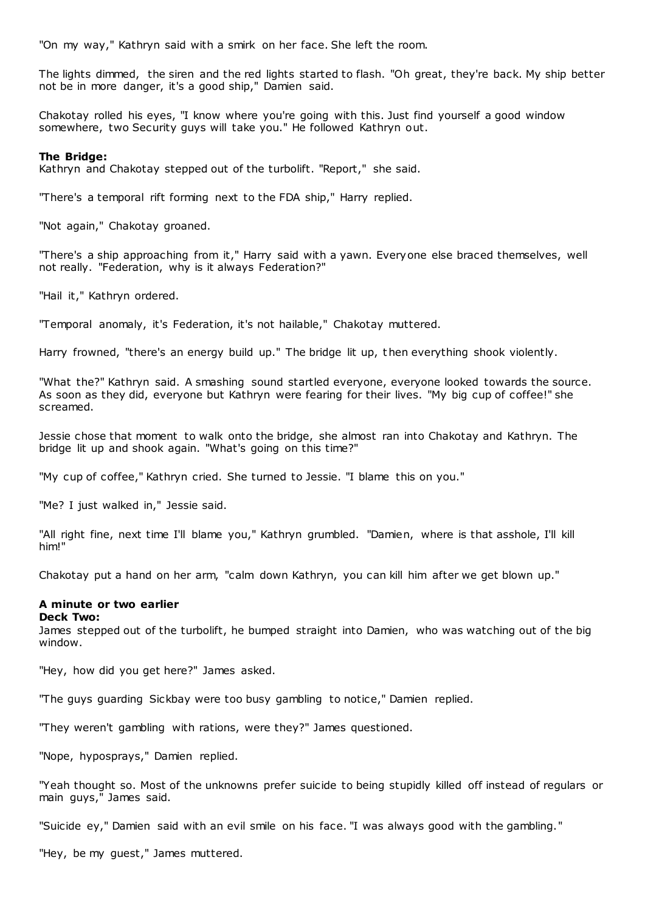"On my way," Kathryn said with a smirk on her face. She left the room.

The lights dimmed, the siren and the red lights started to flash. "Oh great, they're back. My ship better not be in more danger, it's a good ship," Damien said.

Chakotay rolled his eyes, "I know where you're going with this. Just find yourself a good window somewhere, two Security guys will take you." He followed Kathryn out.

#### **The Bridge:**

Kathryn and Chakotay stepped out of the turbolift. "Report," she said.

"There's a temporal rift forming next to the FDA ship," Harry replied.

"Not again," Chakotay groaned.

"There's a ship approaching from it," Harry said with a yawn. Everyone else braced themselves, well not really. "Federation, why is it always Federation?"

"Hail it," Kathryn ordered.

"Temporal anomaly, it's Federation, it's not hailable," Chakotay muttered.

Harry frowned, "there's an energy build up." The bridge lit up, then everything shook violently.

"What the?" Kathryn said. A smashing sound startled everyone, everyone looked towards the source. As soon as they did, everyone but Kathryn were fearing for their lives. "My big cup of coffee!" she screamed.

Jessie chose that moment to walk onto the bridge, she almost ran into Chakotay and Kathryn. The bridge lit up and shook again. "What's going on this time?"

"My cup of coffee," Kathryn cried. She turned to Jessie. "I blame this on you."

"Me? I just walked in," Jessie said.

"All right fine, next time I'll blame you," Kathryn grumbled. "Damien, where is that asshole, I'll kill him!"

Chakotay put a hand on her arm, "calm down Kathryn, you can kill him after we get blown up."

## **A minute or two earlier**

## **Deck Two:**

James stepped out of the turbolift, he bumped straight into Damien, who was watching out of the big window.

"Hey, how did you get here?" James asked.

"The guys guarding Sickbay were too busy gambling to notice," Damien replied.

"They weren't gambling with rations, were they?" James questioned.

"Nope, hyposprays," Damien replied.

"Yeah thought so. Most of the unknowns prefer suicide to being stupidly killed off instead of regulars or main guys," James said.

"Suicide ey," Damien said with an evil smile on his face. "I was always good with the gambling."

"Hey, be my guest," James muttered.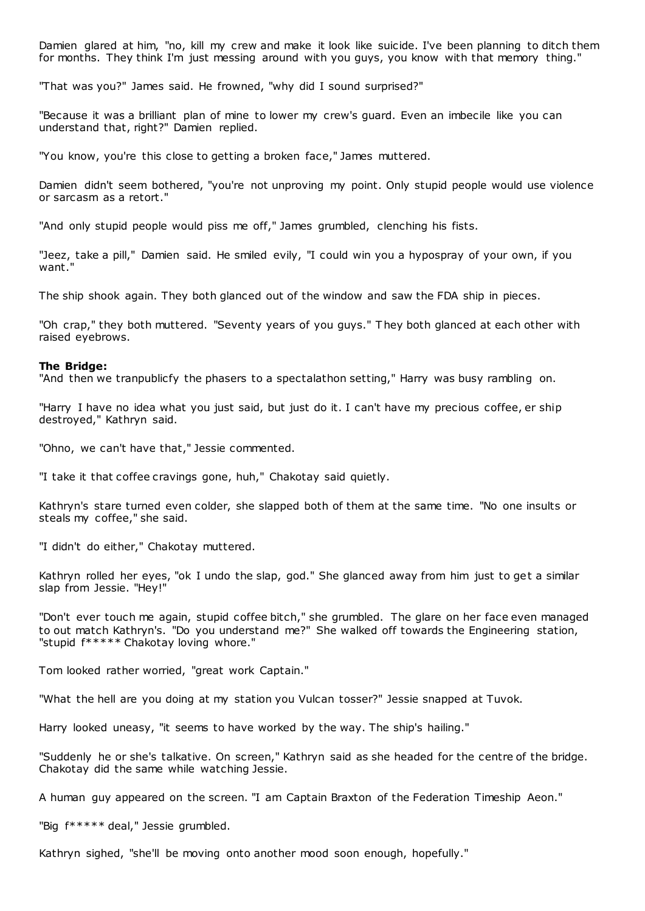Damien glared at him, "no, kill my crew and make it look like suicide. I've been planning to ditch them for months. They think I'm just messing around with you guys, you know with that memory thing."

"That was you?" James said. He frowned, "why did I sound surprised?"

"Because it was a brilliant plan of mine to lower my crew's guard. Even an imbecile like you can understand that, right?" Damien replied.

"You know, you're this close to getting a broken face," James muttered.

Damien didn't seem bothered, "you're not unproving my point. Only stupid people would use violence or sarcasm as a retort."

"And only stupid people would piss me off," James grumbled, clenching his fists.

"Jeez, take a pill," Damien said. He smiled evily, "I could win you a hypospray of your own, if you want.'

The ship shook again. They both glanced out of the window and saw the FDA ship in pieces.

"Oh crap," they both muttered. "Seventy years of you guys." T hey both glanced at each other with raised eyebrows.

#### **The Bridge:**

"And then we tranpublicfy the phasers to a spectalathon setting," Harry was busy rambling on.

"Harry I have no idea what you just said, but just do it. I can't have my precious coffee, er ship destroyed," Kathryn said.

"Ohno, we can't have that," Jessie commented.

"I take it that coffee cravings gone, huh," Chakotay said quietly.

Kathryn's stare turned even colder, she slapped both of them at the same time. "No one insults or steals my coffee," she said.

"I didn't do either," Chakotay muttered.

Kathryn rolled her eyes, "ok I undo the slap, god." She glanced away from him just to get a similar slap from Jessie. "Hey!"

"Don't ever touch me again, stupid coffee bitch," she grumbled. The glare on her face even managed to out match Kathryn's. "Do you understand me?" She walked off towards the Engineering station, "stupid  $f*****$  Chakotay loving whore."

Tom looked rather worried, "great work Captain."

"What the hell are you doing at my station you Vulcan tosser?" Jessie snapped at Tuvok.

Harry looked uneasy, "it seems to have worked by the way. The ship's hailing."

"Suddenly he or she's talkative. On screen," Kathryn said as she headed for the centre of the bridge. Chakotay did the same while watching Jessie.

A human guy appeared on the screen. "I am Captain Braxton of the Federation Timeship Aeon."

"Big f\*\*\*\*\* deal," Jessie grumbled.

Kathryn sighed, "she'll be moving onto another mood soon enough, hopefully."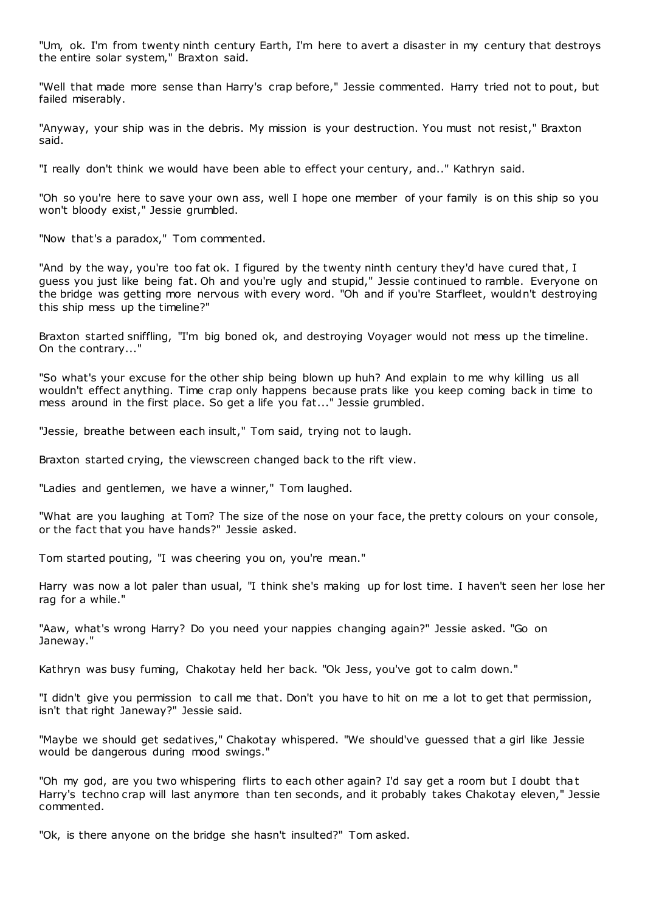"Um, ok. I'm from twenty ninth century Earth, I'm here to avert a disaster in my century that destroys the entire solar system," Braxton said.

"Well that made more sense than Harry's crap before," Jessie commented. Harry tried not to pout, but failed miserably.

"Anyway, your ship was in the debris. My mission is your destruction. You must not resist," Braxton said.

"I really don't think we would have been able to effect your century, and.." Kathryn said.

"Oh so you're here to save your own ass, well I hope one member of your family is on this ship so you won't bloody exist," Jessie grumbled.

"Now that's a paradox," Tom commented.

"And by the way, you're too fat ok. I figured by the twenty ninth century they'd have cured that, I guess you just like being fat. Oh and you're ugly and stupid," Jessie continued to ramble. Everyone on the bridge was getting more nervous with every word. "Oh and if you're Starfleet, wouldn't destroying this ship mess up the timeline?"

Braxton started sniffling, "I'm big boned ok, and destroying Voyager would not mess up the timeline. On the contrary..."

"So what's your excuse for the other ship being blown up huh? And explain to me why killing us all wouldn't effect anything. Time crap only happens because prats like you keep coming back in time to mess around in the first place. So get a life you fat..." Jessie grumbled.

"Jessie, breathe between each insult," Tom said, trying not to laugh.

Braxton started crying, the viewscreen changed back to the rift view.

"Ladies and gentlemen, we have a winner," Tom laughed.

"What are you laughing at Tom? The size of the nose on your face, the pretty colours on your console, or the fact that you have hands?" Jessie asked.

Tom started pouting, "I was cheering you on, you're mean."

Harry was now a lot paler than usual, "I think she's making up for lost time. I haven't seen her lose her rag for a while."

"Aaw, what's wrong Harry? Do you need your nappies changing again?" Jessie asked. "Go on Janeway."

Kathryn was busy fuming, Chakotay held her back. "Ok Jess, you've got to calm down."

"I didn't give you permission to call me that. Don't you have to hit on me a lot to get that permission, isn't that right Janeway?" Jessie said.

"Maybe we should get sedatives," Chakotay whispered. "We should've guessed that a girl like Jessie would be dangerous during mood swings."

"Oh my god, are you two whispering flirts to each other again? I'd say get a room but I doubt that Harry's techno crap will last anymore than ten seconds, and it probably takes Chakotay eleven," Jessie commented.

"Ok, is there anyone on the bridge she hasn't insulted?" Tom asked.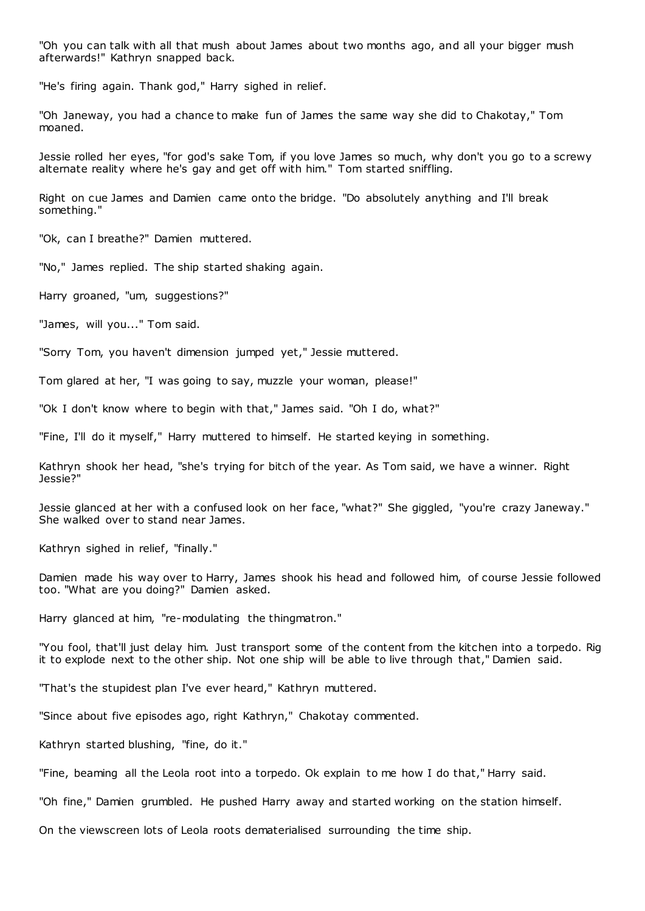"Oh you can talk with all that mush about James about two months ago, and all your bigger mush afterwards!" Kathryn snapped back.

"He's firing again. Thank god," Harry sighed in relief.

"Oh Janeway, you had a chance to make fun of James the same way she did to Chakotay," Tom moaned.

Jessie rolled her eyes, "for god's sake Tom, if you love James so much, why don't you go to a screwy alternate reality where he's gay and get off with him." Tom started sniffling.

Right on cue James and Damien came onto the bridge. "Do absolutely anything and I'll break something."

"Ok, can I breathe?" Damien muttered.

"No," James replied. The ship started shaking again.

Harry groaned, "um, suggestions?"

"James, will you..." Tom said.

"Sorry Tom, you haven't dimension jumped yet," Jessie muttered.

Tom glared at her, "I was going to say, muzzle your woman, please!"

"Ok I don't know where to begin with that," James said. "Oh I do, what?"

"Fine, I'll do it myself," Harry muttered to himself. He started keying in something.

Kathryn shook her head, "she's trying for bitch of the year. As Tom said, we have a winner. Right Jessie?"

Jessie glanced at her with a confused look on her face, "what?" She giggled, "you're crazy Janeway." She walked over to stand near James.

Kathryn sighed in relief, "finally."

Damien made his way over to Harry, James shook his head and followed him, of course Jessie followed too. "What are you doing?" Damien asked.

Harry glanced at him, "re-modulating the thingmatron."

"You fool, that'll just delay him. Just transport some of the content from the kitchen into a torpedo. Rig it to explode next to the other ship. Not one ship will be able to live through that," Damien said.

"That's the stupidest plan I've ever heard," Kathryn muttered.

"Since about five episodes ago, right Kathryn," Chakotay commented.

Kathryn started blushing, "fine, do it."

"Fine, beaming all the Leola root into a torpedo. Ok explain to me how I do that," Harry said.

"Oh fine," Damien grumbled. He pushed Harry away and started working on the station himself.

On the viewscreen lots of Leola roots dematerialised surrounding the time ship.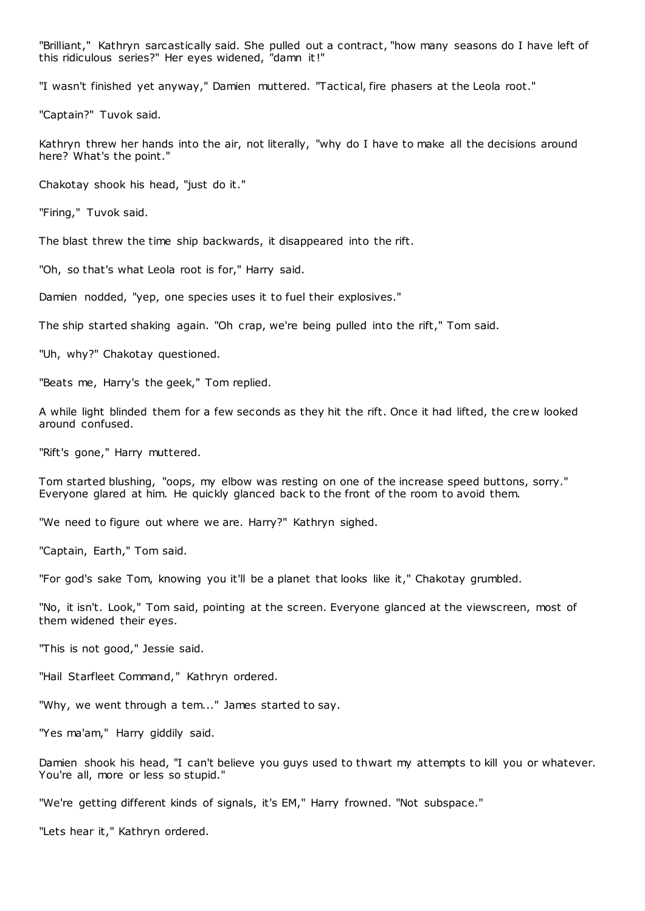"Brilliant," Kathryn sarcastically said. She pulled out a contract, "how many seasons do I have left of this ridiculous series?" Her eyes widened, "damn it!"

"I wasn't finished yet anyway," Damien muttered. "Tactical, fire phasers at the Leola root."

"Captain?" Tuvok said.

Kathryn threw her hands into the air, not literally, "why do I have to make all the decisions around here? What's the point."

Chakotay shook his head, "just do it."

"Firing," Tuvok said.

The blast threw the time ship backwards, it disappeared into the rift.

"Oh, so that's what Leola root is for," Harry said.

Damien nodded, "yep, one species uses it to fuel their explosives."

The ship started shaking again. "Oh crap, we're being pulled into the rift," Tom said.

"Uh, why?" Chakotay questioned.

"Beats me, Harry's the geek," Tom replied.

A while light blinded them for a few seconds as they hit the rift. Once it had lifted, the crew looked around confused.

"Rift's gone," Harry muttered.

Tom started blushing, "oops, my elbow was resting on one of the increase speed buttons, sorry." Everyone glared at him. He quickly glanced back to the front of the room to avoid them.

"We need to figure out where we are. Harry?" Kathryn sighed.

"Captain, Earth," Tom said.

"For god's sake Tom, knowing you it'll be a planet that looks like it," Chakotay grumbled.

"No, it isn't. Look," Tom said, pointing at the screen. Everyone glanced at the viewscreen, most of them widened their eyes.

"This is not good," Jessie said.

"Hail Starfleet Command," Kathryn ordered.

"Why, we went through a tem..." James started to say.

"Yes ma'am," Harry giddily said.

Damien shook his head, "I can't believe you guys used to thwart my attempts to kill you or whatever. You're all, more or less so stupid."

"We're getting different kinds of signals, it's EM," Harry frowned. "Not subspace."

"Lets hear it," Kathryn ordered.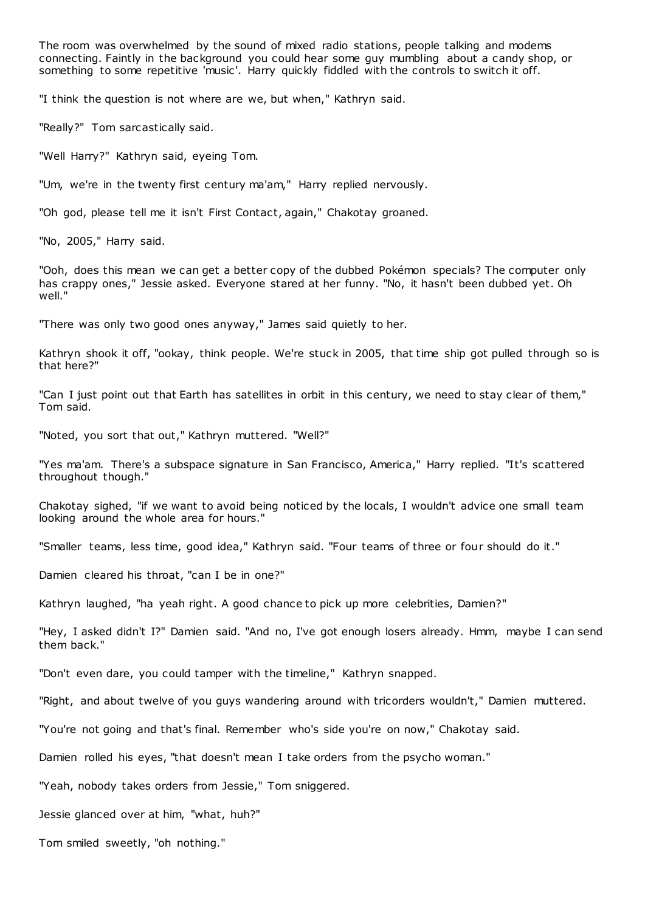The room was overwhelmed by the sound of mixed radio stations, people talking and modems connecting. Faintly in the background you could hear some guy mumbling about a candy shop, or something to some repetitive 'music'. Harry quickly fiddled with the controls to switch it off.

"I think the question is not where are we, but when," Kathryn said.

"Really?" Tom sarcastically said.

"Well Harry?" Kathryn said, eyeing Tom.

"Um, we're in the twenty first century ma'am," Harry replied nervously.

"Oh god, please tell me it isn't First Contact, again," Chakotay groaned.

"No, 2005," Harry said.

"Ooh, does this mean we can get a better copy of the dubbed Pokémon specials? The computer only has crappy ones," Jessie asked. Everyone stared at her funny. "No, it hasn't been dubbed yet. Oh well."

"There was only two good ones anyway," James said quietly to her.

Kathryn shook it off, "ookay, think people. We're stuck in 2005, that time ship got pulled through so is that here?"

"Can I just point out that Earth has satellites in orbit in this century, we need to stay clear of them," Tom said.

"Noted, you sort that out," Kathryn muttered. "Well?"

"Yes ma'am. There's a subspace signature in San Francisco, America," Harry replied. "It's scattered throughout though."

Chakotay sighed, "if we want to avoid being noticed by the locals, I wouldn't advice one small team looking around the whole area for hours."

"Smaller teams, less time, good idea," Kathryn said. "Four teams of three or four should do it."

Damien cleared his throat, "can I be in one?"

Kathryn laughed, "ha yeah right. A good chance to pick up more celebrities, Damien?"

"Hey, I asked didn't I?" Damien said. "And no, I've got enough losers already. Hmm, maybe I can send them back."

"Don't even dare, you could tamper with the timeline," Kathryn snapped.

"Right, and about twelve of you guys wandering around with tricorders wouldn't," Damien muttered.

"You're not going and that's final. Remember who's side you're on now," Chakotay said.

Damien rolled his eyes, "that doesn't mean I take orders from the psycho woman."

"Yeah, nobody takes orders from Jessie," Tom sniggered.

Jessie glanced over at him, "what, huh?"

Tom smiled sweetly, "oh nothing."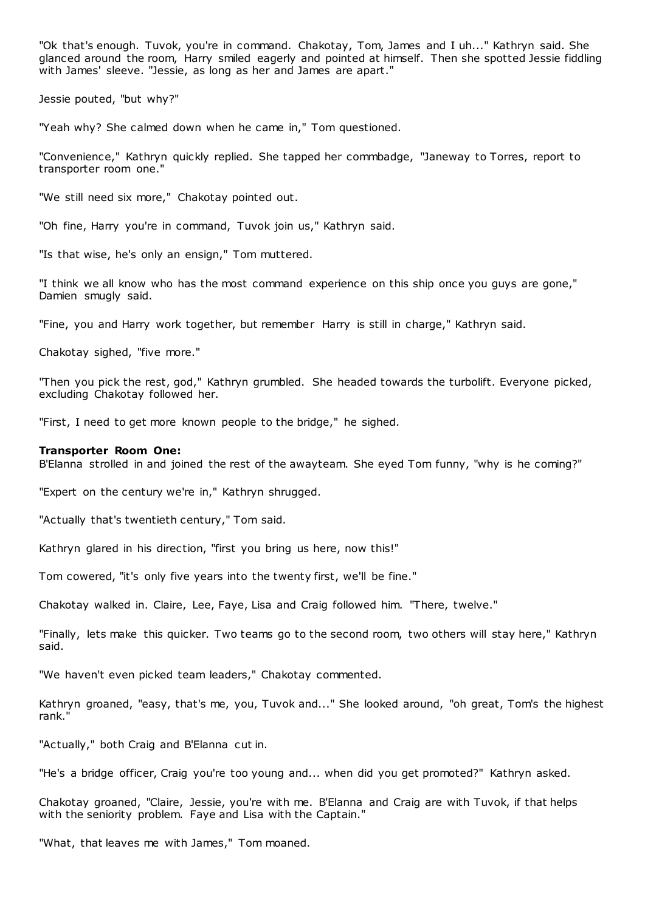"Ok that's enough. Tuvok, you're in command. Chakotay, Tom, James and I uh..." Kathryn said. She glanced around the room, Harry smiled eagerly and pointed at himself. Then she spotted Jessie fiddling with James' sleeve. "Jessie, as long as her and James are apart."

Jessie pouted, "but why?"

"Yeah why? She calmed down when he came in," Tom questioned.

"Convenience," Kathryn quickly replied. She tapped her commbadge, "Janeway to Torres, report to transporter room one."

"We still need six more," Chakotay pointed out.

"Oh fine, Harry you're in command, Tuvok join us," Kathryn said.

"Is that wise, he's only an ensign," Tom muttered.

"I think we all know who has the most command experience on this ship once you guys are gone," Damien smugly said.

"Fine, you and Harry work together, but remember Harry is still in charge," Kathryn said.

Chakotay sighed, "five more."

"Then you pick the rest, god," Kathryn grumbled. She headed towards the turbolift. Everyone picked, excluding Chakotay followed her.

"First, I need to get more known people to the bridge," he sighed.

#### **Transporter Room One:**

B'Elanna strolled in and joined the rest of the awayteam. She eyed Tom funny, "why is he coming?"

"Expert on the century we're in," Kathryn shrugged.

"Actually that's twentieth century," Tom said.

Kathryn glared in his direction, "first you bring us here, now this!"

Tom cowered, "it's only five years into the twenty first, we'll be fine."

Chakotay walked in. Claire, Lee, Faye, Lisa and Craig followed him. "There, twelve."

"Finally, lets make this quicker. Two teams go to the second room, two others will stay here," Kathryn said.

"We haven't even picked team leaders," Chakotay commented.

Kathryn groaned, "easy, that's me, you, Tuvok and..." She looked around, "oh great, Tom's the highest rank."

"Actually," both Craig and B'Elanna cut in.

"He's a bridge officer, Craig you're too young and... when did you get promoted?" Kathryn asked.

Chakotay groaned, "Claire, Jessie, you're with me. B'Elanna and Craig are with Tuvok, if that helps with the seniority problem. Faye and Lisa with the Captain."

"What, that leaves me with James," Tom moaned.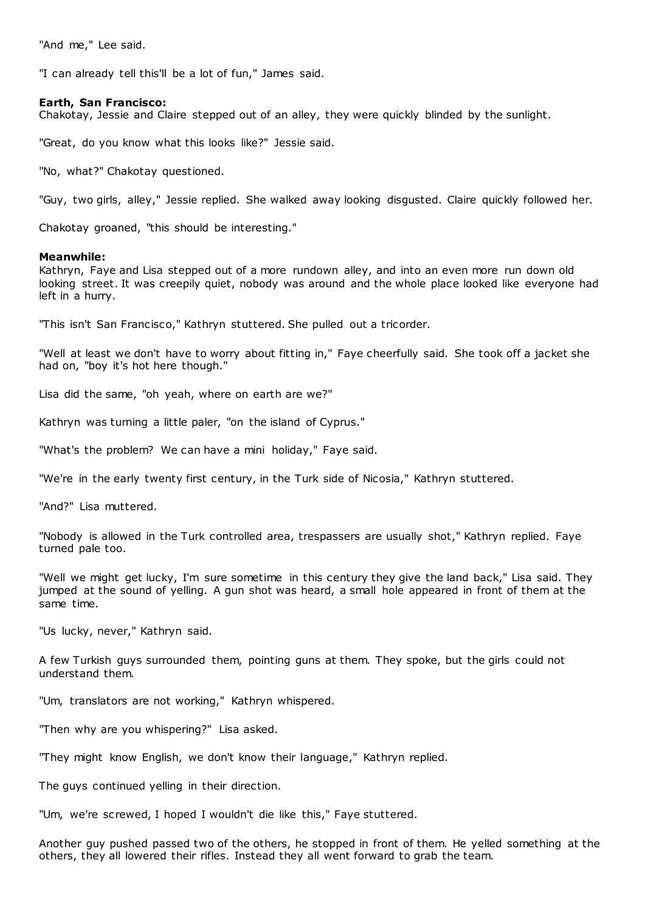"And me," Lee said.

"I can already tell this'll be a lot of fun," James said.

### **Earth, San Francisco:**

Chakotay, Jessie and Claire stepped out of an alley, they were quickly blinded by the sunlight.

"Great, do you know what this looks like?" Jessie said.

"No, what?" Chakotay questioned.

"Guy, two girls, alley," Jessie replied. She walked away looking disgusted. Claire quickly followed her.

Chakotay groaned, "this should be interesting."

## **Meanwhile:**

Kathryn, Faye and Lisa stepped out of a more rundown alley, and into an even more run down old looking street. It was creepily quiet, nobody was around and the whole place looked like everyone had left in a hurry.

"This isn't San Francisco," Kathryn stuttered. She pulled out a tricorder.

"Well at least we don't have to worry about fitting in," Faye cheerfully said. She took off a jacket she had on, "boy it's hot here though."

Lisa did the same, "oh yeah, where on earth are we?"

Kathryn was turning a little paler, "on the island of Cyprus."

"What's the problem? We can have a mini holiday," Faye said.

"We're in the early twenty first century, in the Turk side of Nicosia," Kathryn stuttered.

"And?" Lisa muttered.

"Nobody is allowed in the Turk controlled area, trespassers are usually shot," Kathryn replied. Faye turned pale too.

"Well we might get lucky, I'm sure sometime in this century they give the land back," Lisa said. They jumped at the sound of yelling. A gun shot was heard, a small hole appeared in front of them at the same time.

"Us lucky, never," Kathryn said.

A few Turkish guys surrounded them, pointing guns at them. They spoke, but the girls could not understand them.

"Um, translators are not working," Kathryn whispered.

"Then why are you whispering?" Lisa asked.

"They might know English, we don't know their language," Kathryn replied.

The guys continued yelling in their direction.

"Um, we're screwed, I hoped I wouldn't die like this," Faye stuttered.

Another guy pushed passed two of the others, he stopped in front of them. He yelled something at the others, they all lowered their rifles. Instead they all went forward to grab the team.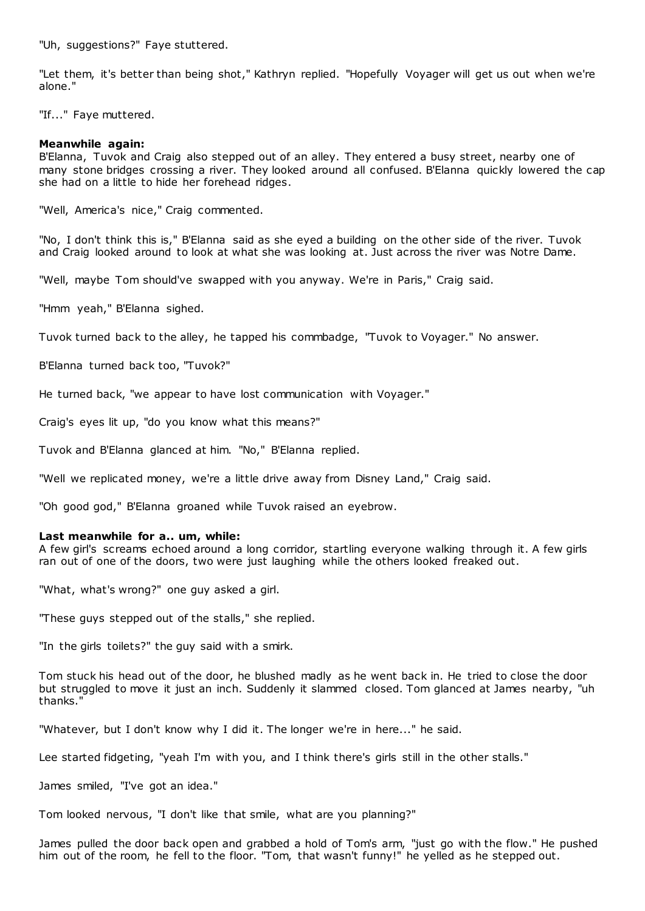"Uh, suggestions?" Faye stuttered.

"Let them, it's better than being shot," Kathryn replied. "Hopefully Voyager will get us out when we're alone."

"If..." Faye muttered.

### **Meanwhile again:**

B'Elanna, Tuvok and Craig also stepped out of an alley. They entered a busy street, nearby one of many stone bridges crossing a river. They looked around all confused. B'Elanna quickly lowered the cap she had on a little to hide her forehead ridges.

"Well, America's nice," Craig commented.

"No, I don't think this is," B'Elanna said as she eyed a building on the other side of the river. Tuvok and Craig looked around to look at what she was looking at. Just across the river was Notre Dame.

"Well, maybe Tom should've swapped with you anyway. We're in Paris," Craig said.

"Hmm yeah," B'Elanna sighed.

Tuvok turned back to the alley, he tapped his commbadge, "Tuvok to Voyager." No answer.

B'Elanna turned back too, "Tuvok?"

He turned back, "we appear to have lost communication with Voyager."

Craig's eyes lit up, "do you know what this means?"

Tuvok and B'Elanna glanced at him. "No," B'Elanna replied.

"Well we replicated money, we're a little drive away from Disney Land," Craig said.

"Oh good god," B'Elanna groaned while Tuvok raised an eyebrow.

#### **Last meanwhile for a.. um, while:**

A few girl's screams echoed around a long corridor, startling everyone walking through it. A few girls ran out of one of the doors, two were just laughing while the others looked freaked out.

"What, what's wrong?" one guy asked a girl.

"These guys stepped out of the stalls," she replied.

"In the girls toilets?" the guy said with a smirk.

Tom stuck his head out of the door, he blushed madly as he went back in. He tried to close the door but struggled to move it just an inch. Suddenly it slammed closed. Tom glanced at James nearby, "uh thanks."

"Whatever, but I don't know why I did it. The longer we're in here..." he said.

Lee started fidgeting, "yeah I'm with you, and I think there's girls still in the other stalls."

James smiled, "I've got an idea."

Tom looked nervous, "I don't like that smile, what are you planning?"

James pulled the door back open and grabbed a hold of Tom's arm, "just go with the flow." He pushed him out of the room, he fell to the floor. "Tom, that wasn't funny!" he yelled as he stepped out.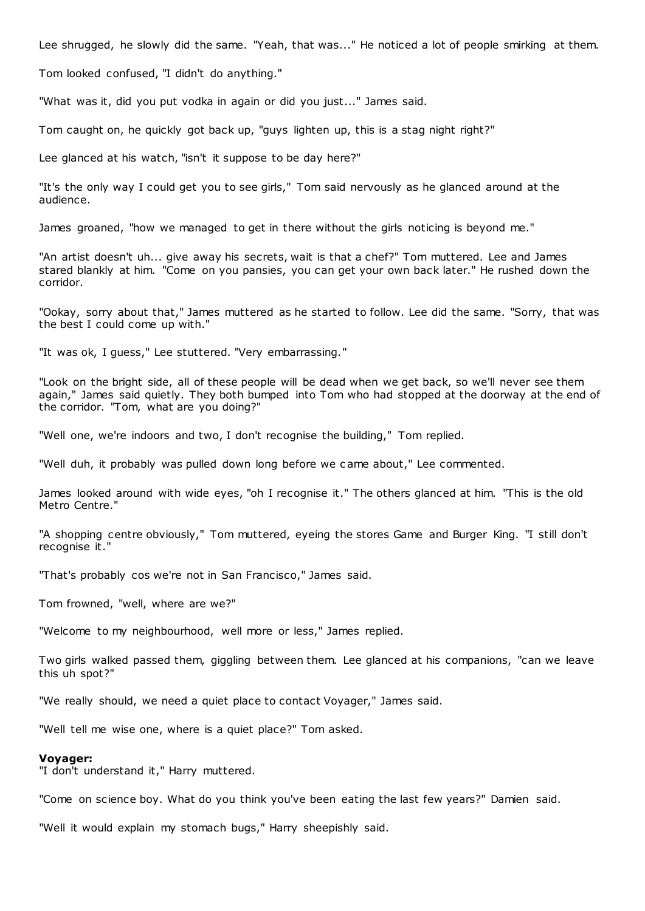Lee shrugged, he slowly did the same. "Yeah, that was..." He noticed a lot of people smirking at them.

Tom looked confused, "I didn't do anything."

"What was it, did you put vodka in again or did you just..." James said.

Tom caught on, he quickly got back up, "guys lighten up, this is a stag night right?"

Lee glanced at his watch, "isn't it suppose to be day here?"

"It's the only way I could get you to see girls," Tom said nervously as he glanced around at the audience.

James groaned, "how we managed to get in there without the girls noticing is beyond me."

"An artist doesn't uh... give away his secrets, wait is that a chef?" Tom muttered. Lee and James stared blankly at him. "Come on you pansies, you can get your own back later." He rushed down the corridor.

"Ookay, sorry about that," James muttered as he started to follow. Lee did the same. "Sorry, that was the best I could come up with."

"It was ok, I guess," Lee stuttered. "Very embarrassing."

"Look on the bright side, all of these people will be dead when we get back, so we'll never see them again," James said quietly. They both bumped into Tom who had stopped at the doorway at the end of the corridor. "Tom, what are you doing?"

"Well one, we're indoors and two, I don't recognise the building," Tom replied.

"Well duh, it probably was pulled down long before we c ame about," Lee commented.

James looked around with wide eyes, "oh I recognise it." The others glanced at him. "This is the old Metro Centre."

"A shopping centre obviously," Tom muttered, eyeing the stores Game and Burger King. "I still don't recognise it."

"That's probably cos we're not in San Francisco," James said.

Tom frowned, "well, where are we?"

"Welcome to my neighbourhood, well more or less," James replied.

Two girls walked passed them, giggling between them. Lee glanced at his companions, "can we leave this uh spot?"

"We really should, we need a quiet place to contact Voyager," James said.

"Well tell me wise one, where is a quiet place?" Tom asked.

#### **Voyager:**

"I don't understand it," Harry muttered.

"Come on science boy. What do you think you've been eating the last few years?" Damien said.

"Well it would explain my stomach bugs," Harry sheepishly said.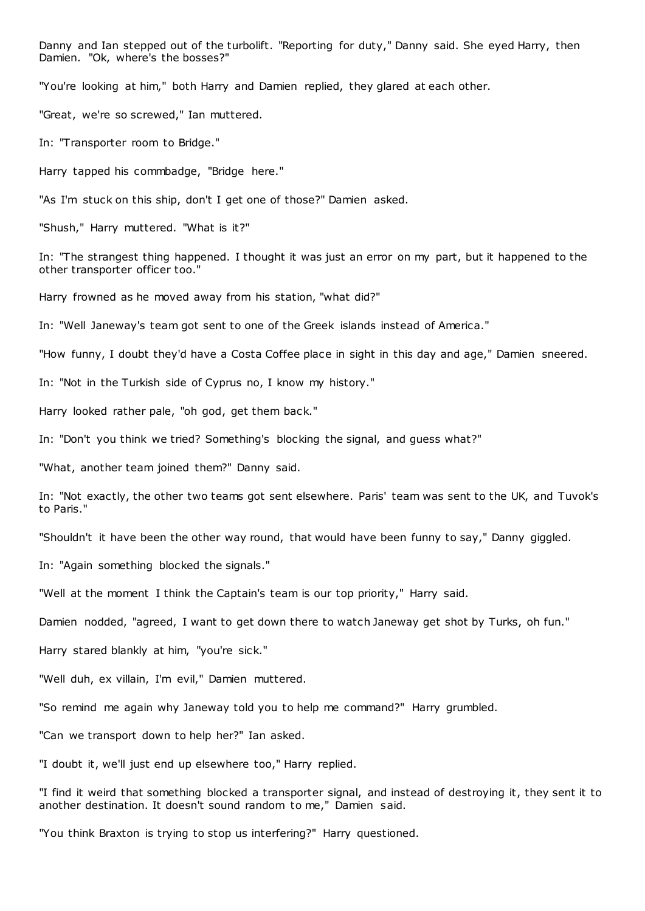Danny and Ian stepped out of the turbolift. "Reporting for duty," Danny said. She eyed Harry, then Damien. "Ok, where's the bosses?"

"You're looking at him," both Harry and Damien replied, they glared at each other.

"Great, we're so screwed," Ian muttered.

In: "Transporter room to Bridge."

Harry tapped his commbadge, "Bridge here."

"As I'm stuck on this ship, don't I get one of those?" Damien asked.

"Shush," Harry muttered. "What is it?"

In: "The strangest thing happened. I thought it was just an error on my part, but it happened to the other transporter officer too."

Harry frowned as he moved away from his station, "what did?"

In: "Well Janeway's team got sent to one of the Greek islands instead of America."

"How funny, I doubt they'd have a Costa Coffee place in sight in this day and age," Damien sneered.

In: "Not in the Turkish side of Cyprus no, I know my history."

Harry looked rather pale, "oh god, get them back."

In: "Don't you think we tried? Something's blocking the signal, and guess what?"

"What, another team joined them?" Danny said.

In: "Not exactly, the other two teams got sent elsewhere. Paris' team was sent to the UK, and Tuvok's to Paris."

"Shouldn't it have been the other way round, that would have been funny to say," Danny giggled.

In: "Again something blocked the signals."

"Well at the moment I think the Captain's team is our top priority," Harry said.

Damien nodded, "agreed, I want to get down there to watch Janeway get shot by Turks, oh fun."

Harry stared blankly at him, "you're sick."

"Well duh, ex villain, I'm evil," Damien muttered.

"So remind me again why Janeway told you to help me command?" Harry grumbled.

"Can we transport down to help her?" Ian asked.

"I doubt it, we'll just end up elsewhere too," Harry replied.

"I find it weird that something blocked a transporter signal, and instead of destroying it, they sent it to another destination. It doesn't sound random to me," Damien said.

"You think Braxton is trying to stop us interfering?" Harry questioned.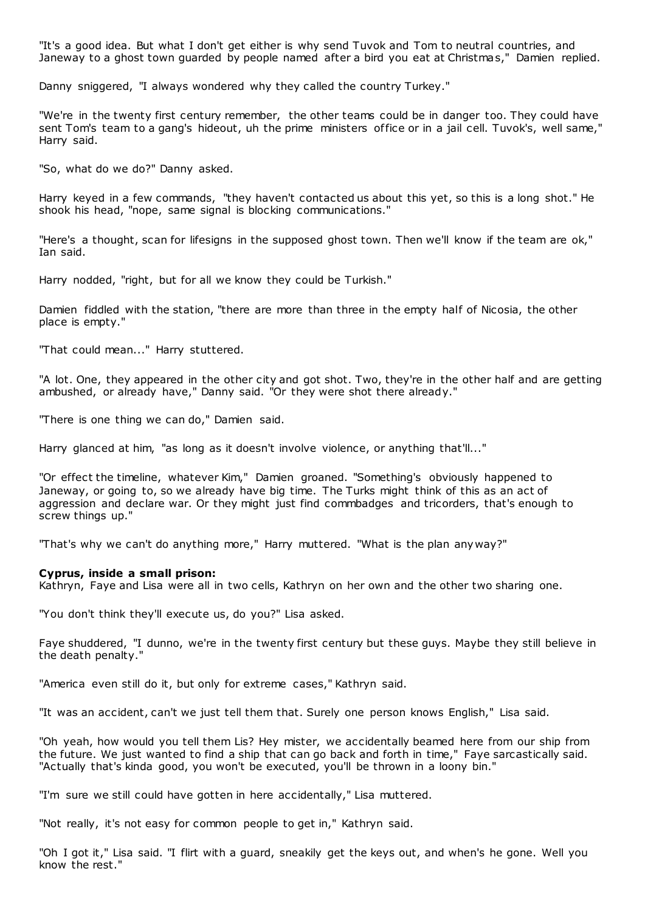"It's a good idea. But what I don't get either is why send Tuvok and Tom to neutral countries, and Janeway to a ghost town guarded by people named after a bird you eat at Christmas," Damien replied.

Danny sniggered, "I always wondered why they called the country Turkey."

"We're in the twenty first century remember, the other teams could be in danger too. They could have sent Tom's team to a gang's hideout, uh the prime ministers office or in a jail cell. Tuvok's, well same," Harry said.

"So, what do we do?" Danny asked.

Harry keyed in a few commands, "they haven't contacted us about this yet, so this is a long shot." He shook his head, "nope, same signal is blocking communications."

"Here's a thought, scan for lifesigns in the supposed ghost town. Then we'll know if the team are ok," Ian said.

Harry nodded, "right, but for all we know they could be Turkish."

Damien fiddled with the station, "there are more than three in the empty half of Nicosia, the other place is empty."

"That could mean..." Harry stuttered.

"A lot. One, they appeared in the other city and got shot. Two, they're in the other half and are getting ambushed, or already have," Danny said. "Or they were shot there already."

"There is one thing we can do," Damien said.

Harry glanced at him, "as long as it doesn't involve violence, or anything that'll..."

"Or effect the timeline, whatever Kim," Damien groaned. "Something's obviously happened to Janeway, or going to, so we already have big time. The Turks might think of this as an act of aggression and declare war. Or they might just find commbadges and tricorders, that's enough to screw things up."

"That's why we can't do anything more," Harry muttered. "What is the plan anyway?"

#### **Cyprus, inside a small prison:**

Kathryn, Faye and Lisa were all in two cells, Kathryn on her own and the other two sharing one.

"You don't think they'll execute us, do you?" Lisa asked.

Faye shuddered, "I dunno, we're in the twenty first century but these guys. Maybe they still believe in the death penalty."

"America even still do it, but only for extreme cases," Kathryn said.

"It was an accident, can't we just tell them that. Surely one person knows English," Lisa said.

"Oh yeah, how would you tell them Lis? Hey mister, we accidentally beamed here from our ship from the future. We just wanted to find a ship that can go back and forth in time," Faye sarcastically said. "Actually that's kinda good, you won't be executed, you'll be thrown in a loony bin."

"I'm sure we still could have gotten in here accidentally," Lisa muttered.

"Not really, it's not easy for common people to get in," Kathryn said.

"Oh I got it," Lisa said. "I flirt with a guard, sneakily get the keys out, and when's he gone. Well you know the rest."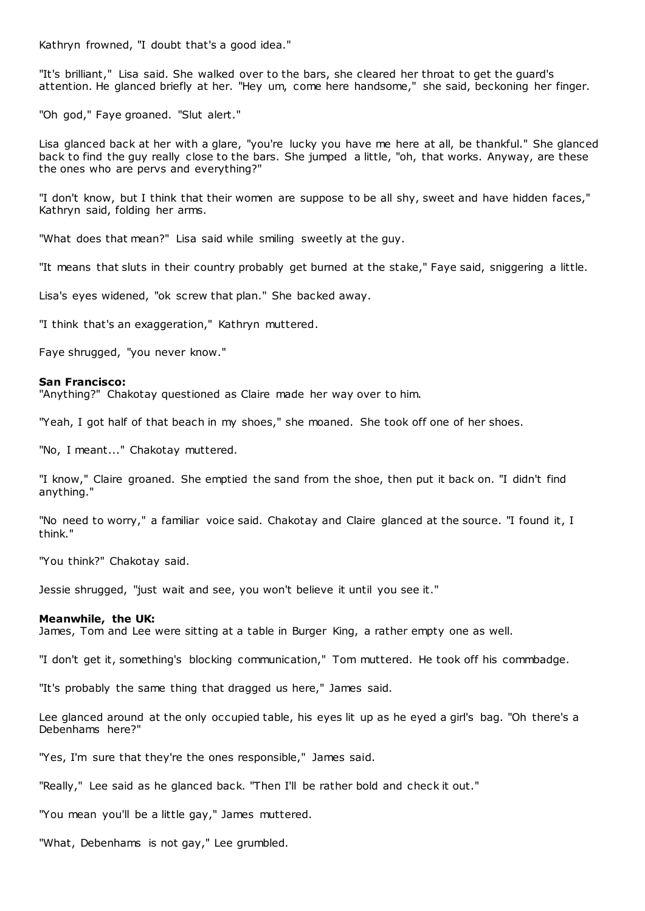Kathryn frowned, "I doubt that's a good idea."

"It's brilliant," Lisa said. She walked over to the bars, she cleared her throat to get the guard's attention. He glanced briefly at her. "Hey um, come here handsome," she said, beckoning her finger.

"Oh god," Faye groaned. "Slut alert."

Lisa glanced back at her with a glare, "you're lucky you have me here at all, be thankful." She glanced back to find the guy really close to the bars. She jumped a little, "oh, that works. Anyway, are these the ones who are pervs and everything?"

"I don't know, but I think that their women are suppose to be all shy, sweet and have hidden faces," Kathryn said, folding her arms.

"What does that mean?" Lisa said while smiling sweetly at the guy.

"It means that sluts in their country probably get burned at the stake," Faye said, sniggering a little.

Lisa's eyes widened, "ok screw that plan." She backed away.

"I think that's an exaggeration," Kathryn muttered.

Faye shrugged, "you never know."

#### **San Francisco:**

"Anything?" Chakotay questioned as Claire made her way over to him.

"Yeah, I got half of that beach in my shoes," she moaned. She took off one of her shoes.

"No, I meant..." Chakotay muttered.

"I know," Claire groaned. She emptied the sand from the shoe, then put it back on. "I didn't find anything."

"No need to worry," a familiar voice said. Chakotay and Claire glanced at the source. "I found it, I think."

"You think?" Chakotay said.

Jessie shrugged, "just wait and see, you won't believe it until you see it."

#### **Meanwhile, the UK:**

James, Tom and Lee were sitting at a table in Burger King, a rather empty one as well.

"I don't get it, something's blocking communication," Tom muttered. He took off his commbadge.

"It's probably the same thing that dragged us here," James said.

Lee glanced around at the only occupied table, his eyes lit up as he eyed a girl's bag. "Oh there's a Debenhams here?"

"Yes, I'm sure that they're the ones responsible," James said.

"Really," Lee said as he glanced back. "Then I'll be rather bold and check it out."

"You mean you'll be a little gay," James muttered.

"What, Debenhams is not gay," Lee grumbled.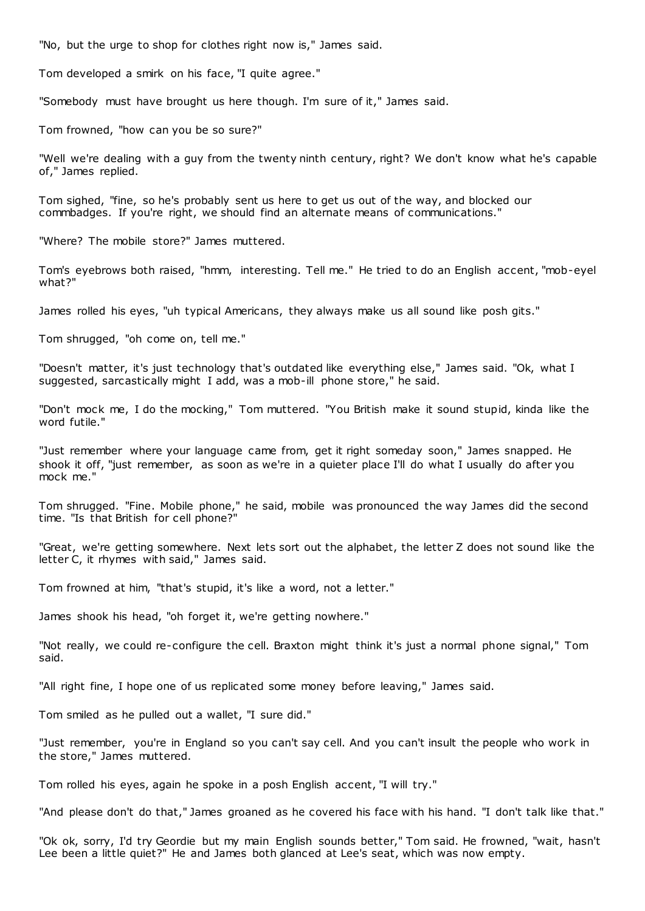"No, but the urge to shop for clothes right now is," James said.

Tom developed a smirk on his face, "I quite agree."

"Somebody must have brought us here though. I'm sure of it," James said.

Tom frowned, "how can you be so sure?"

"Well we're dealing with a guy from the twenty ninth century, right? We don't know what he's capable of," James replied.

Tom sighed, "fine, so he's probably sent us here to get us out of the way, and blocked our commbadges. If you're right, we should find an alternate means of communications."

"Where? The mobile store?" James muttered.

Tom's eyebrows both raised, "hmm, interesting. Tell me." He tried to do an English accent, "mob-eyel what?"

James rolled his eyes, "uh typical Americans, they always make us all sound like posh gits."

Tom shrugged, "oh come on, tell me."

"Doesn't matter, it's just technology that's outdated like everything else," James said. "Ok, what I suggested, sarcastically might I add, was a mob-ill phone store," he said.

"Don't mock me, I do the mocking," Tom muttered. "You British make it sound stupid, kinda like the word futile."

"Just remember where your language came from, get it right someday soon," James snapped. He shook it off, "just remember, as soon as we're in a quieter place I'll do what I usually do after you mock me."

Tom shrugged. "Fine. Mobile phone," he said, mobile was pronounced the way James did the second time. "Is that British for cell phone?"

"Great, we're getting somewhere. Next lets sort out the alphabet, the letter Z does not sound like the letter C, it rhymes with said," James said.

Tom frowned at him, "that's stupid, it's like a word, not a letter."

James shook his head, "oh forget it, we're getting nowhere."

"Not really, we could re-configure the cell. Braxton might think it's just a normal phone signal," Tom said.

"All right fine, I hope one of us replicated some money before leaving," James said.

Tom smiled as he pulled out a wallet, "I sure did."

"Just remember, you're in England so you can't say cell. And you can't insult the people who work in the store," James muttered.

Tom rolled his eyes, again he spoke in a posh English accent, "I will try."

"And please don't do that," James groaned as he covered his face with his hand. "I don't talk like that."

"Ok ok, sorry, I'd try Geordie but my main English sounds better," Tom said. He frowned, "wait, hasn't Lee been a little quiet?" He and James both glanced at Lee's seat, which was now empty.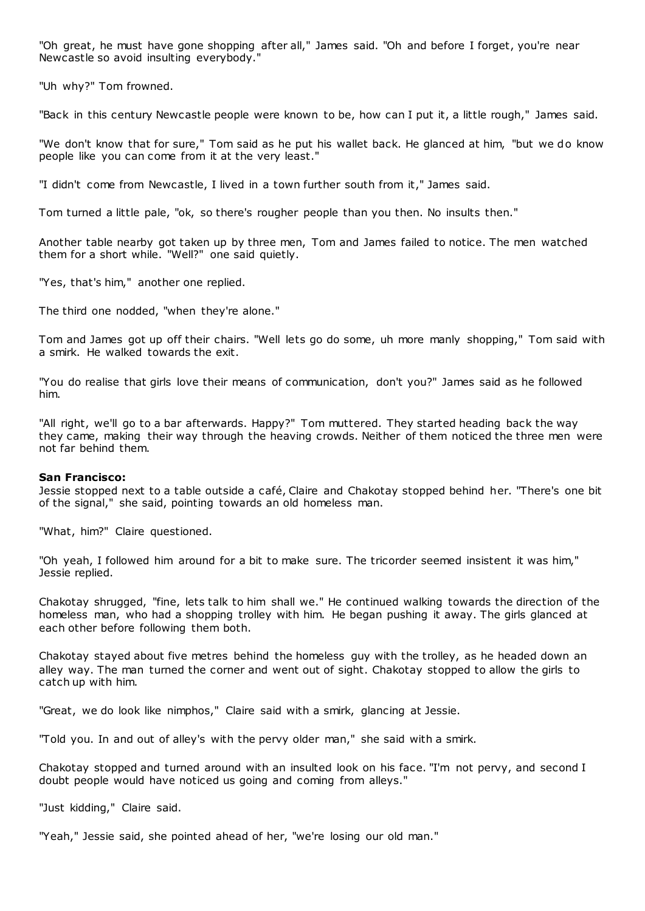"Oh great, he must have gone shopping after all," James said. "Oh and before I forget, you're near Newcastle so avoid insulting everybody."

"Uh why?" Tom frowned.

"Back in this century Newcastle people were known to be, how can I put it, a little rough," James said.

"We don't know that for sure," Tom said as he put his wallet back. He glanced at him, "but we do know people like you can come from it at the very least."

"I didn't come from Newcastle, I lived in a town further south from it," James said.

Tom turned a little pale, "ok, so there's rougher people than you then. No insults then."

Another table nearby got taken up by three men, Tom and James failed to notice. The men watched them for a short while. "Well?" one said quietly.

"Yes, that's him," another one replied.

The third one nodded, "when they're alone."

Tom and James got up off their chairs. "Well lets go do some, uh more manly shopping," Tom said with a smirk. He walked towards the exit.

"You do realise that girls love their means of communication, don't you?" James said as he followed him.

"All right, we'll go to a bar afterwards. Happy?" Tom muttered. They started heading back the way they came, making their way through the heaving crowds. Neither of them noticed the three men were not far behind them.

## **San Francisco:**

Jessie stopped next to a table outside a café, Claire and Chakotay stopped behind her. "There's one bit of the signal," she said, pointing towards an old homeless man.

"What, him?" Claire questioned.

"Oh yeah, I followed him around for a bit to make sure. The tricorder seemed insistent it was him," Jessie replied.

Chakotay shrugged, "fine, lets talk to him shall we." He continued walking towards the direction of the homeless man, who had a shopping trolley with him. He began pushing it away. The girls glanced at each other before following them both.

Chakotay stayed about five metres behind the homeless guy with the trolley, as he headed down an alley way. The man turned the corner and went out of sight. Chakotay stopped to allow the girls to catch up with him.

"Great, we do look like nimphos," Claire said with a smirk, glancing at Jessie.

"Told you. In and out of alley's with the pervy older man," she said with a smirk.

Chakotay stopped and turned around with an insulted look on his face. "I'm not pervy, and second I doubt people would have noticed us going and coming from alleys."

"Just kidding," Claire said.

"Yeah," Jessie said, she pointed ahead of her, "we're losing our old man."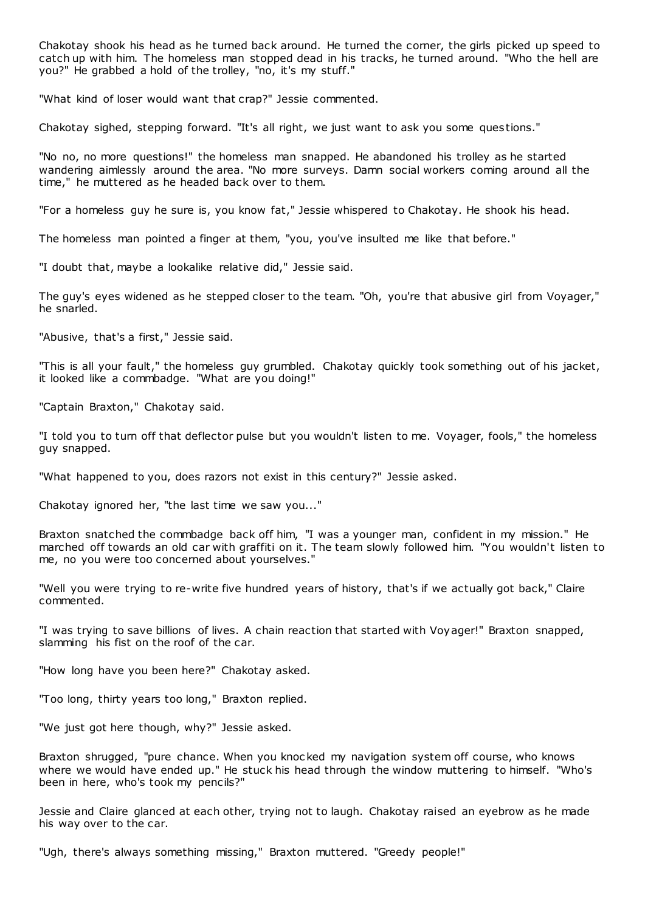Chakotay shook his head as he turned back around. He turned the corner, the girls picked up speed to catch up with him. The homeless man stopped dead in his tracks, he turned around. "Who the hell are you?" He grabbed a hold of the trolley, "no, it's my stuff."

"What kind of loser would want that crap?" Jessie commented.

Chakotay sighed, stepping forward. "It's all right, we just want to ask you some questions."

"No no, no more questions!" the homeless man snapped. He abandoned his trolley as he started wandering aimlessly around the area. "No more surveys. Damn social workers coming around all the time," he muttered as he headed back over to them.

"For a homeless guy he sure is, you know fat," Jessie whispered to Chakotay. He shook his head.

The homeless man pointed a finger at them, "you, you've insulted me like that before."

"I doubt that, maybe a lookalike relative did," Jessie said.

The guy's eyes widened as he stepped closer to the team. "Oh, you're that abusive girl from Voyager," he snarled.

"Abusive, that's a first," Jessie said.

"This is all your fault," the homeless guy grumbled. Chakotay quickly took something out of his jacket, it looked like a commbadge. "What are you doing!"

"Captain Braxton," Chakotay said.

"I told you to turn off that deflector pulse but you wouldn't listen to me. Voyager, fools," the homeless guy snapped.

"What happened to you, does razors not exist in this century?" Jessie asked.

Chakotay ignored her, "the last time we saw you..."

Braxton snatched the commbadge back off him, "I was a younger man, confident in my mission." He marched off towards an old car with graffiti on it. The team slowly followed him. "You wouldn't listen to me, no you were too concerned about yourselves."

"Well you were trying to re-write five hundred years of history, that's if we actually got back," Claire commented.

"I was trying to save billions of lives. A chain reaction that started with Voyager!" Braxton snapped, slamming his fist on the roof of the car.

"How long have you been here?" Chakotay asked.

"Too long, thirty years too long," Braxton replied.

"We just got here though, why?" Jessie asked.

Braxton shrugged, "pure chance. When you knoc ked my navigation system off course, who knows where we would have ended up." He stuck his head through the window muttering to himself. "Who's been in here, who's took my pencils?"

Jessie and Claire glanced at each other, trying not to laugh. Chakotay raised an eyebrow as he made his way over to the car.

"Ugh, there's always something missing," Braxton muttered. "Greedy people!"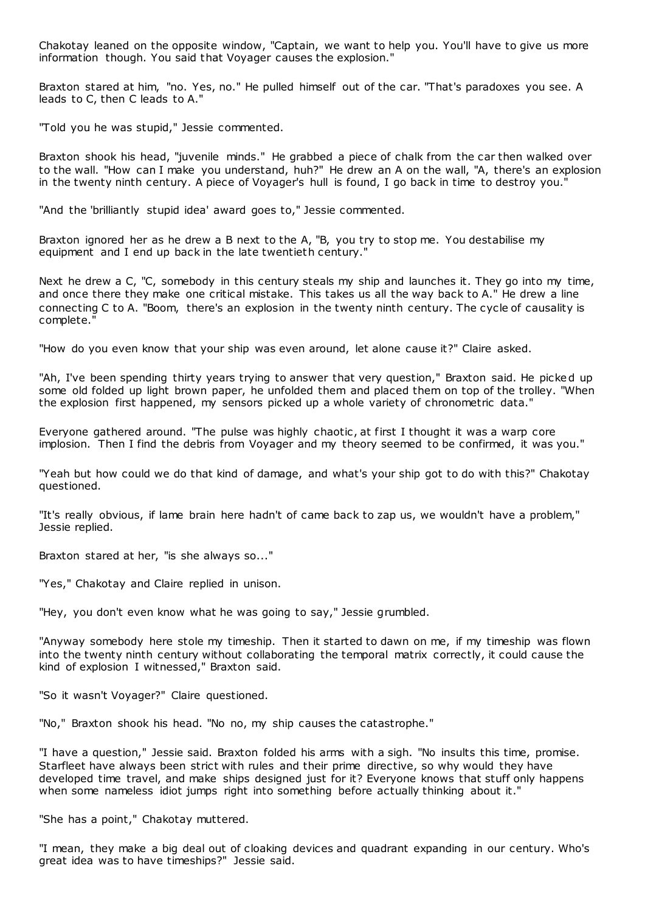Chakotay leaned on the opposite window, "Captain, we want to help you. You'll have to give us more information though. You said that Voyager causes the explosion."

Braxton stared at him, "no. Yes, no." He pulled himself out of the car. "That's paradoxes you see. A leads to C, then C leads to A."

"Told you he was stupid," Jessie commented.

Braxton shook his head, "juvenile minds." He grabbed a piece of chalk from the car then walked over to the wall. "How can I make you understand, huh?" He drew an A on the wall, "A, there's an explosion in the twenty ninth century. A piece of Voyager's hull is found, I go back in time to destroy you."

"And the 'brilliantly stupid idea' award goes to," Jessie commented.

Braxton ignored her as he drew a B next to the A, "B, you try to stop me. You destabilise my equipment and I end up back in the late twentieth century."

Next he drew a C, "C, somebody in this century steals my ship and launches it. They go into my time, and once there they make one critical mistake. This takes us all the way back to A." He drew a line connecting C to A. "Boom, there's an explosion in the twenty ninth century. The cycle of causality is complete."

"How do you even know that your ship was even around, let alone cause it?" Claire asked.

"Ah, I've been spending thirty years trying to answer that very question," Braxton said. He picked up some old folded up light brown paper, he unfolded them and placed them on top of the trolley. "When the explosion first happened, my sensors picked up a whole variety of chronometric data."

Everyone gathered around. "The pulse was highly chaotic , at first I thought it was a warp core implosion. Then I find the debris from Voyager and my theory seemed to be confirmed, it was you."

"Yeah but how could we do that kind of damage, and what's your ship got to do with this?" Chakotay questioned.

"It's really obvious, if lame brain here hadn't of came back to zap us, we wouldn't have a problem," Jessie replied.

Braxton stared at her, "is she always so..."

"Yes," Chakotay and Claire replied in unison.

"Hey, you don't even know what he was going to say," Jessie grumbled.

"Anyway somebody here stole my timeship. Then it started to dawn on me, if my timeship was flown into the twenty ninth century without collaborating the temporal matrix correctly, it could cause the kind of explosion I witnessed," Braxton said.

"So it wasn't Voyager?" Claire questioned.

"No," Braxton shook his head. "No no, my ship causes the catastrophe."

"I have a question," Jessie said. Braxton folded his arms with a sigh. "No insults this time, promise. Starfleet have always been strict with rules and their prime directive, so why would they have developed time travel, and make ships designed just for it? Everyone knows that stuff only happens when some nameless idiot jumps right into something before actually thinking about it."

"She has a point," Chakotay muttered.

"I mean, they make a big deal out of cloaking devices and quadrant expanding in our century. Who's great idea was to have timeships?" Jessie said.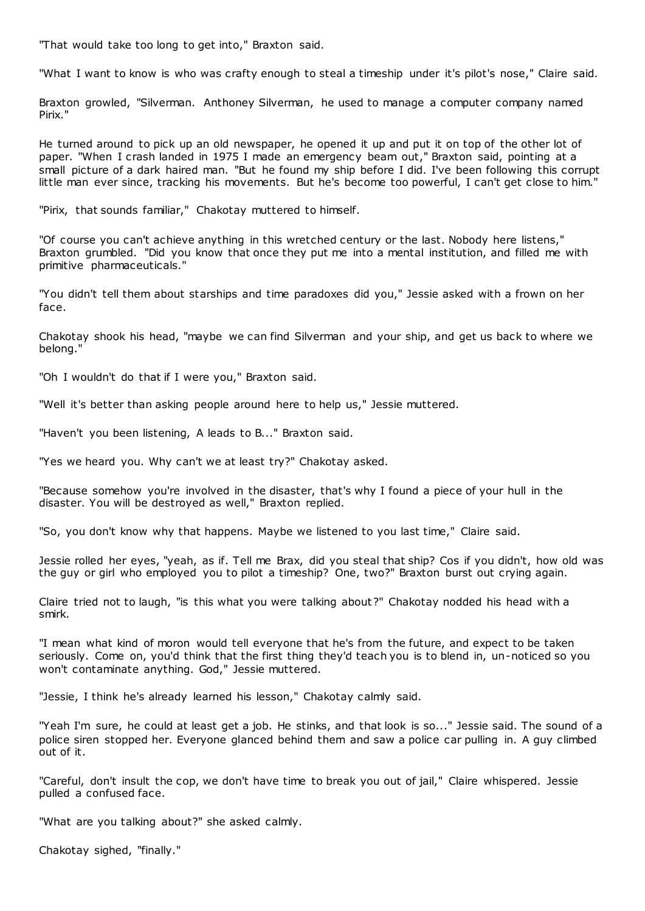"That would take too long to get into," Braxton said.

"What I want to know is who was crafty enough to steal a timeship under it's pilot's nose," Claire said.

Braxton growled, "Silverman. Anthoney Silverman, he used to manage a computer company named Pirix."

He turned around to pick up an old newspaper, he opened it up and put it on top of the other lot of paper. "When I crash landed in 1975 I made an emergency beam out," Braxton said, pointing at a small picture of a dark haired man. "But he found my ship before I did. I've been following this corrupt little man ever since, tracking his movements. But he's become too powerful, I can't get close to him."

"Pirix, that sounds familiar," Chakotay muttered to himself.

"Of course you can't achieve anything in this wretched century or the last. Nobody here listens," Braxton grumbled. "Did you know that once they put me into a mental institution, and filled me with primitive pharmaceuticals."

"You didn't tell them about starships and time paradoxes did you," Jessie asked with a frown on her face.

Chakotay shook his head, "maybe we can find Silverman and your ship, and get us back to where we belong."

"Oh I wouldn't do that if I were you," Braxton said.

"Well it's better than asking people around here to help us," Jessie muttered.

"Haven't you been listening, A leads to B..." Braxton said.

"Yes we heard you. Why can't we at least try?" Chakotay asked.

"Because somehow you're involved in the disaster, that's why I found a piece of your hull in the disaster. You will be destroyed as well," Braxton replied.

"So, you don't know why that happens. Maybe we listened to you last time," Claire said.

Jessie rolled her eyes, "yeah, as if. Tell me Brax, did you steal that ship? Cos if you didn't, how old was the guy or girl who employed you to pilot a timeship? One, two?" Braxton burst out crying again.

Claire tried not to laugh, "is this what you were talking about ?" Chakotay nodded his head with a smirk.

"I mean what kind of moron would tell everyone that he's from the future, and expect to be taken seriously. Come on, you'd think that the first thing they'd teach you is to blend in, un-noticed so you won't contaminate anything. God," Jessie muttered.

"Jessie, I think he's already learned his lesson," Chakotay calmly said.

"Yeah I'm sure, he could at least get a job. He stinks, and that look is so..." Jessie said. The sound of a police siren stopped her. Everyone glanced behind them and saw a police car pulling in. A guy climbed out of it.

"Careful, don't insult the cop, we don't have time to break you out of jail," Claire whispered. Jessie pulled a confused face.

"What are you talking about?" she asked calmly.

Chakotay sighed, "finally."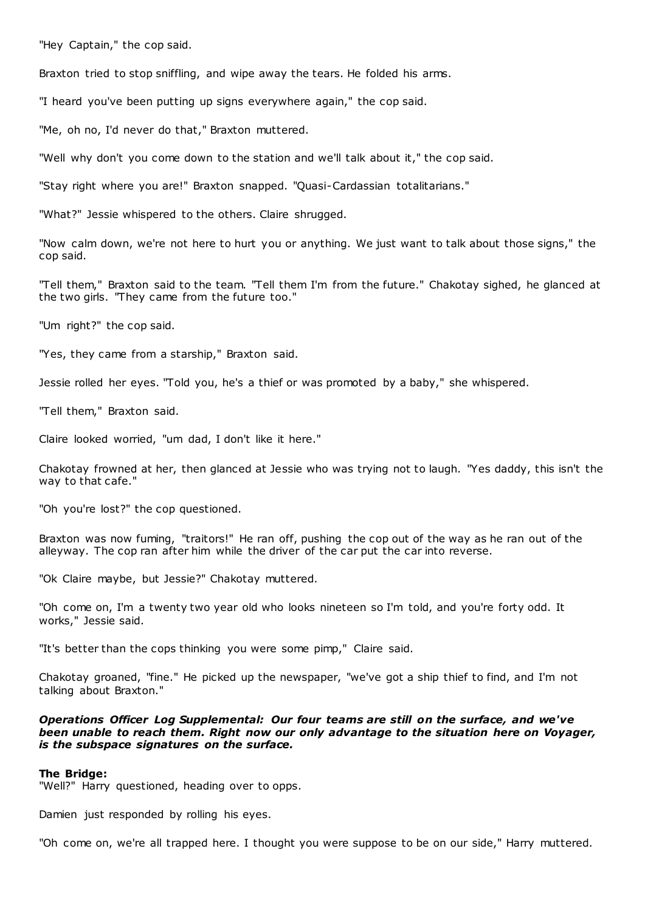"Hey Captain," the cop said.

Braxton tried to stop sniffling, and wipe away the tears. He folded his arms.

"I heard you've been putting up signs everywhere again," the cop said.

"Me, oh no, I'd never do that," Braxton muttered.

"Well why don't you come down to the station and we'll talk about it," the cop said.

"Stay right where you are!" Braxton snapped. "Quasi-Cardassian totalitarians."

"What?" Jessie whispered to the others. Claire shrugged.

"Now calm down, we're not here to hurt you or anything. We just want to talk about those signs," the cop said.

"Tell them," Braxton said to the team. "Tell them I'm from the future." Chakotay sighed, he glanced at the two girls. "They came from the future too."

"Um right?" the cop said.

"Yes, they came from a starship," Braxton said.

Jessie rolled her eyes. "Told you, he's a thief or was promoted by a baby," she whispered.

"Tell them," Braxton said.

Claire looked worried, "um dad, I don't like it here."

Chakotay frowned at her, then glanced at Jessie who was trying not to laugh. "Yes daddy, this isn't the way to that cafe."

"Oh you're lost?" the cop questioned.

Braxton was now fuming, "traitors!" He ran off, pushing the cop out of the way as he ran out of the alleyway. The cop ran after him while the driver of the car put the car into reverse.

"Ok Claire maybe, but Jessie?" Chakotay muttered.

"Oh come on, I'm a twenty two year old who looks nineteen so I'm told, and you're forty odd. It works," Jessie said.

"It's better than the cops thinking you were some pimp," Claire said.

Chakotay groaned, "fine." He picked up the newspaper, "we've got a ship thief to find, and I'm not talking about Braxton."

## *Operations Officer Log Supplemental: Our four teams are still on the surface, and we've been unable to reach them. Right now our only advantage to the situation here on Voyager, is the subspace signatures on the surface.*

#### **The Bridge:**

"Well?" Harry questioned, heading over to opps.

Damien just responded by rolling his eyes.

"Oh come on, we're all trapped here. I thought you were suppose to be on our side," Harry muttered.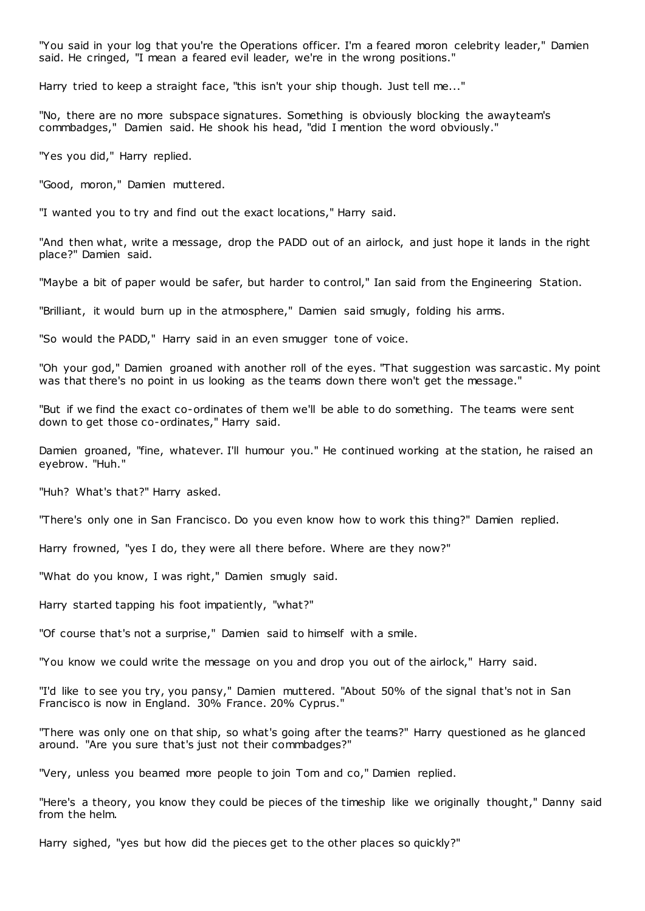"You said in your log that you're the Operations officer. I'm a feared moron celebrity leader," Damien said. He cringed, "I mean a feared evil leader, we're in the wrong positions."

Harry tried to keep a straight face, "this isn't your ship though. Just tell me..."

"No, there are no more subspace signatures. Something is obviously blocking the awayteam's commbadges," Damien said. He shook his head, "did I mention the word obviously."

"Yes you did," Harry replied.

"Good, moron," Damien muttered.

"I wanted you to try and find out the exact locations," Harry said.

"And then what, write a message, drop the PADD out of an airlock, and just hope it lands in the right place?" Damien said.

"Maybe a bit of paper would be safer, but harder to control," Ian said from the Engineering Station.

"Brilliant, it would burn up in the atmosphere," Damien said smugly, folding his arms.

"So would the PADD," Harry said in an even smugger tone of voice.

"Oh your god," Damien groaned with another roll of the eyes. "That suggestion was sarcastic . My point was that there's no point in us looking as the teams down there won't get the message."

"But if we find the exact co-ordinates of them we'll be able to do something. The teams were sent down to get those co-ordinates," Harry said.

Damien groaned, "fine, whatever. I'll humour you." He continued working at the station, he raised an eyebrow. "Huh."

"Huh? What's that?" Harry asked.

"There's only one in San Francisco. Do you even know how to work this thing?" Damien replied.

Harry frowned, "yes I do, they were all there before. Where are they now?"

"What do you know, I was right," Damien smugly said.

Harry started tapping his foot impatiently, "what?"

"Of course that's not a surprise," Damien said to himself with a smile.

"You know we could write the message on you and drop you out of the airlock," Harry said.

"I'd like to see you try, you pansy," Damien muttered. "About 50% of the signal that's not in San Francisco is now in England. 30% France. 20% Cyprus."

"There was only one on that ship, so what's going after the teams?" Harry questioned as he glanced around. "Are you sure that's just not their commbadges?"

"Very, unless you beamed more people to join Tom and co," Damien replied.

"Here's a theory, you know they could be pieces of the timeship like we originally thought," Danny said from the helm.

Harry sighed, "yes but how did the pieces get to the other places so quickly?"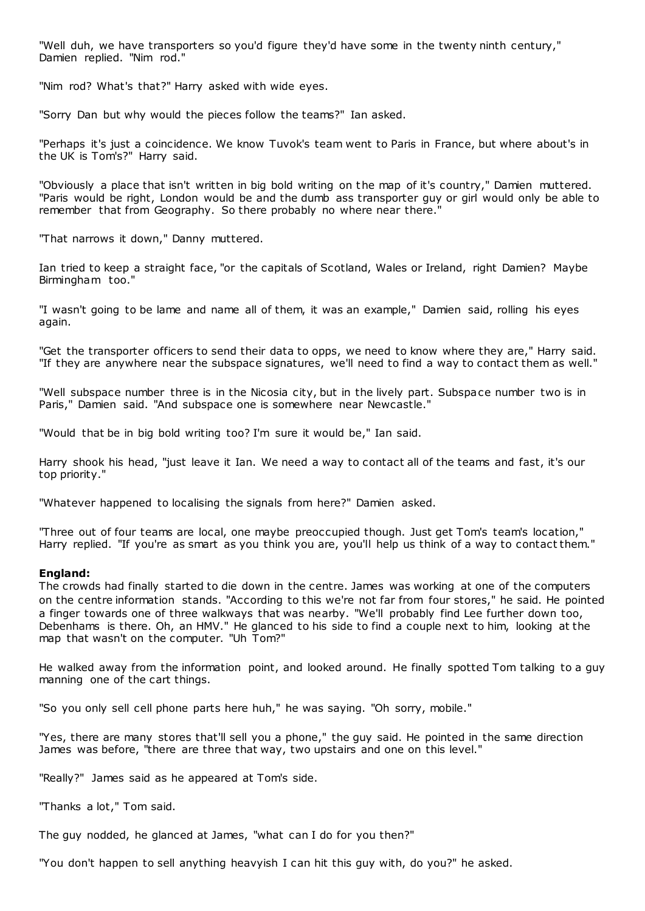"Well duh, we have transporters so you'd figure they'd have some in the twenty ninth century," Damien replied. "Nim rod."

"Nim rod? What's that?" Harry asked with wide eyes.

"Sorry Dan but why would the pieces follow the teams?" Ian asked.

"Perhaps it's just a coincidence. We know Tuvok's team went to Paris in France, but where about's in the UK is Tom's?" Harry said.

"Obviously a place that isn't written in big bold writing on the map of it's country," Damien muttered. "Paris would be right, London would be and the dumb ass transporter guy or girl would only be able to remember that from Geography. So there probably no where near there."

"That narrows it down," Danny muttered.

Ian tried to keep a straight face, "or the capitals of Scotland, Wales or Ireland, right Damien? Maybe Birmingham too."

"I wasn't going to be lame and name all of them, it was an example," Damien said, rolling his eyes again.

"Get the transporter officers to send their data to opps, we need to know where they are," Harry said. "If they are anywhere near the subspace signatures, we'll need to find a way to contact them as well."

"Well subspace number three is in the Nicosia city, but in the lively part. Subspace number two is in Paris," Damien said. "And subspace one is somewhere near Newcastle."

"Would that be in big bold writing too? I'm sure it would be," Ian said.

Harry shook his head, "just leave it Ian. We need a way to contact all of the teams and fast, it's our top priority."

"Whatever happened to localising the signals from here?" Damien asked.

"Three out of four teams are local, one maybe preoccupied though. Just get Tom's team's location," Harry replied. "If you're as smart as you think you are, you'll help us think of a way to contact them."

## **England:**

The crowds had finally started to die down in the centre. James was working at one of the computers on the centre information stands. "According to this we're not far from four stores," he said. He pointed a finger towards one of three walkways that was nearby. "We'll probably find Lee further down too, Debenhams is there. Oh, an HMV." He glanced to his side to find a couple next to him, looking at the map that wasn't on the computer. "Uh Tom?"

He walked away from the information point, and looked around. He finally spotted Tom talking to a guy manning one of the cart things.

"So you only sell cell phone parts here huh," he was saying. "Oh sorry, mobile."

"Yes, there are many stores that'll sell you a phone," the guy said. He pointed in the same direction James was before, "there are three that way, two upstairs and one on this level."

"Really?" James said as he appeared at Tom's side.

"Thanks a lot," Tom said.

The guy nodded, he glanced at James, "what can I do for you then?"

"You don't happen to sell anything heavyish I can hit this guy with, do you?" he asked.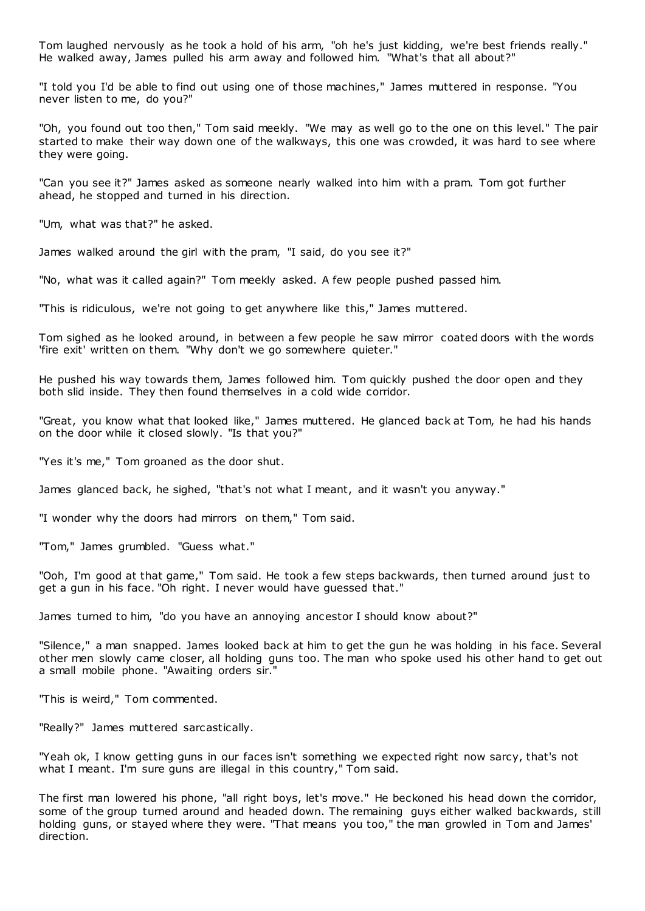Tom laughed nervously as he took a hold of his arm, "oh he's just kidding, we're best friends really." He walked away, James pulled his arm away and followed him. "What's that all about?"

"I told you I'd be able to find out using one of those machines," James muttered in response. "You never listen to me, do you?"

"Oh, you found out too then," Tom said meekly. "We may as well go to the one on this level." The pair started to make their way down one of the walkways, this one was crowded, it was hard to see where they were going.

"Can you see it?" James asked as someone nearly walked into him with a pram. Tom got further ahead, he stopped and turned in his direction.

"Um, what was that?" he asked.

James walked around the girl with the pram, "I said, do you see it?"

"No, what was it called again?" Tom meekly asked. A few people pushed passed him.

"This is ridiculous, we're not going to get anywhere like this," James muttered.

Tom sighed as he looked around, in between a few people he saw mirror coated doors with the words 'fire exit' written on them. "Why don't we go somewhere quieter."

He pushed his way towards them, James followed him. Tom quickly pushed the door open and they both slid inside. They then found themselves in a cold wide corridor.

"Great, you know what that looked like," James muttered. He glanced back at Tom, he had his hands on the door while it closed slowly. "Is that you?"

"Yes it's me," Tom groaned as the door shut.

James glanced back, he sighed, "that's not what I meant, and it wasn't you anyway."

"I wonder why the doors had mirrors on them," Tom said.

"Tom," James grumbled. "Guess what."

"Ooh, I'm good at that game," Tom said. He took a few steps backwards, then turned around just to get a gun in his face. "Oh right. I never would have guessed that."

James turned to him, "do you have an annoying ancestor I should know about?"

"Silence," a man snapped. James looked back at him to get the gun he was holding in his face. Several other men slowly came closer, all holding guns too. The man who spoke used his other hand to get out a small mobile phone. "Awaiting orders sir."

"This is weird," Tom commented.

"Really?" James muttered sarcastically.

"Yeah ok, I know getting guns in our faces isn't something we expected right now sarcy, that's not what I meant. I'm sure guns are illegal in this country," Tom said.

The first man lowered his phone, "all right boys, let's move." He beckoned his head down the corridor, some of the group turned around and headed down. The remaining guys either walked backwards, still holding guns, or stayed where they were. "That means you too," the man growled in Tom and James' direction.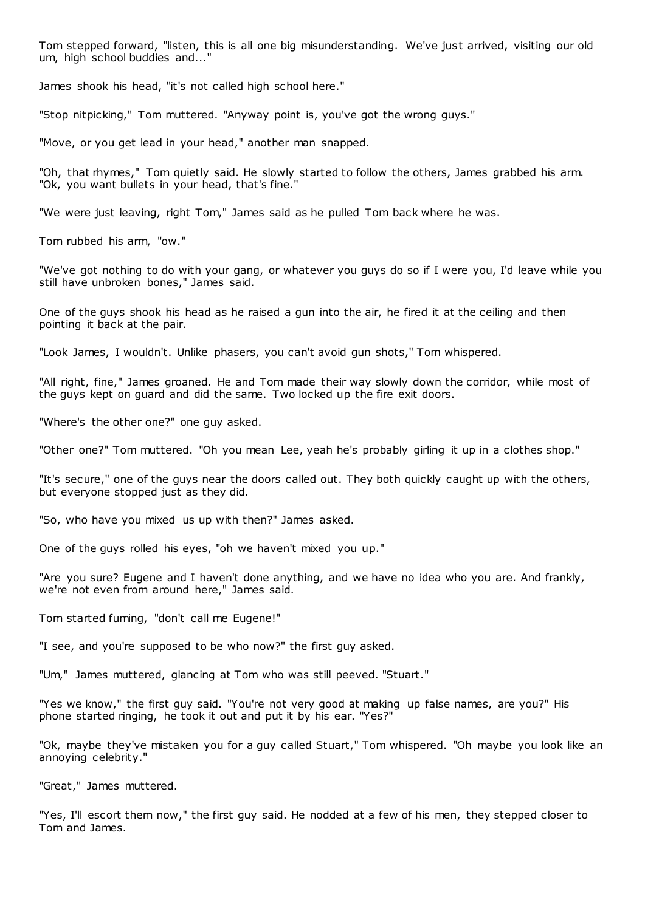Tom stepped forward, "listen, this is all one big misunderstanding. We've just arrived, visiting our old um, high school buddies and..."

James shook his head, "it's not called high school here."

"Stop nitpicking," Tom muttered. "Anyway point is, you've got the wrong guys."

"Move, or you get lead in your head," another man snapped.

"Oh, that rhymes," Tom quietly said. He slowly started to follow the others, James grabbed his arm. "Ok, you want bullets in your head, that's fine."

"We were just leaving, right Tom," James said as he pulled Tom back where he was.

Tom rubbed his arm, "ow."

"We've got nothing to do with your gang, or whatever you guys do so if I were you, I'd leave while you still have unbroken bones," James said.

One of the guys shook his head as he raised a gun into the air, he fired it at the ceiling and then pointing it back at the pair.

"Look James, I wouldn't. Unlike phasers, you can't avoid gun shots," Tom whispered.

"All right, fine," James groaned. He and Tom made their way slowly down the corridor, while most of the guys kept on guard and did the same. Two locked up the fire exit doors.

"Where's the other one?" one guy asked.

"Other one?" Tom muttered. "Oh you mean Lee, yeah he's probably girling it up in a clothes shop."

"It's secure," one of the guys near the doors called out. They both quickly caught up with the others, but everyone stopped just as they did.

"So, who have you mixed us up with then?" James asked.

One of the guys rolled his eyes, "oh we haven't mixed you up."

"Are you sure? Eugene and I haven't done anything, and we have no idea who you are. And frankly, we're not even from around here," James said.

Tom started fuming, "don't call me Eugene!"

"I see, and you're supposed to be who now?" the first guy asked.

"Um," James muttered, glancing at Tom who was still peeved. "Stuart."

"Yes we know," the first guy said. "You're not very good at making up false names, are you?" His phone started ringing, he took it out and put it by his ear. "Yes?"

"Ok, maybe they've mistaken you for a guy called Stuart," Tom whispered. "Oh maybe you look like an annoying celebrity."

"Great," James muttered.

"Yes, I'll escort them now," the first guy said. He nodded at a few of his men, they stepped closer to Tom and James.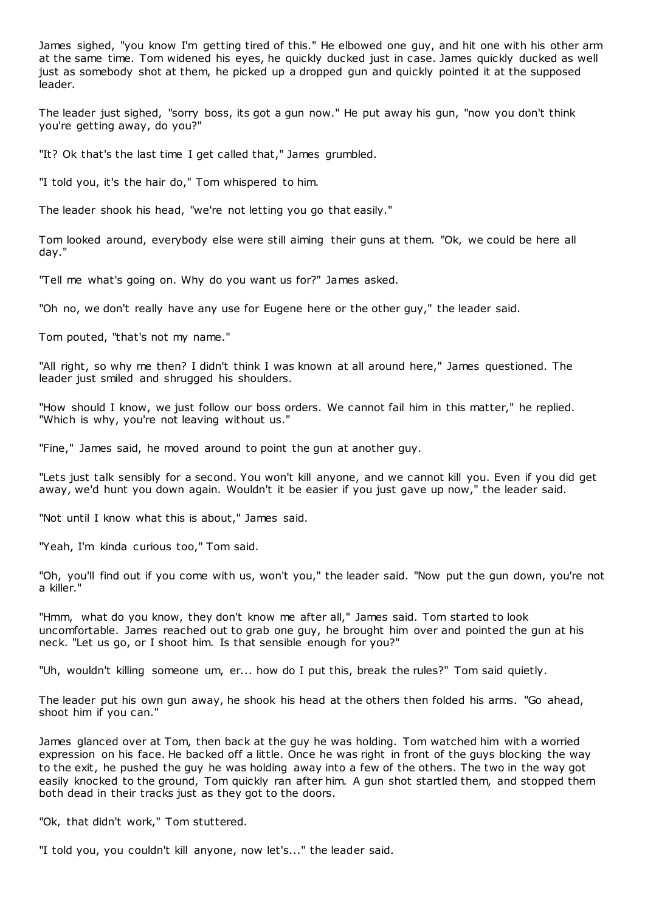James sighed, "you know I'm getting tired of this." He elbowed one guy, and hit one with his other arm at the same time. Tom widened his eyes, he quickly ducked just in case. James quickly ducked as well just as somebody shot at them, he picked up a dropped gun and quickly pointed it at the supposed leader.

The leader just sighed, "sorry boss, its got a gun now." He put away his gun, "now you don't think you're getting away, do you?"

"It? Ok that's the last time I get called that," James grumbled.

"I told you, it's the hair do," Tom whispered to him.

The leader shook his head, "we're not letting you go that easily."

Tom looked around, everybody else were still aiming their guns at them. "Ok, we could be here all day."

"Tell me what's going on. Why do you want us for?" James asked.

"Oh no, we don't really have any use for Eugene here or the other guy," the leader said.

Tom pouted, "that's not my name."

"All right, so why me then? I didn't think I was known at all around here," James questioned. The leader just smiled and shrugged his shoulders.

"How should I know, we just follow our boss orders. We cannot fail him in this matter," he replied. "Which is why, you're not leaving without us."

"Fine," James said, he moved around to point the gun at another guy.

"Lets just talk sensibly for a second. You won't kill anyone, and we cannot kill you. Even if you did get away, we'd hunt you down again. Wouldn't it be easier if you just gave up now," the leader said.

"Not until I know what this is about," James said.

"Yeah, I'm kinda curious too," Tom said.

"Oh, you'll find out if you come with us, won't you," the leader said. "Now put the gun down, you're not a killer."

"Hmm, what do you know, they don't know me after all," James said. Tom started to look uncomfortable. James reached out to grab one guy, he brought him over and pointed the gun at his neck. "Let us go, or I shoot him. Is that sensible enough for you?"

"Uh, wouldn't killing someone um, er... how do I put this, break the rules?" Tom said quietly.

The leader put his own gun away, he shook his head at the others then folded his arms. "Go ahead, shoot him if you can."

James glanced over at Tom, then back at the guy he was holding. Tom watched him with a worried expression on his face. He backed off a little. Once he was right in front of the guys blocking the way to the exit, he pushed the guy he was holding away into a few of the others. The two in the way got easily knocked to the ground, Tom quickly ran after him. A gun shot startled them, and stopped them both dead in their tracks just as they got to the doors.

"Ok, that didn't work," Tom stuttered.

"I told you, you couldn't kill anyone, now let's..." the leader said.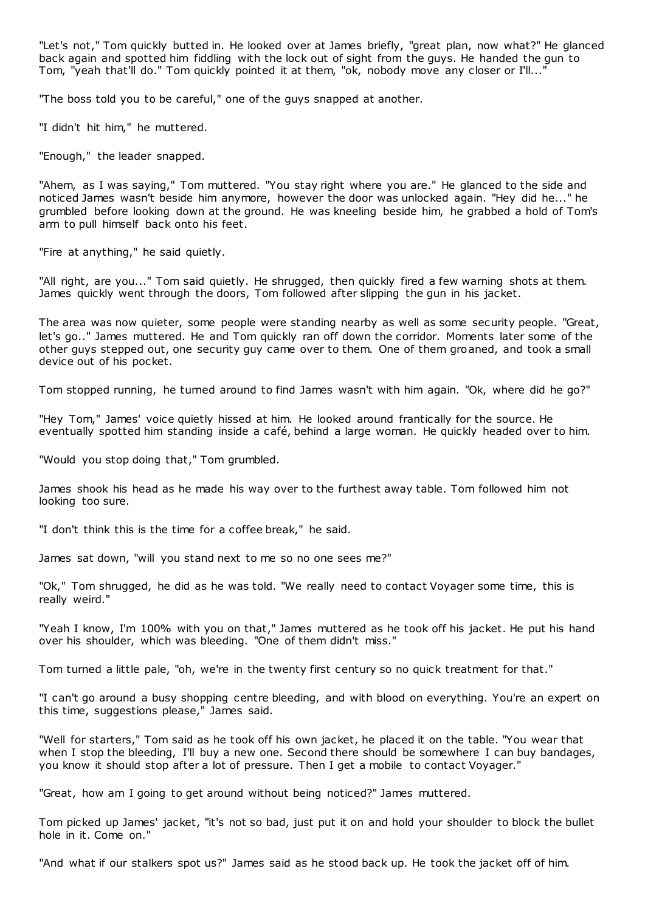"Let's not," Tom quickly butted in. He looked over at James briefly, "great plan, now what?" He glanced back again and spotted him fiddling with the lock out of sight from the guys. He handed the gun to Tom, "yeah that'll do." Tom quickly pointed it at them, "ok, nobody move any closer or I'll..."

"The boss told you to be careful," one of the guys snapped at another.

"I didn't hit him," he muttered.

"Enough," the leader snapped.

"Ahem, as I was saying," Tom muttered. "You stay right where you are." He glanced to the side and noticed James wasn't beside him anymore, however the door was unlocked again. "Hey did he..." he grumbled before looking down at the ground. He was kneeling beside him, he grabbed a hold of Tom's arm to pull himself back onto his feet.

"Fire at anything," he said quietly.

"All right, are you..." Tom said quietly. He shrugged, then quickly fired a few warning shots at them. James quickly went through the doors, Tom followed after slipping the gun in his jacket.

The area was now quieter, some people were standing nearby as well as some security people. "Great, let's go.." James muttered. He and Tom quickly ran off down the corridor. Moments later some of the other guys stepped out, one security guy came over to them. One of them groaned, and took a small device out of his pocket.

Tom stopped running, he turned around to find James wasn't with him again. "Ok, where did he go?"

"Hey Tom," James' voice quietly hissed at him. He looked around frantically for the source. He eventually spotted him standing inside a café, behind a large woman. He quickly headed over to him.

"Would you stop doing that," Tom grumbled.

James shook his head as he made his way over to the furthest away table. Tom followed him not looking too sure.

"I don't think this is the time for a coffee break," he said.

James sat down, "will you stand next to me so no one sees me?"

"Ok," Tom shrugged, he did as he was told. "We really need to contact Voyager some time, this is really weird."

"Yeah I know, I'm 100% with you on that," James muttered as he took off his jacket. He put his hand over his shoulder, which was bleeding. "One of them didn't miss."

Tom turned a little pale, "oh, we're in the twenty first century so no quick treatment for that."

"I can't go around a busy shopping centre bleeding, and with blood on everything. You're an expert on this time, suggestions please," James said.

"Well for starters," Tom said as he took off his own jacket, he placed it on the table. "You wear that when I stop the bleeding. I'll buy a new one. Second there should be somewhere I can buy bandages, you know it should stop after a lot of pressure. Then I get a mobile to contact Voyager."

"Great, how am I going to get around without being noticed?" James muttered.

Tom picked up James' jacket, "it's not so bad, just put it on and hold your shoulder to block the bullet hole in it. Come on."

"And what if our stalkers spot us?" James said as he stood back up. He took the jacket off of him.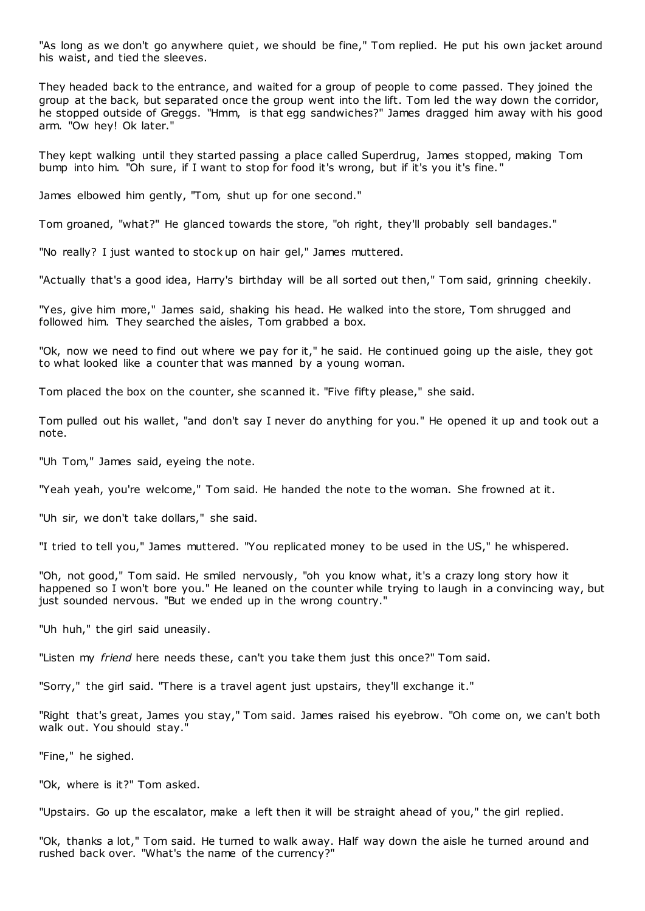"As long as we don't go anywhere quiet, we should be fine," Tom replied. He put his own jacket around his waist, and tied the sleeves.

They headed back to the entrance, and waited for a group of people to come passed. They joined the group at the back, but separated once the group went into the lift. Tom led the way down the corridor, he stopped outside of Greggs. "Hmm, is that egg sandwiches?" James dragged him away with his good arm. "Ow hey! Ok later."

They kept walking until they started passing a place called Superdrug, James stopped, making Tom bump into him. "Oh sure, if I want to stop for food it's wrong, but if it's you it's fine. "

James elbowed him gently, "Tom, shut up for one second."

Tom groaned, "what?" He glanced towards the store, "oh right, they'll probably sell bandages."

"No really? I just wanted to stock up on hair gel," James muttered.

"Actually that's a good idea, Harry's birthday will be all sorted out then," Tom said, grinning cheekily.

"Yes, give him more," James said, shaking his head. He walked into the store, Tom shrugged and followed him. They searched the aisles, Tom grabbed a box.

"Ok, now we need to find out where we pay for it," he said. He continued going up the aisle, they got to what looked like a counter that was manned by a young woman.

Tom placed the box on the counter, she scanned it. "Five fifty please," she said.

Tom pulled out his wallet, "and don't say I never do anything for you." He opened it up and took out a note.

"Uh Tom," James said, eyeing the note.

"Yeah yeah, you're welcome," Tom said. He handed the note to the woman. She frowned at it.

"Uh sir, we don't take dollars," she said.

"I tried to tell you," James muttered. "You replicated money to be used in the US," he whispered.

"Oh, not good," Tom said. He smiled nervously, "oh you know what, it's a crazy long story how it happened so I won't bore you." He leaned on the counter while trying to laugh in a convincing way, but just sounded nervous. "But we ended up in the wrong country."

"Uh huh," the girl said uneasily.

"Listen my *friend* here needs these, can't you take them just this once?" Tom said.

"Sorry," the girl said. "There is a travel agent just upstairs, they'll exchange it."

"Right that's great, James you stay," Tom said. James raised his eyebrow. "Oh come on, we can't both walk out. You should stay."

"Fine," he sighed.

"Ok, where is it?" Tom asked.

"Upstairs. Go up the escalator, make a left then it will be straight ahead of you," the girl replied.

"Ok, thanks a lot," Tom said. He turned to walk away. Half way down the aisle he turned around and rushed back over. "What's the name of the currency?"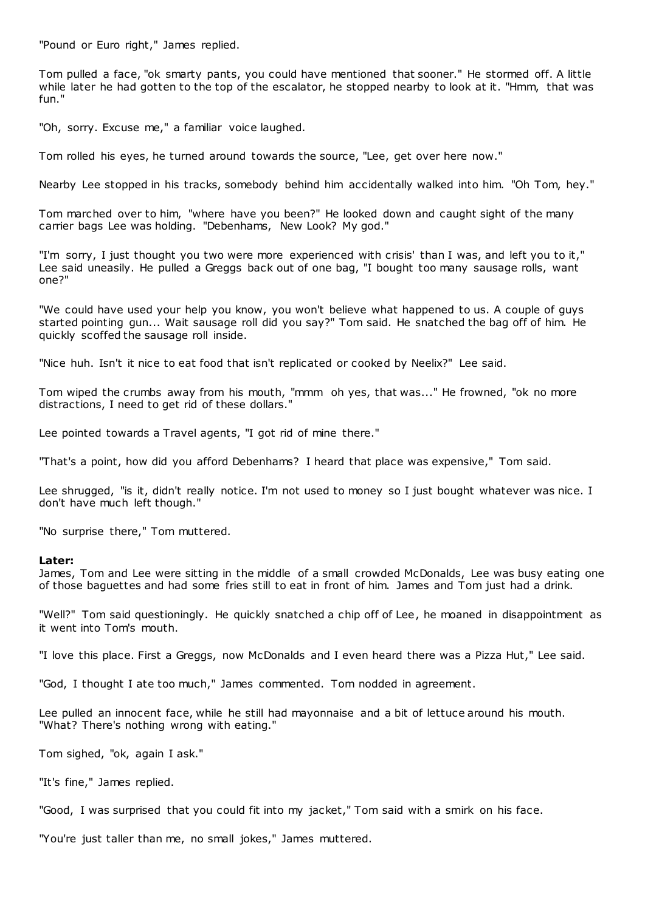"Pound or Euro right," James replied.

Tom pulled a face, "ok smarty pants, you could have mentioned that sooner." He stormed off. A little while later he had gotten to the top of the escalator, he stopped nearby to look at it. "Hmm, that was fun."

"Oh, sorry. Excuse me," a familiar voice laughed.

Tom rolled his eyes, he turned around towards the source, "Lee, get over here now."

Nearby Lee stopped in his tracks, somebody behind him accidentally walked into him. "Oh Tom, hey."

Tom marched over to him, "where have you been?" He looked down and caught sight of the many carrier bags Lee was holding. "Debenhams, New Look? My god."

"I'm sorry, I just thought you two were more experienced with crisis' than I was, and left you to it," Lee said uneasily. He pulled a Greggs back out of one bag, "I bought too many sausage rolls, want one?"

"We could have used your help you know, you won't believe what happened to us. A couple of guys started pointing gun... Wait sausage roll did you say?" Tom said. He snatched the bag off of him. He quickly scoffed the sausage roll inside.

"Nice huh. Isn't it nice to eat food that isn't replicated or cooked by Neelix?" Lee said.

Tom wiped the crumbs away from his mouth, "mmm oh yes, that was..." He frowned, "ok no more distractions, I need to get rid of these dollars."

Lee pointed towards a Travel agents, "I got rid of mine there."

"That's a point, how did you afford Debenhams? I heard that place was expensive," Tom said.

Lee shrugged, "is it, didn't really notice. I'm not used to money so I just bought whatever was nice. I don't have much left though."

"No surprise there," Tom muttered.

#### **Later:**

James, Tom and Lee were sitting in the middle of a small crowded McDonalds, Lee was busy eating one of those baguettes and had some fries still to eat in front of him. James and Tom just had a drink.

"Well?" Tom said questioningly. He quickly snatched a chip off of Lee, he moaned in disappointment as it went into Tom's mouth.

"I love this place. First a Greggs, now McDonalds and I even heard there was a Pizza Hut," Lee said.

"God, I thought I ate too much," James commented. Tom nodded in agreement.

Lee pulled an innocent face, while he still had mayonnaise and a bit of lettuce around his mouth. "What? There's nothing wrong with eating."

Tom sighed, "ok, again I ask."

"It's fine," James replied.

"Good, I was surprised that you could fit into my jacket," Tom said with a smirk on his face.

"You're just taller than me, no small jokes," James muttered.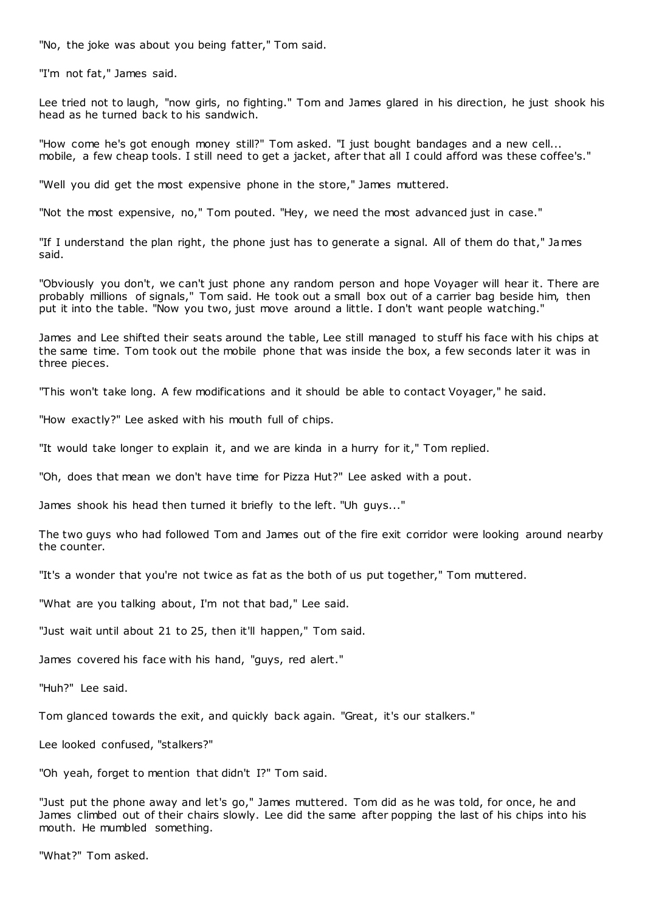"No, the joke was about you being fatter," Tom said.

"I'm not fat," James said.

Lee tried not to laugh, "now girls, no fighting." Tom and James glared in his direction, he just shook his head as he turned back to his sandwich.

"How come he's got enough money still?" Tom asked. "I just bought bandages and a new cell... mobile, a few cheap tools. I still need to get a jacket, after that all I could afford was these coffee's."

"Well you did get the most expensive phone in the store," James muttered.

"Not the most expensive, no," Tom pouted. "Hey, we need the most advanced just in case."

"If I understand the plan right, the phone just has to generate a signal. All of them do that," James said.

"Obviously you don't, we can't just phone any random person and hope Voyager will hear it. There are probably millions of signals," Tom said. He took out a small box out of a carrier bag beside him, then put it into the table. "Now you two, just move around a little. I don't want people watching."

James and Lee shifted their seats around the table, Lee still managed to stuff his face with his chips at the same time. Tom took out the mobile phone that was inside the box, a few seconds later it was in three pieces.

"This won't take long. A few modifications and it should be able to contact Voyager," he said.

"How exactly?" Lee asked with his mouth full of chips.

"It would take longer to explain it, and we are kinda in a hurry for it," Tom replied.

"Oh, does that mean we don't have time for Pizza Hut?" Lee asked with a pout.

James shook his head then turned it briefly to the left. "Uh guys..."

The two guys who had followed Tom and James out of the fire exit corridor were looking around nearby the counter.

"It's a wonder that you're not twice as fat as the both of us put together," Tom muttered.

"What are you talking about, I'm not that bad," Lee said.

"Just wait until about 21 to 25, then it'll happen," Tom said.

James covered his face with his hand, "guys, red alert."

"Huh?" Lee said.

Tom glanced towards the exit, and quickly back again. "Great, it's our stalkers."

Lee looked confused, "stalkers?"

"Oh yeah, forget to mention that didn't I?" Tom said.

"Just put the phone away and let's go," James muttered. Tom did as he was told, for once, he and James climbed out of their chairs slowly. Lee did the same after popping the last of his chips into his mouth. He mumbled something.

"What?" Tom asked.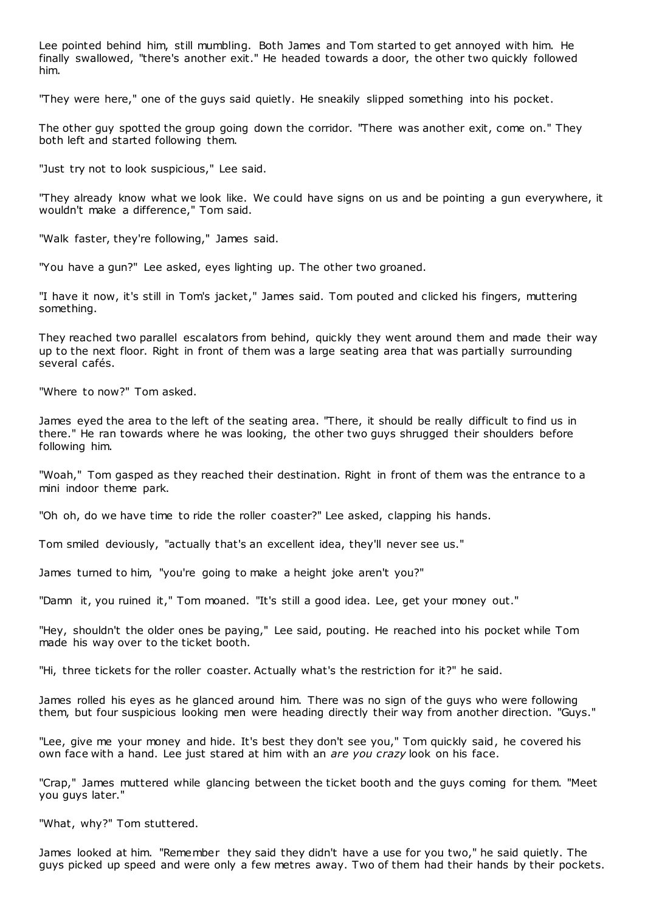Lee pointed behind him, still mumbling. Both James and Tom started to get annoyed with him. He finally swallowed, "there's another exit." He headed towards a door, the other two quickly followed him.

"They were here," one of the guys said quietly. He sneakily slipped something into his pocket.

The other guy spotted the group going down the corridor. "There was another exit, come on." They both left and started following them.

"Just try not to look suspicious," Lee said.

"They already know what we look like. We could have signs on us and be pointing a gun everywhere, it wouldn't make a difference," Tom said.

"Walk faster, they're following," James said.

"You have a gun?" Lee asked, eyes lighting up. The other two groaned.

"I have it now, it's still in Tom's jacket," James said. Tom pouted and clicked his fingers, muttering something.

They reached two parallel escalators from behind, quickly they went around them and made their way up to the next floor. Right in front of them was a large seating area that was partially surrounding several cafés.

"Where to now?" Tom asked.

James eyed the area to the left of the seating area. "There, it should be really difficult to find us in there." He ran towards where he was looking, the other two guys shrugged their shoulders before following him.

"Woah," Tom gasped as they reached their destination. Right in front of them was the entrance to a mini indoor theme park.

"Oh oh, do we have time to ride the roller coaster?" Lee asked, clapping his hands.

Tom smiled deviously, "actually that's an excellent idea, they'll never see us."

James turned to him, "you're going to make a height joke aren't you?"

"Damn it, you ruined it," Tom moaned. "It's still a good idea. Lee, get your money out."

"Hey, shouldn't the older ones be paying," Lee said, pouting. He reached into his pocket while Tom made his way over to the ticket booth.

"Hi, three tickets for the roller coaster. Actually what's the restriction for it?" he said.

James rolled his eyes as he glanced around him. There was no sign of the guys who were following them, but four suspicious looking men were heading directly their way from another direction. "Guys."

"Lee, give me your money and hide. It's best they don't see you," Tom quickly said, he covered his own face with a hand. Lee just stared at him with an *are you crazy* look on his face.

"Crap," James muttered while glancing between the ticket booth and the guys coming for them. "Meet you guys later."

"What, why?" Tom stuttered.

James looked at him. "Remember they said they didn't have a use for you two," he said quietly. The guys picked up speed and were only a few metres away. Two of them had their hands by their pockets.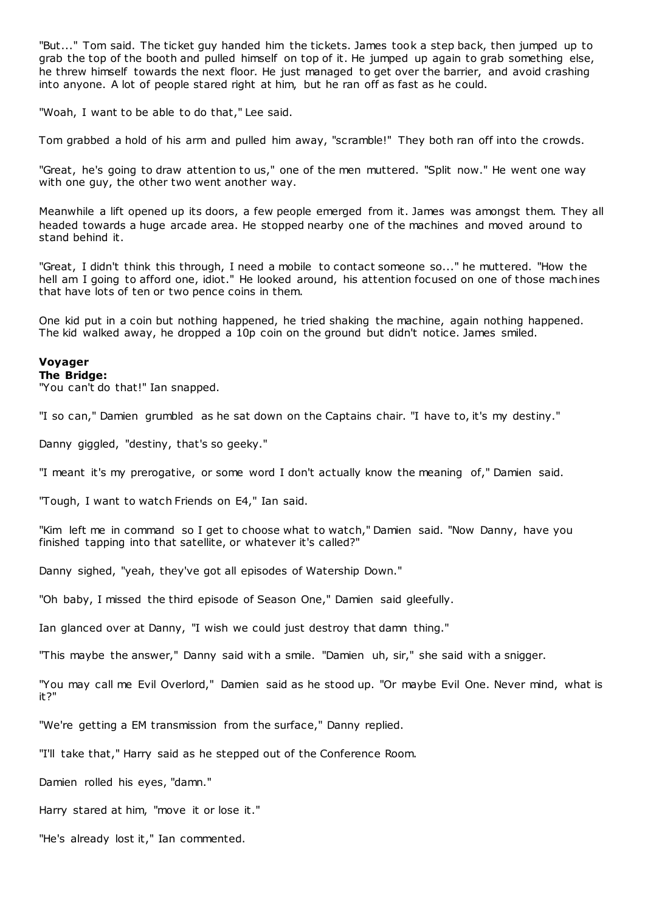"But..." Tom said. The ticket guy handed him the tickets. James took a step back, then jumped up to grab the top of the booth and pulled himself on top of it. He jumped up again to grab something else, he threw himself towards the next floor. He just managed to get over the barrier, and avoid crashing into anyone. A lot of people stared right at him, but he ran off as fast as he could.

"Woah, I want to be able to do that," Lee said.

Tom grabbed a hold of his arm and pulled him away, "scramble!" They both ran off into the crowds.

"Great, he's going to draw attention to us," one of the men muttered. "Split now." He went one way with one guy, the other two went another way.

Meanwhile a lift opened up its doors, a few people emerged from it. James was amongst them. They all headed towards a huge arcade area. He stopped nearby one of the machines and moved around to stand behind it.

"Great, I didn't think this through, I need a mobile to contact someone so..." he muttered. "How the hell am I going to afford one, idiot." He looked around, his attention focused on one of those machines that have lots of ten or two pence coins in them.

One kid put in a coin but nothing happened, he tried shaking the machine, again nothing happened. The kid walked away, he dropped a 10p coin on the ground but didn't notice. James smiled.

## **Voyager**

## **The Bridge:**

"You can't do that!" Ian snapped.

"I so can," Damien grumbled as he sat down on the Captains chair. "I have to, it's my destiny."

Danny giggled, "destiny, that's so geeky."

"I meant it's my prerogative, or some word I don't actually know the meaning of," Damien said.

"Tough, I want to watch Friends on E4," Ian said.

"Kim left me in command so I get to choose what to watch," Damien said. "Now Danny, have you finished tapping into that satellite, or whatever it's called?"

Danny sighed, "yeah, they've got all episodes of Watership Down."

"Oh baby, I missed the third episode of Season One," Damien said gleefully.

Ian glanced over at Danny, "I wish we could just destroy that damn thing."

"This maybe the answer," Danny said with a smile. "Damien uh, sir," she said with a snigger.

"You may call me Evil Overlord," Damien said as he stood up. "Or maybe Evil One. Never mind, what is it?"

"We're getting a EM transmission from the surface," Danny replied.

"I'll take that," Harry said as he stepped out of the Conference Room.

Damien rolled his eyes, "damn."

Harry stared at him, "move it or lose it."

"He's already lost it," Ian commented.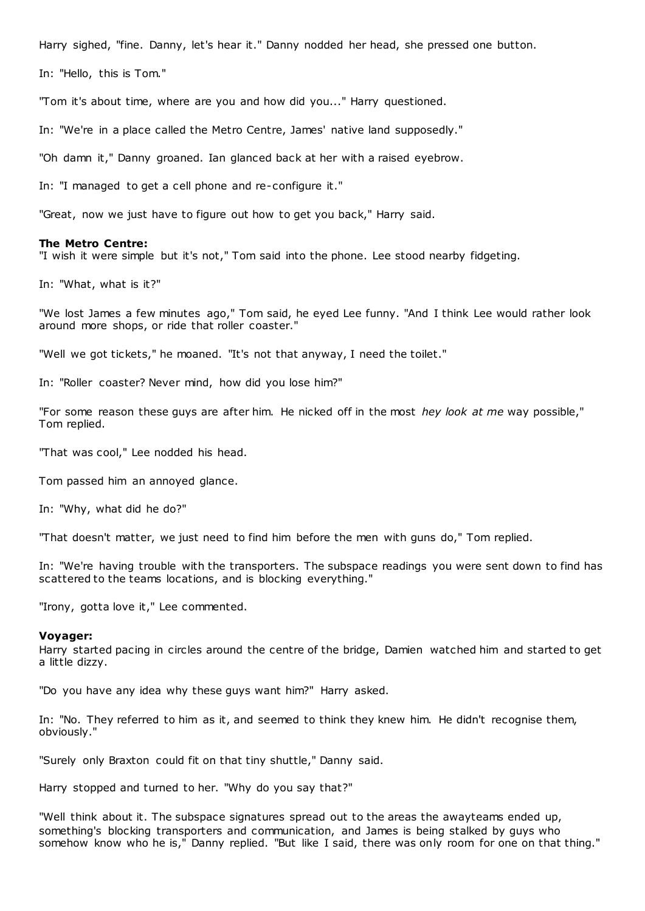Harry sighed, "fine. Danny, let's hear it." Danny nodded her head, she pressed one button.

In: "Hello, this is Tom."

"Tom it's about time, where are you and how did you..." Harry questioned.

In: "We're in a place called the Metro Centre, James' native land supposedly."

"Oh damn it," Danny groaned. Ian glanced back at her with a raised eyebrow.

In: "I managed to get a cell phone and re-configure it."

"Great, now we just have to figure out how to get you back," Harry said.

#### **The Metro Centre:**

"I wish it were simple but it's not," Tom said into the phone. Lee stood nearby fidgeting.

In: "What, what is it?"

"We lost James a few minutes ago," Tom said, he eyed Lee funny. "And I think Lee would rather look around more shops, or ride that roller coaster."

"Well we got tickets," he moaned. "It's not that anyway, I need the toilet."

In: "Roller coaster? Never mind, how did you lose him?"

"For some reason these guys are after him. He nicked off in the most *hey look at me* way possible," Tom replied.

"That was cool," Lee nodded his head.

Tom passed him an annoyed glance.

In: "Why, what did he do?"

"That doesn't matter, we just need to find him before the men with guns do," Tom replied.

In: "We're having trouble with the transporters. The subspace readings you were sent down to find has scattered to the teams locations, and is blocking everything."

"Irony, gotta love it," Lee commented.

#### **Voyager:**

Harry started pacing in circles around the centre of the bridge, Damien watched him and started to get a little dizzy.

"Do you have any idea why these guys want him?" Harry asked.

In: "No. They referred to him as it, and seemed to think they knew him. He didn't recognise them, obviously."

"Surely only Braxton could fit on that tiny shuttle," Danny said.

Harry stopped and turned to her. "Why do you say that?"

"Well think about it. The subspace signatures spread out to the areas the awayteams ended up, something's blocking transporters and communication, and James is being stalked by guys who somehow know who he is," Danny replied. "But like I said, there was only room for one on that thing."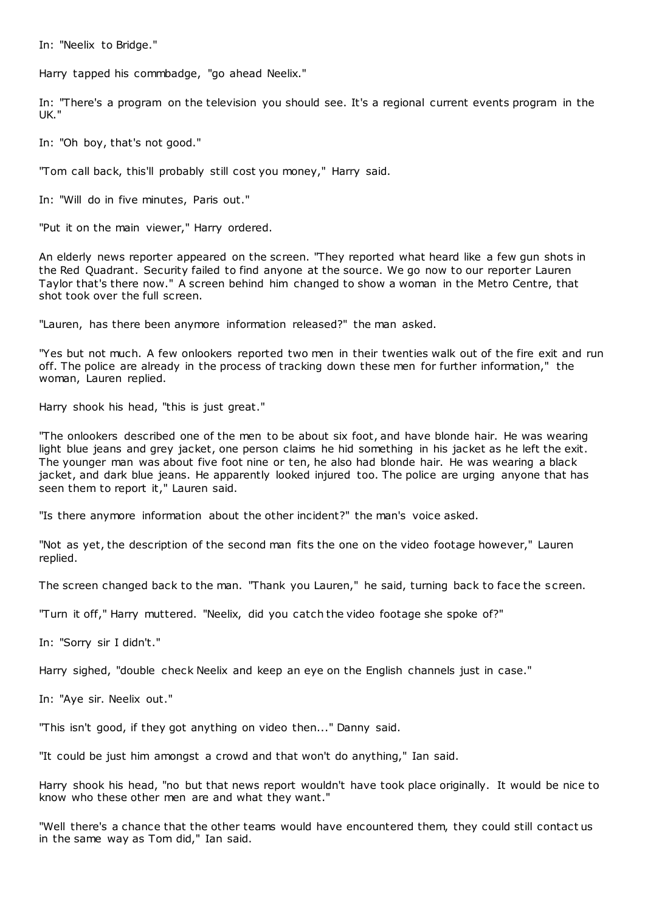In: "Neelix to Bridge."

Harry tapped his commbadge, "go ahead Neelix."

In: "There's a program on the television you should see. It's a regional current events program in the UK."

In: "Oh boy, that's not good."

"Tom call back, this'll probably still cost you money," Harry said.

In: "Will do in five minutes, Paris out."

"Put it on the main viewer," Harry ordered.

An elderly news reporter appeared on the screen. "They reported what heard like a few gun shots in the Red Quadrant. Security failed to find anyone at the source. We go now to our reporter Lauren Taylor that's there now." A screen behind him changed to show a woman in the Metro Centre, that shot took over the full screen.

"Lauren, has there been anymore information released?" the man asked.

"Yes but not much. A few onlookers reported two men in their twenties walk out of the fire exit and run off. The police are already in the process of tracking down these men for further information," the woman, Lauren replied.

Harry shook his head, "this is just great."

"The onlookers described one of the men to be about six foot, and have blonde hair. He was wearing light blue jeans and grey jacket, one person claims he hid something in his jacket as he left the exit. The younger man was about five foot nine or ten, he also had blonde hair. He was wearing a black jacket, and dark blue jeans. He apparently looked injured too. The police are urging anyone that has seen them to report it," Lauren said.

"Is there anymore information about the other incident?" the man's voice asked.

"Not as yet, the description of the second man fits the one on the video footage however," Lauren replied.

The screen changed back to the man. "Thank you Lauren," he said, turning back to face the s creen.

"Turn it off," Harry muttered. "Neelix, did you catch the video footage she spoke of?"

In: "Sorry sir I didn't."

Harry sighed, "double check Neelix and keep an eye on the English channels just in case."

In: "Aye sir. Neelix out."

"This isn't good, if they got anything on video then..." Danny said.

"It could be just him amongst a crowd and that won't do anything," Ian said.

Harry shook his head, "no but that news report wouldn't have took place originally. It would be nice to know who these other men are and what they want."

"Well there's a chance that the other teams would have encountered them, they could still contact us in the same way as Tom did," Ian said.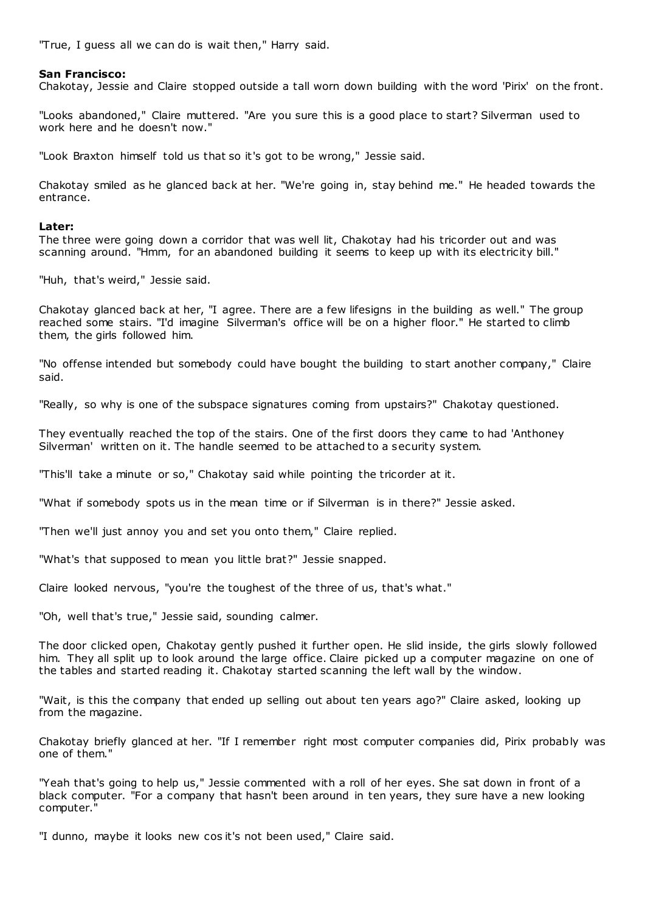"True, I guess all we can do is wait then," Harry said.

## **San Francisco:**

Chakotay, Jessie and Claire stopped outside a tall worn down building with the word 'Pirix' on the front.

"Looks abandoned," Claire muttered. "Are you sure this is a good place to start? Silverman used to work here and he doesn't now."

"Look Braxton himself told us that so it's got to be wrong," Jessie said.

Chakotay smiled as he glanced back at her. "We're going in, stay behind me." He headed towards the entrance.

## **Later:**

The three were going down a corridor that was well lit, Chakotay had his tricorder out and was scanning around. "Hmm, for an abandoned building it seems to keep up with its electricity bill."

"Huh, that's weird," Jessie said.

Chakotay glanced back at her, "I agree. There are a few lifesigns in the building as well." The group reached some stairs. "I'd imagine Silverman's office will be on a higher floor." He started to climb them, the girls followed him.

"No offense intended but somebody could have bought the building to start another company," Claire said.

"Really, so why is one of the subspace signatures coming from upstairs?" Chakotay questioned.

They eventually reached the top of the stairs. One of the first doors they came to had 'Anthoney Silverman' written on it. The handle seemed to be attached to a security system.

"This'll take a minute or so," Chakotay said while pointing the tricorder at it.

"What if somebody spots us in the mean time or if Silverman is in there?" Jessie asked.

"Then we'll just annoy you and set you onto them," Claire replied.

"What's that supposed to mean you little brat?" Jessie snapped.

Claire looked nervous, "you're the toughest of the three of us, that's what."

"Oh, well that's true," Jessie said, sounding calmer.

The door clicked open, Chakotay gently pushed it further open. He slid inside, the girls slowly followed him. They all split up to look around the large office. Claire picked up a computer magazine on one of the tables and started reading it. Chakotay started scanning the left wall by the window.

"Wait, is this the company that ended up selling out about ten years ago?" Claire asked, looking up from the magazine.

Chakotay briefly glanced at her. "If I remember right most computer companies did, Pirix probably was one of them."

"Yeah that's going to help us," Jessie commented with a roll of her eyes. She sat down in front of a black computer. "For a company that hasn't been around in ten years, they sure have a new looking computer."

"I dunno, maybe it looks new cos it's not been used," Claire said.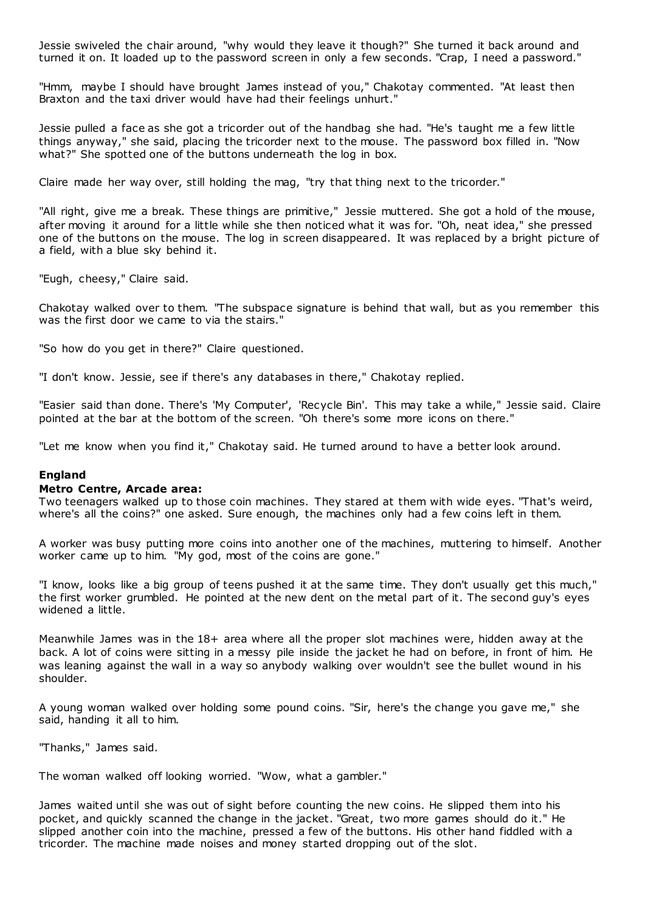Jessie swiveled the chair around, "why would they leave it though?" She turned it back around and turned it on. It loaded up to the password screen in only a few seconds. "Crap, I need a password."

"Hmm, maybe I should have brought James instead of you," Chakotay commented. "At least then Braxton and the taxi driver would have had their feelings unhurt."

Jessie pulled a face as she got a tricorder out of the handbag she had. "He's taught me a few little things anyway," she said, placing the tricorder next to the mouse. The password box filled in. "Now what?" She spotted one of the buttons underneath the log in box.

Claire made her way over, still holding the mag, "try that thing next to the tricorder."

"All right, give me a break. These things are primitive," Jessie muttered. She got a hold of the mouse, after moving it around for a little while she then noticed what it was for. "Oh, neat idea," she pressed one of the buttons on the mouse. The log in screen disappeared. It was replaced by a bright picture of a field, with a blue sky behind it.

"Eugh, cheesy," Claire said.

Chakotay walked over to them. "The subspace signature is behind that wall, but as you remember this was the first door we came to via the stairs."

"So how do you get in there?" Claire questioned.

"I don't know. Jessie, see if there's any databases in there," Chakotay replied.

"Easier said than done. There's 'My Computer', 'Recycle Bin'. This may take a while," Jessie said. Claire pointed at the bar at the bottom of the screen. "Oh there's some more icons on there."

"Let me know when you find it," Chakotay said. He turned around to have a better look around.

## **England**

#### **Metro Centre, Arcade area:**

Two teenagers walked up to those coin machines. They stared at them with wide eyes. "That's weird, where's all the coins?" one asked. Sure enough, the machines only had a few coins left in them.

A worker was busy putting more coins into another one of the machines, muttering to himself. Another worker came up to him. "My god, most of the coins are gone."

"I know, looks like a big group of teens pushed it at the same time. They don't usually get this much," the first worker grumbled. He pointed at the new dent on the metal part of it. The second guy's eyes widened a little.

Meanwhile James was in the 18+ area where all the proper slot machines were, hidden away at the back. A lot of coins were sitting in a messy pile inside the jacket he had on before, in front of him. He was leaning against the wall in a way so anybody walking over wouldn't see the bullet wound in his shoulder.

A young woman walked over holding some pound coins. "Sir, here's the change you gave me," she said, handing it all to him.

"Thanks," James said.

The woman walked off looking worried. "Wow, what a gambler."

James waited until she was out of sight before counting the new coins. He slipped them into his pocket, and quickly scanned the change in the jacket. "Great, two more games should do it." He slipped another coin into the machine, pressed a few of the buttons. His other hand fiddled with a tricorder. The machine made noises and money started dropping out of the slot.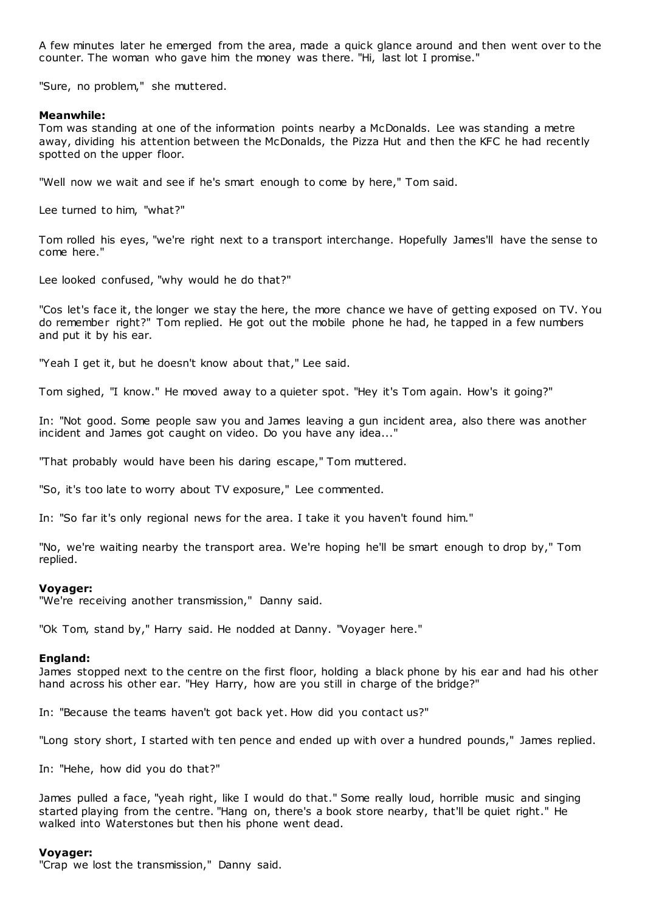A few minutes later he emerged from the area, made a quick glance around and then went over to the counter. The woman who gave him the money was there. "Hi, last lot I promise."

"Sure, no problem," she muttered.

#### **Meanwhile:**

Tom was standing at one of the information points nearby a McDonalds. Lee was standing a metre away, dividing his attention between the McDonalds, the Pizza Hut and then the KFC he had recently spotted on the upper floor.

"Well now we wait and see if he's smart enough to come by here," Tom said.

Lee turned to him, "what?"

Tom rolled his eyes, "we're right next to a transport interchange. Hopefully James'll have the sense to come here."

Lee looked confused, "why would he do that?"

"Cos let's face it, the longer we stay the here, the more chance we have of getting exposed on TV. You do remember right?" Tom replied. He got out the mobile phone he had, he tapped in a few numbers and put it by his ear.

"Yeah I get it, but he doesn't know about that," Lee said.

Tom sighed, "I know." He moved away to a quieter spot. "Hey it's Tom again. How's it going?"

In: "Not good. Some people saw you and James leaving a gun incident area, also there was another incident and James got caught on video. Do you have any idea..."

"That probably would have been his daring escape," Tom muttered.

"So, it's too late to worry about TV exposure," Lee c ommented.

In: "So far it's only regional news for the area. I take it you haven't found him."

"No, we're waiting nearby the transport area. We're hoping he'll be smart enough to drop by," Tom replied.

#### **Voyager:**

"We're receiving another transmission," Danny said.

"Ok Tom, stand by," Harry said. He nodded at Danny. "Voyager here."

#### **England:**

James stopped next to the centre on the first floor, holding a black phone by his ear and had his other hand across his other ear. "Hey Harry, how are you still in charge of the bridge?"

In: "Because the teams haven't got back yet. How did you contact us?"

"Long story short, I started with ten pence and ended up with over a hundred pounds," James replied.

In: "Hehe, how did you do that?"

James pulled a face, "yeah right, like I would do that." Some really loud, horrible music and singing started playing from the centre. "Hang on, there's a book store nearby, that'll be quiet right." He walked into Waterstones but then his phone went dead.

#### **Voyager:**

"Crap we lost the transmission," Danny said.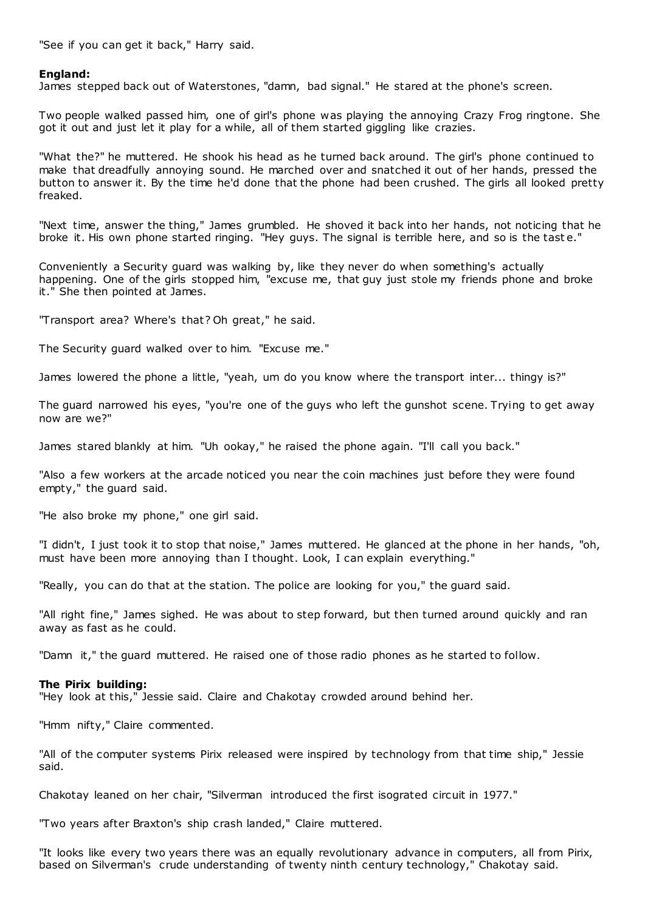"See if you can get it back," Harry said.

## **England:**

James stepped back out of Waterstones, "damn, bad signal." He stared at the phone's screen.

Two people walked passed him, one of girl's phone was playing the annoying Crazy Frog ringtone. She got it out and just let it play for a while, all of them started giggling like crazies.

"What the?" he muttered. He shook his head as he turned back around. The girl's phone continued to make that dreadfully annoying sound. He marched over and snatched it out of her hands, pressed the button to answer it. By the time he'd done that the phone had been crushed. The girls all looked pretty freaked.

"Next time, answer the thing," James grumbled. He shoved it back into her hands, not noticing that he broke it. His own phone started ringing. "Hey guys. The signal is terrible here, and so is the tast e."

Conveniently a Security guard was walking by, like they never do when something's actually happening. One of the girls stopped him, "excuse me, that guy just stole my friends phone and broke it." She then pointed at James.

"Transport area? Where's that? Oh great," he said.

The Security guard walked over to him. "Excuse me."

James lowered the phone a little, "yeah, um do you know where the transport inter... thingy is?"

The guard narrowed his eyes, "you're one of the guys who left the gunshot scene. Trying to get away now are we?"

James stared blankly at him. "Uh ookay," he raised the phone again. "I'll call you back."

"Also a few workers at the arcade noticed you near the coin machines just before they were found empty," the guard said.

"He also broke my phone," one girl said.

"I didn't, I just took it to stop that noise," James muttered. He glanced at the phone in her hands, "oh, must have been more annoying than I thought. Look, I can explain everything."

"Really, you can do that at the station. The police are looking for you," the guard said.

"All right fine," James sighed. He was about to step forward, but then turned around quickly and ran away as fast as he could.

"Damn it," the guard muttered. He raised one of those radio phones as he started to follow.

## **The Pirix building:**

"Hey look at this," Jessie said. Claire and Chakotay crowded around behind her.

"Hmm nifty," Claire commented.

"All of the computer systems Pirix released were inspired by technology from that time ship," Jessie said.

Chakotay leaned on her chair, "Silverman introduced the first isograted circuit in 1977."

"Two years after Braxton's ship crash landed," Claire muttered.

"It looks like every two years there was an equally revolutionary advance in computers, all from Pirix, based on Silverman's crude understanding of twenty ninth century technology," Chakotay said.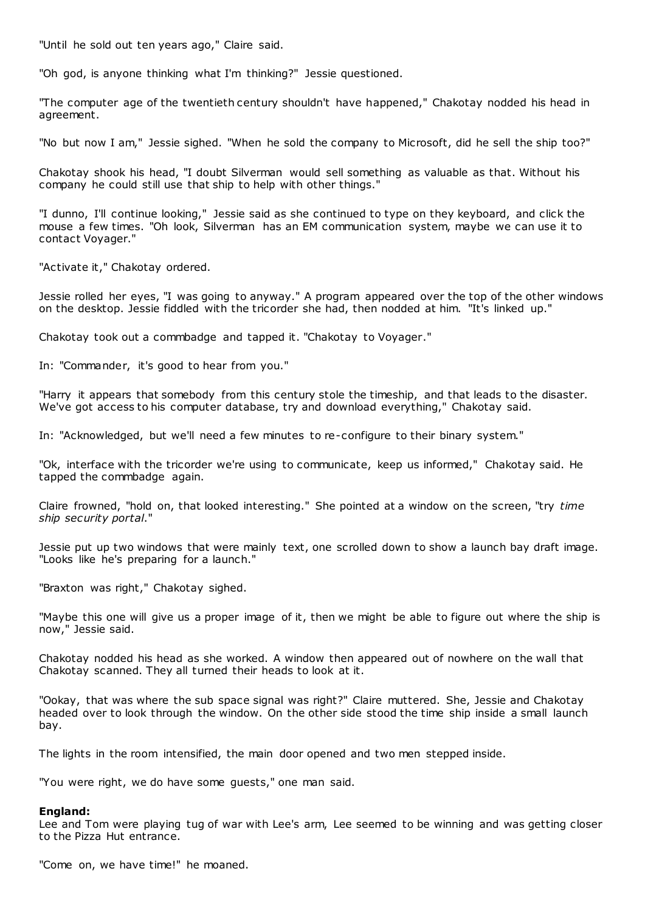"Until he sold out ten years ago," Claire said.

"Oh god, is anyone thinking what I'm thinking?" Jessie questioned.

"The computer age of the twentieth century shouldn't have happened," Chakotay nodded his head in agreement.

"No but now I am," Jessie sighed. "When he sold the company to Microsoft, did he sell the ship too?"

Chakotay shook his head, "I doubt Silverman would sell something as valuable as that. Without his company he could still use that ship to help with other things."

"I dunno, I'll continue looking," Jessie said as she continued to type on they keyboard, and click the mouse a few times. "Oh look, Silverman has an EM communication system, maybe we can use it to contact Voyager."

"Activate it," Chakotay ordered.

Jessie rolled her eyes, "I was going to anyway." A program appeared over the top of the other windows on the desktop. Jessie fiddled with the tricorder she had, then nodded at him. "It's linked up."

Chakotay took out a commbadge and tapped it. "Chakotay to Voyager."

In: "Commander, it's good to hear from you."

"Harry it appears that somebody from this century stole the timeship, and that leads to the disaster. We've got access to his computer database, try and download everything," Chakotay said.

In: "Acknowledged, but we'll need a few minutes to re-configure to their binary system."

"Ok, interface with the tricorder we're using to communicate, keep us informed," Chakotay said. He tapped the commbadge again.

Claire frowned, "hold on, that looked interesting." She pointed at a window on the screen, "try *time ship security portal*."

Jessie put up two windows that were mainly text, one scrolled down to show a launch bay draft image. "Looks like he's preparing for a launch."

"Braxton was right," Chakotay sighed.

"Maybe this one will give us a proper image of it, then we might be able to figure out where the ship is now," Jessie said.

Chakotay nodded his head as she worked. A window then appeared out of nowhere on the wall that Chakotay scanned. They all turned their heads to look at it.

"Ookay, that was where the sub space signal was right?" Claire muttered. She, Jessie and Chakotay headed over to look through the window. On the other side stood the time ship inside a small launch bay.

The lights in the room intensified, the main door opened and two men stepped inside.

"You were right, we do have some guests," one man said.

#### **England:**

Lee and Tom were playing tug of war with Lee's arm, Lee seemed to be winning and was getting closer to the Pizza Hut entrance.

"Come on, we have time!" he moaned.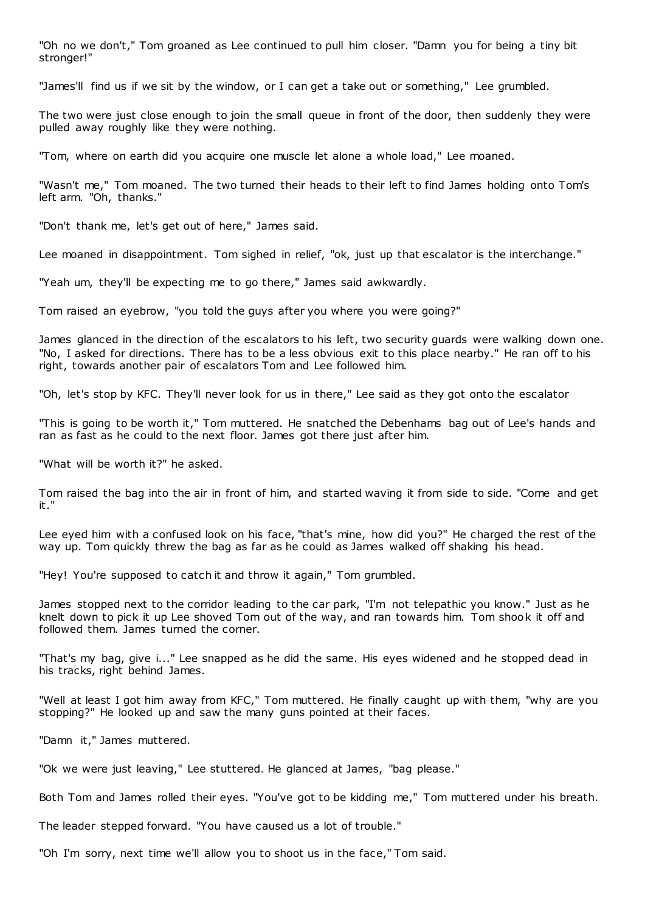"Oh no we don't," Tom groaned as Lee continued to pull him closer. "Damn you for being a tiny bit stronger!"

"James'll find us if we sit by the window, or I can get a take out or something," Lee grumbled.

The two were just close enough to join the small queue in front of the door, then suddenly they were pulled away roughly like they were nothing.

"Tom, where on earth did you acquire one muscle let alone a whole load," Lee moaned.

"Wasn't me," Tom moaned. The two turned their heads to their left to find James holding onto Tom's left arm. "Oh, thanks."

"Don't thank me, let's get out of here," James said.

Lee moaned in disappointment. Tom sighed in relief, "ok, just up that escalator is the interchange."

"Yeah um, they'll be expecting me to go there," James said awkwardly.

Tom raised an eyebrow, "you told the guys after you where you were going?"

James glanced in the direction of the escalators to his left, two security guards were walking down one. "No, I asked for directions. There has to be a less obvious exit to this place nearby." He ran off to his right, towards another pair of escalators Tom and Lee followed him.

"Oh, let's stop by KFC. They'll never look for us in there," Lee said as they got onto the escalator

"This is going to be worth it," Tom muttered. He snatched the Debenhams bag out of Lee's hands and ran as fast as he could to the next floor. James got there just after him.

"What will be worth it?" he asked.

Tom raised the bag into the air in front of him, and started waving it from side to side. "Come and get it."

Lee eyed him with a confused look on his face, "that's mine, how did you?" He charged the rest of the way up. Tom quickly threw the bag as far as he could as James walked off shaking his head.

"Hey! You're supposed to catch it and throw it again," Tom grumbled.

James stopped next to the corridor leading to the car park, "I'm not telepathic you know." Just as he knelt down to pick it up Lee shoved Tom out of the way, and ran towards him. Tom shook it off and followed them. James turned the corner.

"That's my bag, give i..." Lee snapped as he did the same. His eyes widened and he stopped dead in his tracks, right behind James.

"Well at least I got him away from KFC," Tom muttered. He finally caught up with them, "why are you stopping?" He looked up and saw the many guns pointed at their faces.

"Damn it," James muttered.

"Ok we were just leaving," Lee stuttered. He glanced at James, "bag please."

Both Tom and James rolled their eyes. "You've got to be kidding me," Tom muttered under his breath.

The leader stepped forward. "You have caused us a lot of trouble."

"Oh I'm sorry, next time we'll allow you to shoot us in the face," Tom said.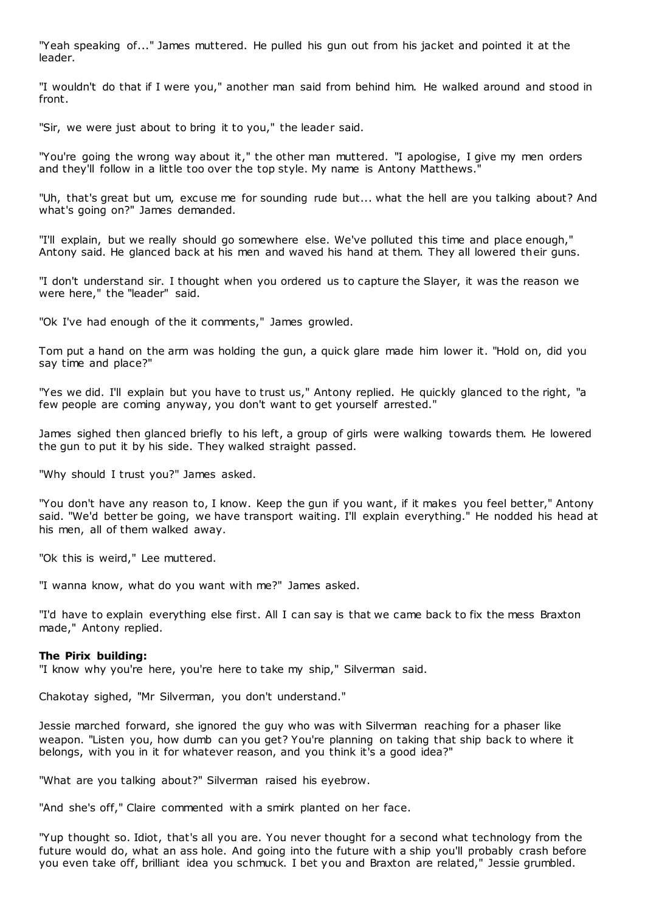"Yeah speaking of..." James muttered. He pulled his gun out from his jacket and pointed it at the leader.

"I wouldn't do that if I were you," another man said from behind him. He walked around and stood in front.

"Sir, we were just about to bring it to you," the leader said.

"You're going the wrong way about it," the other man muttered. "I apologise, I give my men orders and they'll follow in a little too over the top style. My name is Antony Matthews."

"Uh, that's great but um, excuse me for sounding rude but... what the hell are you talking about? And what's going on?" James demanded.

"I'll explain, but we really should go somewhere else. We've polluted this time and place enough," Antony said. He glanced back at his men and waved his hand at them. They all lowered their guns.

"I don't understand sir. I thought when you ordered us to capture the Slayer, it was the reason we were here," the "leader" said.

"Ok I've had enough of the it comments," James growled.

Tom put a hand on the arm was holding the gun, a quick glare made him lower it. "Hold on, did you say time and place?"

"Yes we did. I'll explain but you have to trust us," Antony replied. He quickly glanced to the right, "a few people are coming anyway, you don't want to get yourself arrested."

James sighed then glanced briefly to his left, a group of girls were walking towards them. He lowered the gun to put it by his side. They walked straight passed.

"Why should I trust you?" James asked.

"You don't have any reason to, I know. Keep the gun if you want, if it makes you feel better," Antony said. "We'd better be going, we have transport waiting. I'll explain everything." He nodded his head at his men, all of them walked away.

"Ok this is weird," Lee muttered.

"I wanna know, what do you want with me?" James asked.

"I'd have to explain everything else first. All I can say is that we came back to fix the mess Braxton made," Antony replied.

### **The Pirix building:**

"I know why you're here, you're here to take my ship," Silverman said.

Chakotay sighed, "Mr Silverman, you don't understand."

Jessie marched forward, she ignored the guy who was with Silverman reaching for a phaser like weapon. "Listen you, how dumb can you get? You're planning on taking that ship back to where it belongs, with you in it for whatever reason, and you think it's a good idea?"

"What are you talking about?" Silverman raised his eyebrow.

"And she's off," Claire commented with a smirk planted on her face.

"Yup thought so. Idiot, that's all you are. You never thought for a second what technology from the future would do, what an ass hole. And going into the future with a ship you'll probably crash before you even take off, brilliant idea you schmuck. I bet you and Braxton are related," Jessie grumbled.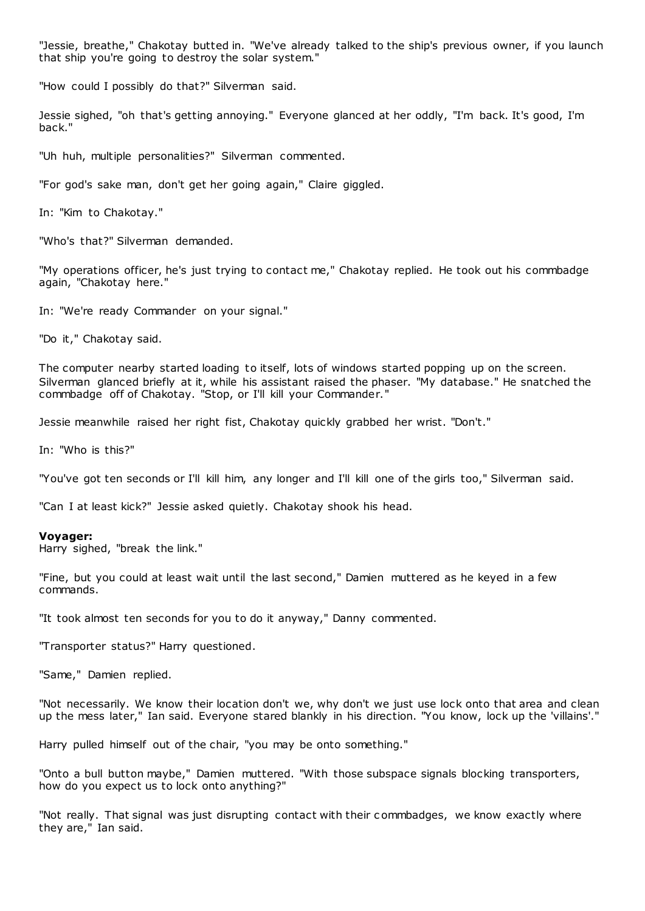"Jessie, breathe," Chakotay butted in. "We've already talked to the ship's previous owner, if you launch that ship you're going to destroy the solar system."

"How could I possibly do that?" Silverman said.

Jessie sighed, "oh that's getting annoying." Everyone glanced at her oddly, "I'm back. It's good, I'm back."

"Uh huh, multiple personalities?" Silverman commented.

"For god's sake man, don't get her going again," Claire giggled.

In: "Kim to Chakotay."

"Who's that?" Silverman demanded.

"My operations officer, he's just trying to contact me," Chakotay replied. He took out his commbadge again, "Chakotay here."

In: "We're ready Commander on your signal."

"Do it," Chakotay said.

The computer nearby started loading to itself, lots of windows started popping up on the screen. Silverman glanced briefly at it, while his assistant raised the phaser. "My database." He snatched the commbadge off of Chakotay. "Stop, or I'll kill your Commander."

Jessie meanwhile raised her right fist, Chakotay quickly grabbed her wrist. "Don't."

In: "Who is this?"

"You've got ten seconds or I'll kill him, any longer and I'll kill one of the girls too," Silverman said.

"Can I at least kick?" Jessie asked quietly. Chakotay shook his head.

#### **Voyager:**

Harry sighed, "break the link."

"Fine, but you could at least wait until the last second," Damien muttered as he keyed in a few commands.

"It took almost ten seconds for you to do it anyway," Danny commented.

"Transporter status?" Harry questioned.

"Same," Damien replied.

"Not necessarily. We know their location don't we, why don't we just use lock onto that area and clean up the mess later," Ian said. Everyone stared blankly in his direction. "You know, lock up the 'villains'."

Harry pulled himself out of the chair, "you may be onto something."

"Onto a bull button maybe," Damien muttered. "With those subspace signals blocking transporters, how do you expect us to lock onto anything?"

"Not really. That signal was just disrupting contact with their c ommbadges, we know exactly where they are," Ian said.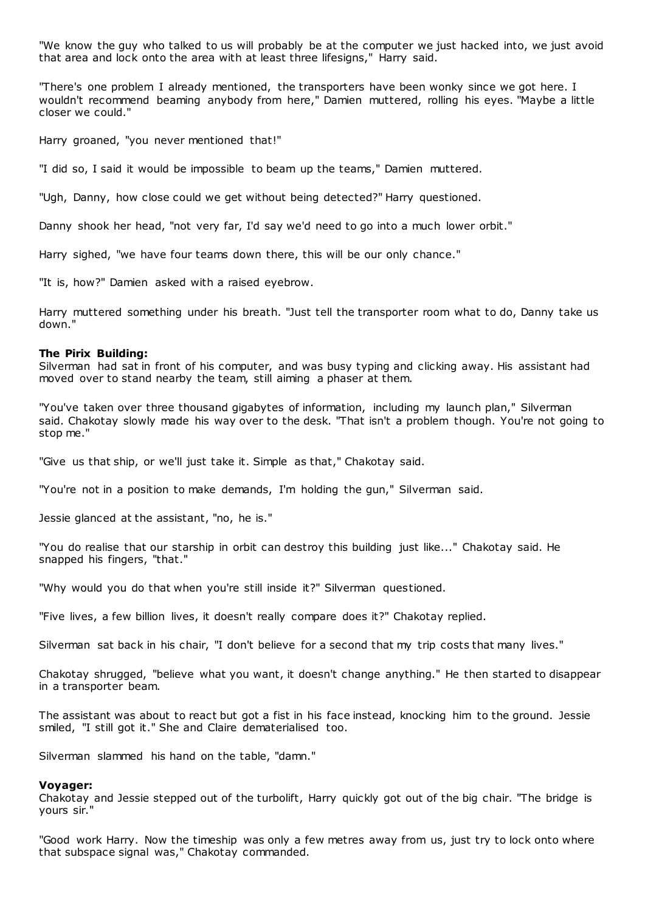"We know the guy who talked to us will probably be at the computer we just hacked into, we just avoid that area and lock onto the area with at least three lifesigns," Harry said.

"There's one problem I already mentioned, the transporters have been wonky since we got here. I wouldn't recommend beaming anybody from here," Damien muttered, rolling his eyes. "Maybe a little closer we could."

Harry groaned, "you never mentioned that!"

"I did so, I said it would be impossible to beam up the teams," Damien muttered.

"Ugh, Danny, how close could we get without being detected?" Harry questioned.

Danny shook her head, "not very far, I'd say we'd need to go into a much lower orbit."

Harry sighed, "we have four teams down there, this will be our only chance."

"It is, how?" Damien asked with a raised eyebrow.

Harry muttered something under his breath. "Just tell the transporter room what to do, Danny take us down."

#### **The Pirix Building:**

Silverman had sat in front of his computer, and was busy typing and clicking away. His assistant had moved over to stand nearby the team, still aiming a phaser at them.

"You've taken over three thousand gigabytes of information, including my launch plan," Silverman said. Chakotay slowly made his way over to the desk. "That isn't a problem though. You're not going to stop me."

"Give us that ship, or we'll just take it. Simple as that," Chakotay said.

"You're not in a position to make demands, I'm holding the gun," Silverman said.

Jessie glanced at the assistant, "no, he is."

"You do realise that our starship in orbit can destroy this building just like..." Chakotay said. He snapped his fingers, "that."

"Why would you do that when you're still inside it?" Silverman questioned.

"Five lives, a few billion lives, it doesn't really compare does it?" Chakotay replied.

Silverman sat back in his chair, "I don't believe for a second that my trip costs that many lives."

Chakotay shrugged, "believe what you want, it doesn't change anything." He then started to disappear in a transporter beam.

The assistant was about to react but got a fist in his face instead, knocking him to the ground. Jessie smiled, "I still got it." She and Claire dematerialised too.

Silverman slammed his hand on the table, "damn."

#### **Voyager:**

Chakotay and Jessie stepped out of the turbolift, Harry quickly got out of the big chair. "The bridge is yours sir."

"Good work Harry. Now the timeship was only a few metres away from us, just try to lock onto where that subspace signal was," Chakotay commanded.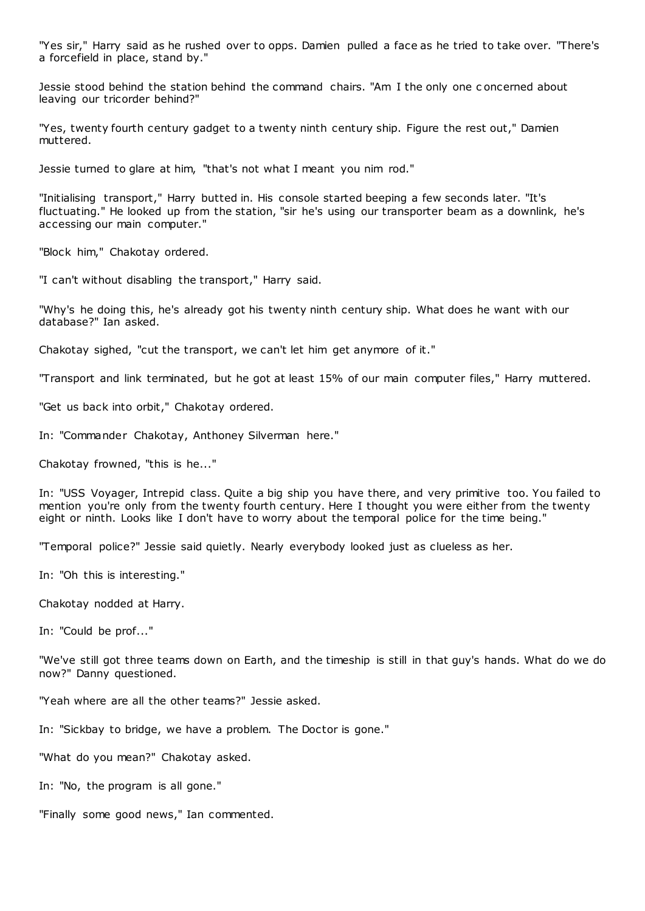"Yes sir," Harry said as he rushed over to opps. Damien pulled a face as he tried to take over. "There's a forcefield in place, stand by."

Jessie stood behind the station behind the command chairs. "Am I the only one c oncerned about leaving our tricorder behind?"

"Yes, twenty fourth century gadget to a twenty ninth century ship. Figure the rest out," Damien muttered.

Jessie turned to glare at him, "that's not what I meant you nim rod."

"Initialising transport," Harry butted in. His console started beeping a few seconds later. "It's fluctuating." He looked up from the station, "sir he's using our transporter beam as a downlink, he's accessing our main computer."

"Block him," Chakotay ordered.

"I can't without disabling the transport," Harry said.

"Why's he doing this, he's already got his twenty ninth century ship. What does he want with our database?" Ian asked.

Chakotay sighed, "cut the transport, we can't let him get anymore of it."

"Transport and link terminated, but he got at least 15% of our main computer files," Harry muttered.

"Get us back into orbit," Chakotay ordered.

In: "Commander Chakotay, Anthoney Silverman here."

Chakotay frowned, "this is he..."

In: "USS Voyager, Intrepid class. Quite a big ship you have there, and very primitive too. You failed to mention you're only from the twenty fourth century. Here I thought you were either from the twenty eight or ninth. Looks like I don't have to worry about the temporal police for the time being."

"Temporal police?" Jessie said quietly. Nearly everybody looked just as clueless as her.

In: "Oh this is interesting."

Chakotay nodded at Harry.

In: "Could be prof..."

"We've still got three teams down on Earth, and the timeship is still in that guy's hands. What do we do now?" Danny questioned.

"Yeah where are all the other teams?" Jessie asked.

In: "Sickbay to bridge, we have a problem. The Doctor is gone."

"What do you mean?" Chakotay asked.

In: "No, the program is all gone."

"Finally some good news," Ian commented.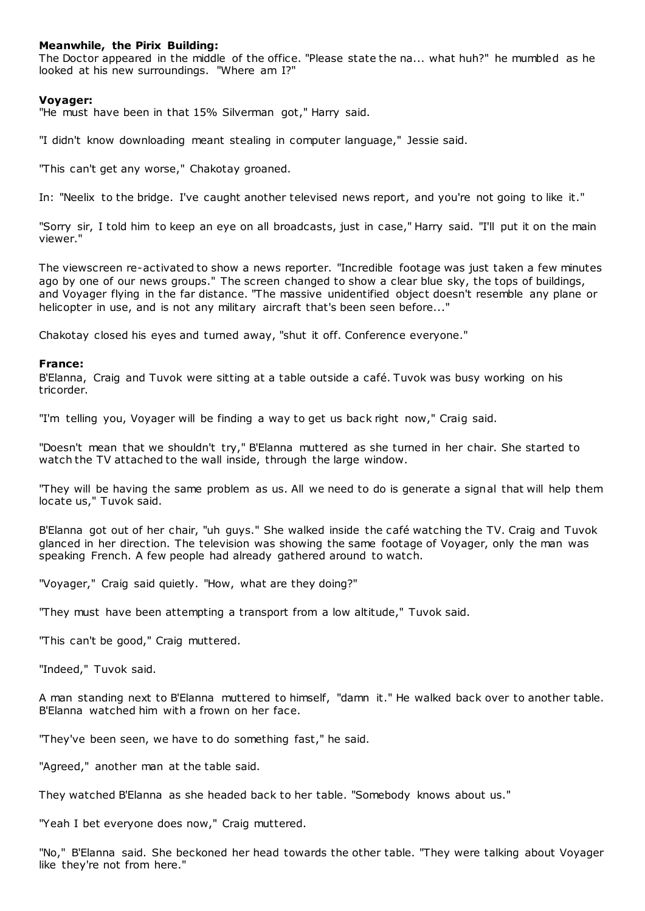## **Meanwhile, the Pirix Building:**

The Doctor appeared in the middle of the office. "Please state the na... what huh?" he mumbled as he looked at his new surroundings. "Where am I?"

#### **Voyager:**

"He must have been in that 15% Silverman got," Harry said.

"I didn't know downloading meant stealing in computer language," Jessie said.

"This can't get any worse," Chakotay groaned.

In: "Neelix to the bridge. I've caught another televised news report, and you're not going to like it."

"Sorry sir, I told him to keep an eye on all broadcasts, just in case," Harry said. "I'll put it on the main viewer."

The viewscreen re-activated to show a news reporter. "Incredible footage was just taken a few minutes ago by one of our news groups." The screen changed to show a clear blue sky, the tops of buildings, and Voyager flying in the far distance. "The massive unidentified object doesn't resemble any plane or helicopter in use, and is not any military aircraft that's been seen before..."

Chakotay closed his eyes and turned away, "shut it off. Conference everyone."

#### **France:**

B'Elanna, Craig and Tuvok were sitting at a table outside a café. Tuvok was busy working on his tricorder.

"I'm telling you, Voyager will be finding a way to get us back right now," Craig said.

"Doesn't mean that we shouldn't try," B'Elanna muttered as she turned in her chair. She started to watch the TV attached to the wall inside, through the large window.

"They will be having the same problem as us. All we need to do is generate a signal that will help them locate us," Tuvok said.

B'Elanna got out of her chair, "uh guys." She walked inside the café watching the TV. Craig and Tuvok glanced in her direction. The television was showing the same footage of Voyager, only the man was speaking French. A few people had already gathered around to watch.

"Voyager," Craig said quietly. "How, what are they doing?"

"They must have been attempting a transport from a low altitude," Tuvok said.

"This can't be good," Craig muttered.

"Indeed," Tuvok said.

A man standing next to B'Elanna muttered to himself, "damn it." He walked back over to another table. B'Elanna watched him with a frown on her face.

"They've been seen, we have to do something fast," he said.

"Agreed," another man at the table said.

They watched B'Elanna as she headed back to her table. "Somebody knows about us."

"Yeah I bet everyone does now," Craig muttered.

"No," B'Elanna said. She beckoned her head towards the other table. "They were talking about Voyager like they're not from here."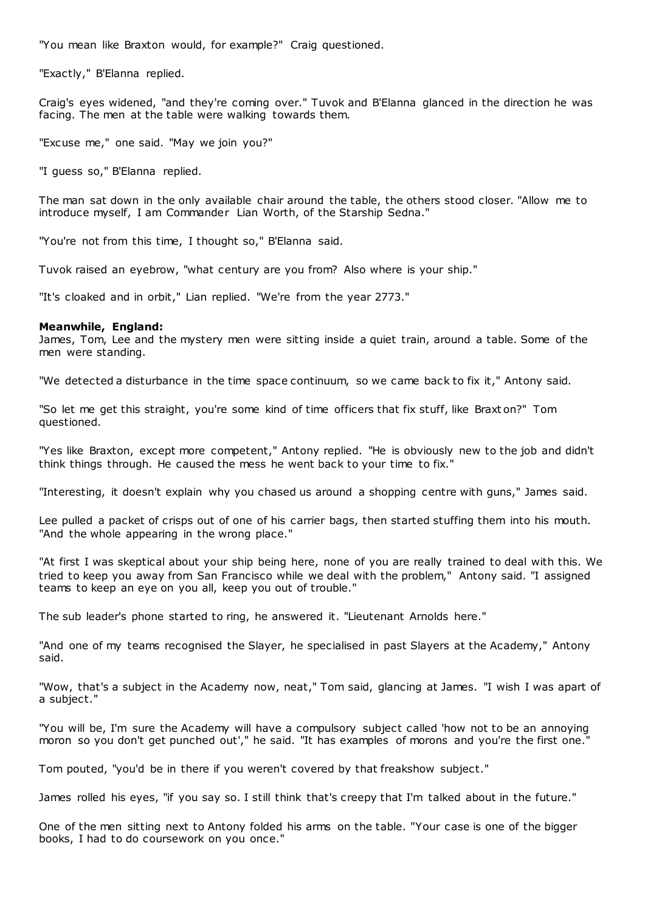"You mean like Braxton would, for example?" Craig questioned.

"Exactly," B'Elanna replied.

Craig's eyes widened, "and they're coming over." Tuvok and B'Elanna glanced in the direction he was facing. The men at the table were walking towards them.

"Excuse me," one said. "May we join you?"

"I guess so," B'Elanna replied.

The man sat down in the only available chair around the table, the others stood closer. "Allow me to introduce myself, I am Commander Lian Worth, of the Starship Sedna."

"You're not from this time, I thought so," B'Elanna said.

Tuvok raised an eyebrow, "what century are you from? Also where is your ship."

"It's cloaked and in orbit," Lian replied. "We're from the year 2773."

#### **Meanwhile, England:**

James, Tom, Lee and the mystery men were sitting inside a quiet train, around a table. Some of the men were standing.

"We detected a disturbance in the time space continuum, so we came back to fix it," Antony said.

"So let me get this straight, you're some kind of time officers that fix stuff, like Braxt on?" Tom questioned.

"Yes like Braxton, except more competent," Antony replied. "He is obviously new to the job and didn't think things through. He caused the mess he went back to your time to fix."

"Interesting, it doesn't explain why you chased us around a shopping centre with guns," James said.

Lee pulled a packet of crisps out of one of his carrier bags, then started stuffing them into his mouth. "And the whole appearing in the wrong place."

"At first I was skeptical about your ship being here, none of you are really trained to deal with this. We tried to keep you away from San Francisco while we deal with the problem," Antony said. "I assigned teams to keep an eye on you all, keep you out of trouble."

The sub leader's phone started to ring, he answered it. "Lieutenant Arnolds here."

"And one of my teams recognised the Slayer, he specialised in past Slayers at the Academy," Antony said.

"Wow, that's a subject in the Academy now, neat," Tom said, glancing at James. "I wish I was apart of a subject."

"You will be, I'm sure the Academy will have a compulsory subject called 'how not to be an annoying moron so you don't get punched out'," he said. "It has examples of morons and you're the first one.

Tom pouted, "you'd be in there if you weren't covered by that freakshow subject."

James rolled his eyes, "if you say so. I still think that's creepy that I'm talked about in the future."

One of the men sitting next to Antony folded his arms on the table. "Your case is one of the bigger books, I had to do coursework on you once."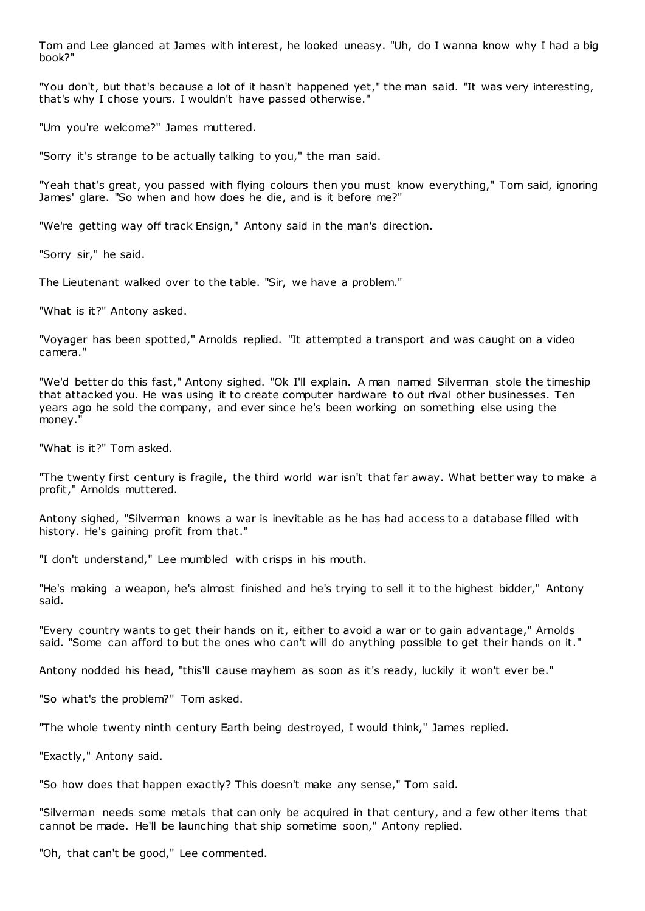Tom and Lee glanced at James with interest, he looked uneasy. "Uh, do I wanna know why I had a big book?"

"You don't, but that's because a lot of it hasn't happened yet," the man said. "It was very interesting, that's why I chose yours. I wouldn't have passed otherwise."

"Um you're welcome?" James muttered.

"Sorry it's strange to be actually talking to you," the man said.

"Yeah that's great, you passed with flying colours then you must know everything," Tom said, ignoring James' glare. "So when and how does he die, and is it before me?"

"We're getting way off track Ensign," Antony said in the man's direction.

"Sorry sir," he said.

The Lieutenant walked over to the table. "Sir, we have a problem."

"What is it?" Antony asked.

"Voyager has been spotted," Arnolds replied. "It attempted a transport and was caught on a video camera."

"We'd better do this fast," Antony sighed. "Ok I'll explain. A man named Silverman stole the timeship that attacked you. He was using it to create computer hardware to out rival other businesses. Ten years ago he sold the company, and ever since he's been working on something else using the money."

"What is it?" Tom asked.

"The twenty first century is fragile, the third world war isn't that far away. What better way to make a profit," Arnolds muttered.

Antony sighed, "Silverman knows a war is inevitable as he has had access to a database filled with history. He's gaining profit from that."

"I don't understand," Lee mumbled with crisps in his mouth.

"He's making a weapon, he's almost finished and he's trying to sell it to the highest bidder," Antony said.

"Every country wants to get their hands on it, either to avoid a war or to gain advantage," Arnolds said. "Some can afford to but the ones who can't will do anything possible to get their hands on it."

Antony nodded his head, "this'll cause mayhem as soon as it's ready, luckily it won't ever be."

"So what's the problem?" Tom asked.

"The whole twenty ninth century Earth being destroyed, I would think," James replied.

"Exactly," Antony said.

"So how does that happen exactly? This doesn't make any sense," Tom said.

"Silverman needs some metals that can only be acquired in that century, and a few other items that cannot be made. He'll be launching that ship sometime soon," Antony replied.

"Oh, that can't be good," Lee commented.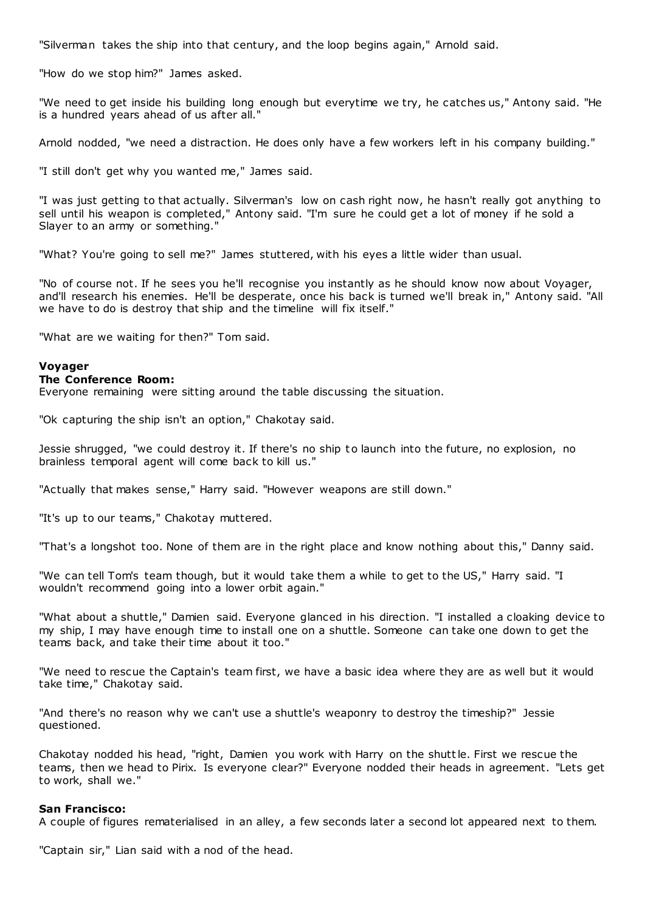"Silverman takes the ship into that century, and the loop begins again," Arnold said.

"How do we stop him?" James asked.

"We need to get inside his building long enough but everytime we try, he catches us," Antony said. "He is a hundred years ahead of us after all."

Arnold nodded, "we need a distraction. He does only have a few workers left in his company building."

"I still don't get why you wanted me," James said.

"I was just getting to that actually. Silverman's low on cash right now, he hasn't really got anything to sell until his weapon is completed," Antony said. "I'm sure he could get a lot of money if he sold a Slayer to an army or something."

"What? You're going to sell me?" James stuttered, with his eyes a little wider than usual.

"No of course not. If he sees you he'll recognise you instantly as he should know now about Voyager, and'll research his enemies. He'll be desperate, once his back is turned we'll break in," Antony said. "All we have to do is destroy that ship and the timeline will fix itself."

"What are we waiting for then?" Tom said.

#### **Voyager**

#### **The Conference Room:**

Everyone remaining were sitting around the table discussing the situation.

"Ok capturing the ship isn't an option," Chakotay said.

Jessie shrugged, "we could destroy it. If there's no ship to launch into the future, no explosion, no brainless temporal agent will come back to kill us."

"Actually that makes sense," Harry said. "However weapons are still down."

"It's up to our teams," Chakotay muttered.

"That's a longshot too. None of them are in the right place and know nothing about this," Danny said.

"We can tell Tom's team though, but it would take them a while to get to the US," Harry said. "I wouldn't recommend going into a lower orbit again."

"What about a shuttle," Damien said. Everyone glanced in his direction. "I installed a cloaking device to my ship, I may have enough time to install one on a shuttle. Someone can take one down to get the teams back, and take their time about it too."

"We need to rescue the Captain's team first, we have a basic idea where they are as well but it would take time," Chakotay said.

"And there's no reason why we can't use a shuttle's weaponry to destroy the timeship?" Jessie questioned.

Chakotay nodded his head, "right, Damien you work with Harry on the shuttle. First we rescue the teams, then we head to Pirix. Is everyone clear?" Everyone nodded their heads in agreement. "Lets get to work, shall we."

#### **San Francisco:**

A couple of figures rematerialised in an alley, a few seconds later a second lot appeared next to them.

"Captain sir," Lian said with a nod of the head.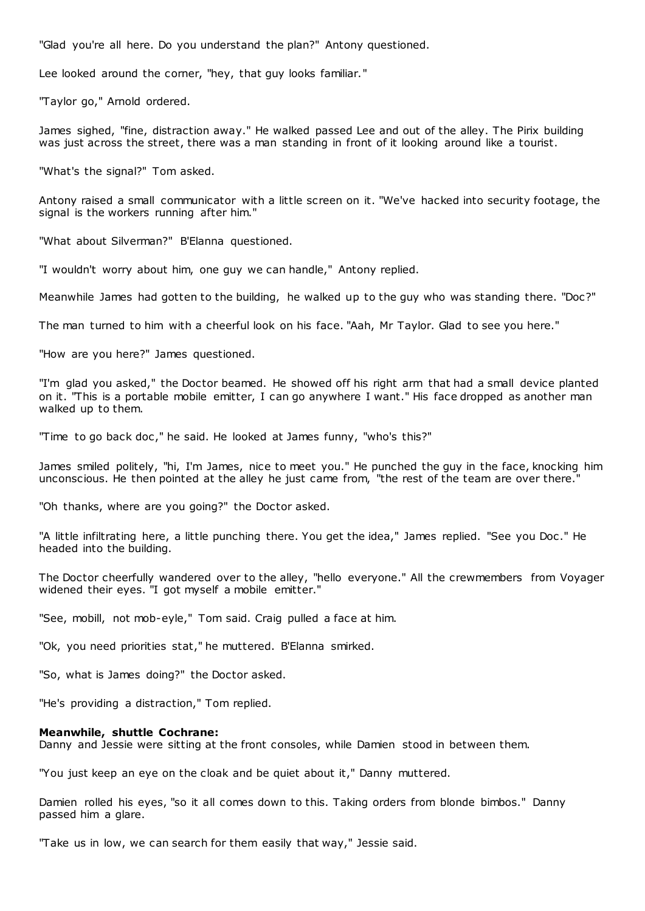"Glad you're all here. Do you understand the plan?" Antony questioned.

Lee looked around the corner, "hey, that guy looks familiar."

"Taylor go," Arnold ordered.

James sighed, "fine, distraction away." He walked passed Lee and out of the alley. The Pirix building was just across the street, there was a man standing in front of it looking around like a tourist.

"What's the signal?" Tom asked.

Antony raised a small communicator with a little screen on it. "We've hacked into security footage, the signal is the workers running after him."

"What about Silverman?" B'Elanna questioned.

"I wouldn't worry about him, one guy we can handle," Antony replied.

Meanwhile James had gotten to the building, he walked up to the guy who was standing there. "Doc?"

The man turned to him with a cheerful look on his face. "Aah, Mr Taylor. Glad to see you here."

"How are you here?" James questioned.

"I'm glad you asked," the Doctor beamed. He showed off his right arm that had a small device planted on it. "This is a portable mobile emitter, I can go anywhere I want." His face dropped as another man walked up to them.

"Time to go back doc ," he said. He looked at James funny, "who's this?"

James smiled politely, "hi, I'm James, nice to meet you." He punched the guy in the face, knocking him unconscious. He then pointed at the alley he just came from, "the rest of the team are over there."

"Oh thanks, where are you going?" the Doctor asked.

"A little infiltrating here, a little punching there. You get the idea," James replied. "See you Doc ." He headed into the building.

The Doctor cheerfully wandered over to the alley, "hello everyone." All the crewmembers from Voyager widened their eyes. "I got myself a mobile emitter."

"See, mobill, not mob-eyle," Tom said. Craig pulled a face at him.

"Ok, you need priorities stat," he muttered. B'Elanna smirked.

"So, what is James doing?" the Doctor asked.

"He's providing a distraction," Tom replied.

#### **Meanwhile, shuttle Cochrane:**

Danny and Jessie were sitting at the front consoles, while Damien stood in between them.

"You just keep an eye on the cloak and be quiet about it," Danny muttered.

Damien rolled his eyes, "so it all comes down to this. Taking orders from blonde bimbos." Danny passed him a glare.

"Take us in low, we can search for them easily that way," Jessie said.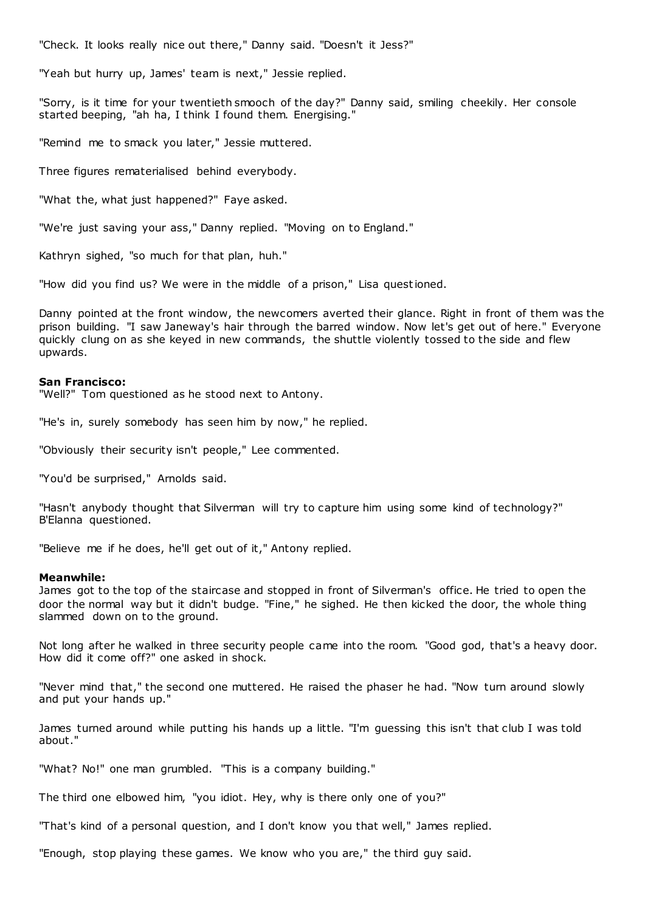"Check. It looks really nice out there," Danny said. "Doesn't it Jess?"

"Yeah but hurry up, James' team is next," Jessie replied.

"Sorry, is it time for your twentieth smooch of the day?" Danny said, smiling cheekily. Her console started beeping, "ah ha, I think I found them. Energising."

"Remind me to smack you later," Jessie muttered.

Three figures rematerialised behind everybody.

"What the, what just happened?" Faye asked.

"We're just saving your ass," Danny replied. "Moving on to England."

Kathryn sighed, "so much for that plan, huh."

"How did you find us? We were in the middle of a prison," Lisa questioned.

Danny pointed at the front window, the newcomers averted their glance. Right in front of them was the prison building. "I saw Janeway's hair through the barred window. Now let's get out of here." Everyone quickly clung on as she keyed in new commands, the shuttle violently tossed to the side and flew upwards.

#### **San Francisco:**

"Well?" Tom questioned as he stood next to Antony.

"He's in, surely somebody has seen him by now," he replied.

"Obviously their security isn't people," Lee commented.

"You'd be surprised," Arnolds said.

"Hasn't anybody thought that Silverman will try to capture him using some kind of technology?" B'Elanna questioned.

"Believe me if he does, he'll get out of it," Antony replied.

#### **Meanwhile:**

James got to the top of the staircase and stopped in front of Silverman's office. He tried to open the door the normal way but it didn't budge. "Fine," he sighed. He then kicked the door, the whole thing slammed down on to the ground.

Not long after he walked in three security people came into the room. "Good god, that's a heavy door. How did it come off?" one asked in shock.

"Never mind that," the second one muttered. He raised the phaser he had. "Now turn around slowly and put your hands up."

James turned around while putting his hands up a little. "I'm guessing this isn't that club I was told about."

"What? No!" one man grumbled. "This is a company building."

The third one elbowed him, "you idiot. Hey, why is there only one of you?"

"That's kind of a personal question, and I don't know you that well," James replied.

"Enough, stop playing these games. We know who you are," the third guy said.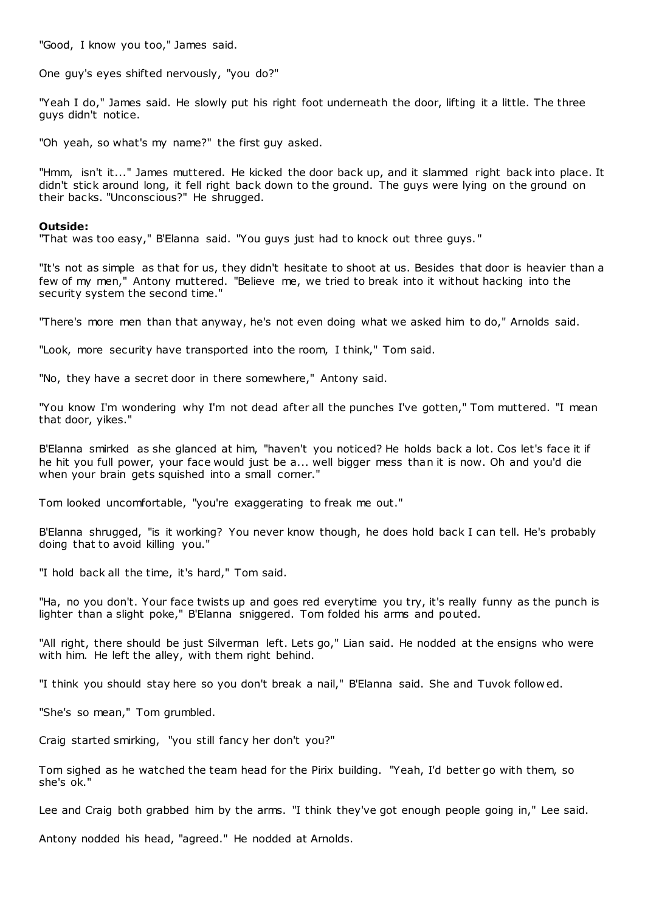"Good, I know you too," James said.

One guy's eyes shifted nervously, "you do?"

"Yeah I do," James said. He slowly put his right foot underneath the door, lifting it a little. The three guys didn't notice.

"Oh yeah, so what's my name?" the first guy asked.

"Hmm, isn't it..." James muttered. He kicked the door back up, and it slammed right back into place. It didn't stick around long, it fell right back down to the ground. The guys were lying on the ground on their backs. "Unconscious?" He shrugged.

#### **Outside:**

"That was too easy," B'Elanna said. "You guys just had to knock out three guys. "

"It's not as simple as that for us, they didn't hesitate to shoot at us. Besides that door is heavier than a few of my men," Antony muttered. "Believe me, we tried to break into it without hacking into the security system the second time."

"There's more men than that anyway, he's not even doing what we asked him to do," Arnolds said.

"Look, more security have transported into the room, I think," Tom said.

"No, they have a secret door in there somewhere," Antony said.

"You know I'm wondering why I'm not dead after all the punches I've gotten," Tom muttered. "I mean that door, yikes."

B'Elanna smirked as she glanced at him, "haven't you noticed? He holds back a lot. Cos let's face it if he hit you full power, your face would just be a... well bigger mess than it is now. Oh and you'd die when your brain gets squished into a small corner."

Tom looked uncomfortable, "you're exaggerating to freak me out."

B'Elanna shrugged, "is it working? You never know though, he does hold back I can tell. He's probably doing that to avoid killing you."

"I hold back all the time, it's hard," Tom said.

"Ha, no you don't. Your face twists up and goes red everytime you try, it's really funny as the punch is lighter than a slight poke," B'Elanna sniggered. Tom folded his arms and pouted.

"All right, there should be just Silverman left. Lets go," Lian said. He nodded at the ensigns who were with him. He left the alley, with them right behind.

"I think you should stay here so you don't break a nail," B'Elanna said. She and Tuvok follow ed.

"She's so mean," Tom grumbled.

Craig started smirking, "you still fancy her don't you?"

Tom sighed as he watched the team head for the Pirix building. "Yeah, I'd better go with them, so she's ok."

Lee and Craig both grabbed him by the arms. "I think they've got enough people going in," Lee said.

Antony nodded his head, "agreed." He nodded at Arnolds.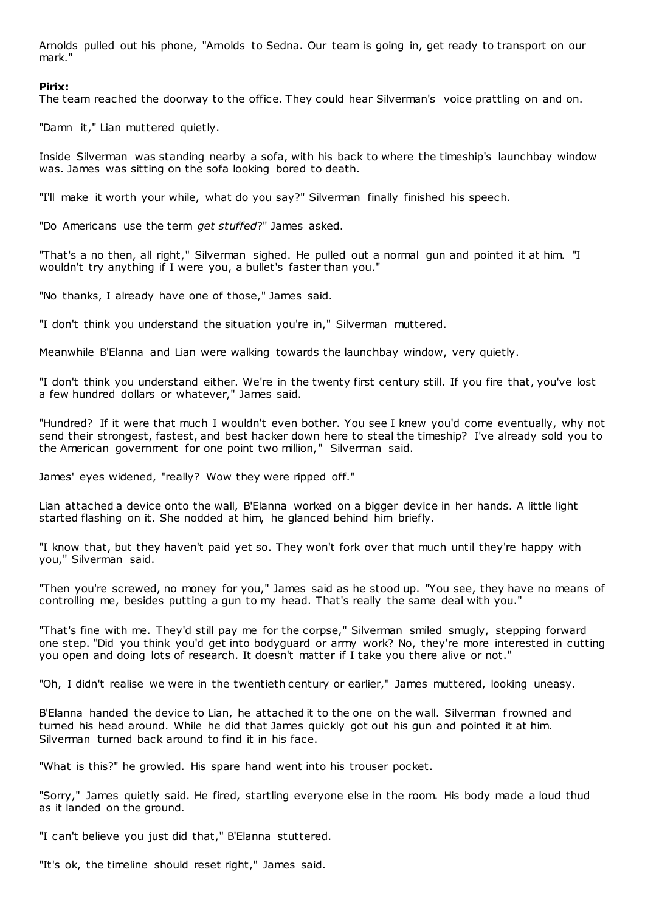Arnolds pulled out his phone, "Arnolds to Sedna. Our team is going in, get ready to transport on our mark."

## **Pirix:**

The team reached the doorway to the office. They could hear Silverman's voice prattling on and on.

"Damn it," Lian muttered quietly.

Inside Silverman was standing nearby a sofa, with his back to where the timeship's launchbay window was. James was sitting on the sofa looking bored to death.

"I'll make it worth your while, what do you say?" Silverman finally finished his speech.

"Do Americans use the term *get stuffed*?" James asked.

"That's a no then, all right," Silverman sighed. He pulled out a normal gun and pointed it at him. "I wouldn't try anything if I were you, a bullet's faster than you."

"No thanks, I already have one of those," James said.

"I don't think you understand the situation you're in," Silverman muttered.

Meanwhile B'Elanna and Lian were walking towards the launchbay window, very quietly.

"I don't think you understand either. We're in the twenty first century still. If you fire that, you've lost a few hundred dollars or whatever," James said.

"Hundred? If it were that much I wouldn't even bother. You see I knew you'd come eventually, why not send their strongest, fastest, and best hacker down here to steal the timeship? I've already sold you to the American government for one point two million," Silverman said.

James' eyes widened, "really? Wow they were ripped off."

Lian attached a device onto the wall, B'Elanna worked on a bigger device in her hands. A little light started flashing on it. She nodded at him, he glanced behind him briefly.

"I know that, but they haven't paid yet so. They won't fork over that much until they're happy with you," Silverman said.

"Then you're screwed, no money for you," James said as he stood up. "You see, they have no means of controlling me, besides putting a gun to my head. That's really the same deal with you."

"That's fine with me. They'd still pay me for the corpse," Silverman smiled smugly, stepping forward one step. "Did you think you'd get into bodyguard or army work? No, they're more interested in cutting you open and doing lots of research. It doesn't matter if I take you there alive or not."

"Oh, I didn't realise we were in the twentieth century or earlier," James muttered, looking uneasy.

B'Elanna handed the device to Lian, he attached it to the one on the wall. Silverman f rowned and turned his head around. While he did that James quickly got out his gun and pointed it at him. Silverman turned back around to find it in his face.

"What is this?" he growled. His spare hand went into his trouser pocket.

"Sorry," James quietly said. He fired, startling everyone else in the room. His body made a loud thud as it landed on the ground.

"I can't believe you just did that," B'Elanna stuttered.

"It's ok, the timeline should reset right," James said.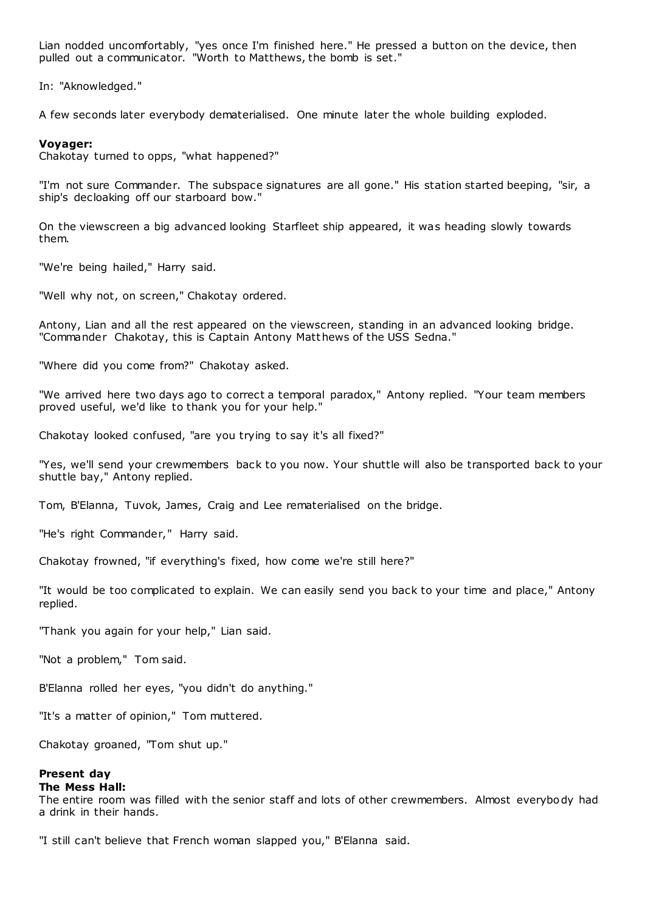Lian nodded uncomfortably, "yes once I'm finished here." He pressed a button on the device, then pulled out a communicator. "Worth to Matthews, the bomb is set."

In: "Aknowledged."

A few seconds later everybody dematerialised. One minute later the whole building exploded.

## **Voyager:**

Chakotay turned to opps, "what happened?"

"I'm not sure Commander. The subspace signatures are all gone." His station started beeping, "sir, a ship's decloaking off our starboard bow."

On the viewscreen a big advanced looking Starfleet ship appeared, it was heading slowly towards them.

"We're being hailed," Harry said.

"Well why not, on screen," Chakotay ordered.

Antony, Lian and all the rest appeared on the viewscreen, standing in an advanced looking bridge. "Commander Chakotay, this is Captain Antony Matthews of the USS Sedna."

"Where did you come from?" Chakotay asked.

"We arrived here two days ago to correct a temporal paradox," Antony replied. "Your team members proved useful, we'd like to thank you for your help."

Chakotay looked confused, "are you trying to say it's all fixed?"

"Yes, we'll send your crewmembers back to you now. Your shuttle will also be transported back to your shuttle bay," Antony replied.

Tom, B'Elanna, Tuvok, James, Craig and Lee rematerialised on the bridge.

"He's right Commander," Harry said.

Chakotay frowned, "if everything's fixed, how come we're still here?"

"It would be too complicated to explain. We can easily send you back to your time and place," Antony replied.

"Thank you again for your help," Lian said.

"Not a problem," Tom said.

B'Elanna rolled her eyes, "you didn't do anything."

"It's a matter of opinion," Tom muttered.

Chakotay groaned, "Tom shut up."

#### **Present day The Mess Hall:**

The entire room was filled with the senior staff and lots of other crewmembers. Almost everybody had a drink in their hands.

"I still can't believe that French woman slapped you," B'Elanna said.